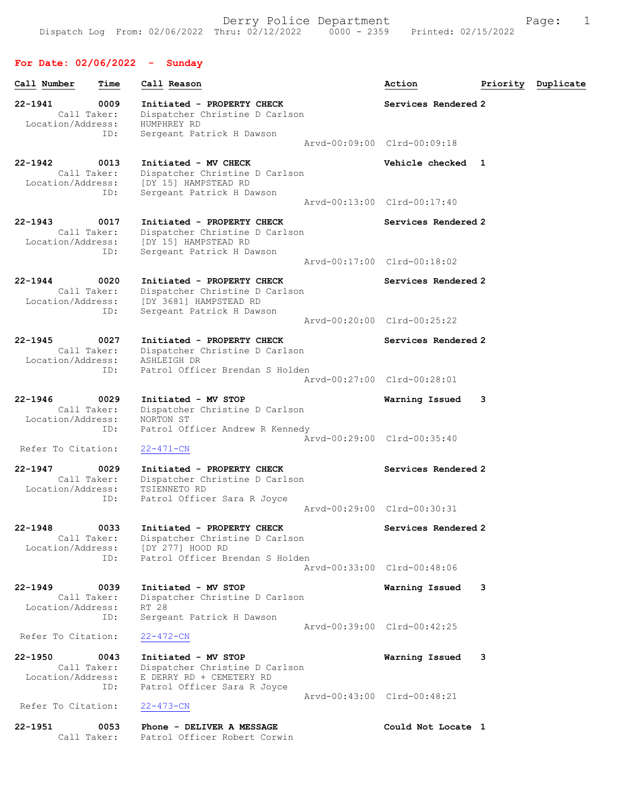### For Date: 02/06/2022 - Sunday

| Call Number                      | Time                       | Call Reason                                                                                                                           | Action                      | Priority | Duplicate |
|----------------------------------|----------------------------|---------------------------------------------------------------------------------------------------------------------------------------|-----------------------------|----------|-----------|
| 22-1941<br>Location/Address:     | 0009<br>Call Taker:        | Initiated - PROPERTY CHECK<br>Dispatcher Christine D Carlson<br>HUMPHREY RD                                                           | Services Rendered 2         |          |           |
|                                  | ID:                        | Sergeant Patrick H Dawson                                                                                                             | Arvd-00:09:00 Clrd-00:09:18 |          |           |
| $22 - 1942$<br>Location/Address: | 0013<br>Call Taker:<br>ID: | Initiated - MV CHECK<br>Dispatcher Christine D Carlson<br>[DY 15] HAMPSTEAD RD<br>Sergeant Patrick H Dawson                           | Vehicle checked 1           |          |           |
|                                  |                            |                                                                                                                                       | Arvd-00:13:00 Clrd-00:17:40 |          |           |
| $22 - 1943$                      | 0017<br>Call Taker:<br>ID: | Initiated - PROPERTY CHECK<br>Dispatcher Christine D Carlson<br>Location/Address: [DY 15] HAMPSTEAD RD<br>Sergeant Patrick H Dawson   | Services Rendered 2         |          |           |
|                                  |                            |                                                                                                                                       | Arvd-00:17:00 Clrd-00:18:02 |          |           |
| $22 - 1944$                      | 0020<br>Call Taker:<br>ID: | Initiated - PROPERTY CHECK<br>Dispatcher Christine D Carlson<br>Location/Address: [DY 3681] HAMPSTEAD RD<br>Sergeant Patrick H Dawson | Services Rendered 2         |          |           |
|                                  |                            |                                                                                                                                       | Arvd-00:20:00 Clrd-00:25:22 |          |           |
| $22 - 1945$<br>Location/Address: | 0027<br>Call Taker:<br>ID: | Initiated - PROPERTY CHECK<br>Dispatcher Christine D Carlson<br>ASHLEIGH DR<br>Patrol Officer Brendan S Holden                        | Services Rendered 2         |          |           |
|                                  |                            |                                                                                                                                       | Arvd-00:27:00 Clrd-00:28:01 |          |           |
| $22 - 1946$<br>Location/Address: | 0029<br>Call Taker:<br>ID: | Initiated - MV STOP<br>Dispatcher Christine D Carlson<br>NORTON ST<br>Patrol Officer Andrew R Kennedy                                 | Warning Issued              | 3        |           |
| Refer To Citation:               |                            | $22 - 471 - CN$                                                                                                                       | Arvd-00:29:00 Clrd-00:35:40 |          |           |
| $22 - 1947$<br>Location/Address: | 0029<br>Call Taker:<br>ID: | Initiated - PROPERTY CHECK<br>Dispatcher Christine D Carlson<br>TSIENNETO RD<br>Patrol Officer Sara R Joyce                           | Services Rendered 2         |          |           |
|                                  |                            |                                                                                                                                       | Arvd-00:29:00 Clrd-00:30:31 |          |           |
| $22 - 1948$<br>Location/Address: | 0033<br>Call Taker:<br>ID: | Initiated - PROPERTY CHECK<br>Dispatcher Christine D Carlson<br>[DY 277] HOOD RD<br>Patrol Officer Brendan S Holden                   | Services Rendered 2         |          |           |
|                                  |                            |                                                                                                                                       | Aryd-00:33:00 Clrd-00:48:06 |          |           |
| $22 - 1949$<br>Location/Address: | 0039<br>Call Taker:        | Initiated - MV STOP<br>Dispatcher Christine D Carlson<br>RT 28                                                                        | Warning Issued              | 3        |           |
| Refer To Citation:               | ID:                        | Sergeant Patrick H Dawson<br>$22 - 472 - CN$                                                                                          | Arvd-00:39:00 Clrd-00:42:25 |          |           |
| $22 - 1950$<br>Location/Address: | 0043<br>Call Taker:        | Initiated - MV STOP<br>Dispatcher Christine D Carlson<br>E DERRY RD + CEMETERY RD                                                     | Warning Issued              | 3        |           |
|                                  | ID:                        | Patrol Officer Sara R Joyce                                                                                                           | Arvd-00:43:00 Clrd-00:48:21 |          |           |
| Refer To Citation:               |                            | $22 - 473 - CN$                                                                                                                       |                             |          |           |
| 22-1951                          | 0053<br>Call Taker:        | Phone - DELIVER A MESSAGE<br>Patrol Officer Robert Corwin                                                                             | Could Not Locate 1          |          |           |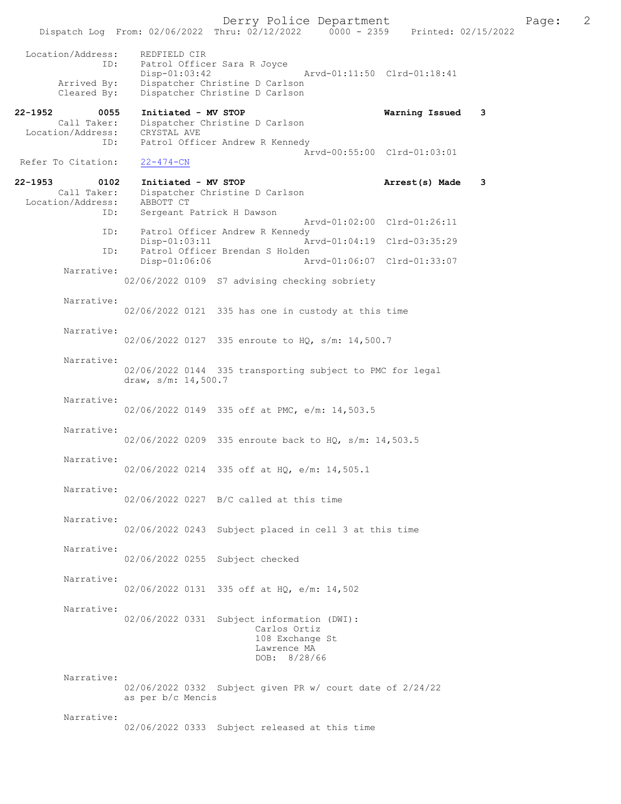Derry Police Department Page: 2 Dispatch Log From: 02/06/2022 Thru: 02/12/2022 Location/Address: REDFIELD CIR ID: Patrol Officer Sara R Joyce<br>Disp-01:03:42 Arvd-01:11:50 Clrd-01:18:41 Arrived By: Dispatcher Christine D Carlson Cleared By: Dispatcher Christine D Carlson 22-1952 0055 Initiated - MV STOP Warning Issued 3 Call Taker: Dispatcher Christine D Carlson Call Taker: Dispatcher (<br>Location/Address: CRYSTAL AVE<br>ID: Patrol Offic Patrol Officer Andrew R Kennedy Arvd-00:55:00 Clrd-01:03:01<br>22-474-CN Refer To Citation: 22-1953 0102 Initiated - MV STOP **Arrest(s) Made 3**<br>Call Taker: Dispatcher Christine D Carlson Dispatcher Christine D Carlson Location/Address: ABBOTT CT<br>ID: Sergeant I Sergeant Patrick H Dawson Arvd-01:02:00 Clrd-01:26:11<br>TD: Patrol Officer Andrew R Kennedy Patrol Officer Andrew R Kennedy<br>Disp-01:03:11 Ar Arvd-01:04:19 Clrd-03:35:29 ID: Patrol Officer Brendan S Holden<br>Disp-01:06:06 Am Disp-01:06:06 Arvd-01:06:07 Clrd-01:33:07 Narrative: 02/06/2022 0109 S7 advising checking sobriety Narrative: 02/06/2022 0121 335 has one in custody at this time Narrative: 02/06/2022 0127 335 enroute to HQ, s/m: 14,500.7 Narrative: 02/06/2022 0144 335 transporting subject to PMC for legal draw, s/m: 14,500.7 Narrative: 02/06/2022 0149 335 off at PMC, e/m: 14,503.5 Narrative: 02/06/2022 0209 335 enroute back to HQ, s/m: 14,503.5 Narrative: 02/06/2022 0214 335 off at HQ, e/m: 14,505.1 Narrative: 02/06/2022 0227 B/C called at this time Narrative: 02/06/2022 0243 Subject placed in cell 3 at this time Narrative: 02/06/2022 0255 Subject checked Narrative: 02/06/2022 0131 335 off at HQ, e/m: 14,502 Narrative: 02/06/2022 0331 Subject information (DWI): Carlos Ortiz 108 Exchange St Lawrence MA DOB: 8/28/66 Narrative: 02/06/2022 0332 Subject given PR w/ court date of 2/24/22 as per b/c Mencis Narrative: 02/06/2022 0333 Subject released at this time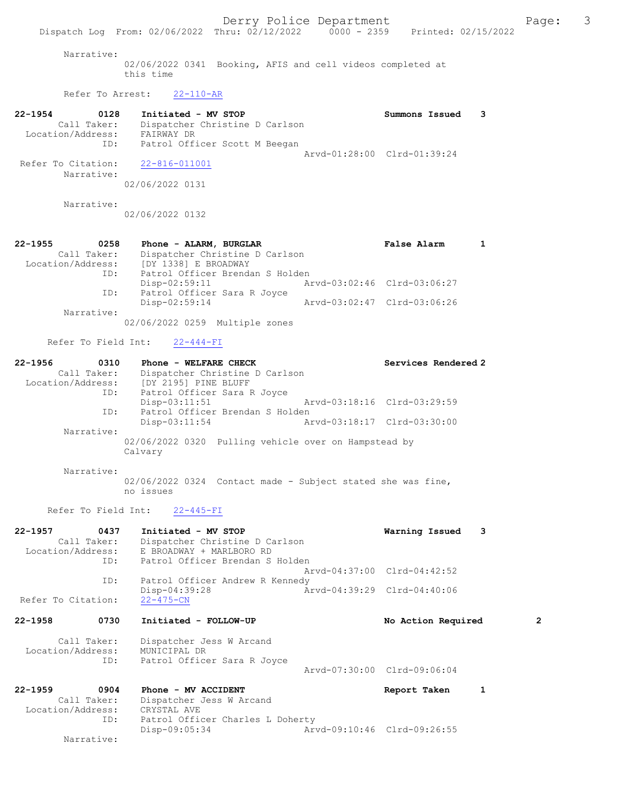Narrative:

02/06/2022 0341 Booking, AFIS and cell videos completed at this time

Refer To Arrest: 22-110-AR

| 22-1954            | 0128              | Initiated - MV STOP            |  | Summons Issued              |  |
|--------------------|-------------------|--------------------------------|--|-----------------------------|--|
|                    | Call Taker:       | Dispatcher Christine D Carlson |  |                             |  |
|                    | Location/Address: | FAIRWAY DR                     |  |                             |  |
|                    | ID:               | Patrol Officer Scott M Beegan  |  |                             |  |
|                    |                   |                                |  | Arvd-01:28:00 Clrd-01:39:24 |  |
| Refer To Citation: |                   | 22-816-011001                  |  |                             |  |
|                    | Narrative:        |                                |  |                             |  |
|                    |                   | 02/06/2022 0131                |  |                             |  |

Narrative:

02/06/2022 0132

| $22 - 1955$       | 0258        | Phone - ALARM, BURGLAR |                                 | False Alarm                 |  |
|-------------------|-------------|------------------------|---------------------------------|-----------------------------|--|
|                   | Call Taker: |                        | Dispatcher Christine D Carlson  |                             |  |
| Location/Address: |             | [DY 1338] E BROADWAY   |                                 |                             |  |
|                   | ID:         |                        | Patrol Officer Brendan S Holden |                             |  |
|                   |             | Disp-02:59:11          |                                 | Arvd-03:02:46 Clrd-03:06:27 |  |
|                   | ID:         |                        | Patrol Officer Sara R Joyce     |                             |  |
|                   |             | Disp-02:59:14          |                                 | Arvd-03:02:47 Clrd-03:06:26 |  |
|                   | Narrative:  |                        |                                 |                             |  |
|                   |             |                        | 02/06/2022 0259 Multiple zones  |                             |  |

#### Refer To Field Int: 22-444-FI

| $22 - 1956$       | 0310        | Phone - WELFARE CHECK           |                                                      | Services Rendered 2         |
|-------------------|-------------|---------------------------------|------------------------------------------------------|-----------------------------|
|                   | Call Taker: | Dispatcher Christine D Carlson  |                                                      |                             |
| Location/Address: |             | [DY 2195] PINE BLUFF            |                                                      |                             |
|                   | ID:         | Patrol Officer Sara R Joyce     |                                                      |                             |
|                   |             | $Disp-03:11:51$                 |                                                      | Arvd-03:18:16 Clrd-03:29:59 |
|                   | ID:         | Patrol Officer Brendan S Holden |                                                      |                             |
|                   |             | $Disp-03:11:54$                 |                                                      | Arvd-03:18:17 Clrd-03:30:00 |
|                   | Narrative:  |                                 |                                                      |                             |
|                   |             | Calvary                         | 02/06/2022 0320 Pulling vehicle over on Hampstead by |                             |

#### Narrative:

02/06/2022 0324 Contact made - Subject stated she was fine, no issues

### Refer To Field Int: 22-445-FI

| 22-1957            | 0437        | Initiated - MV STOP                        |                             | Warning Issued              | 3              |
|--------------------|-------------|--------------------------------------------|-----------------------------|-----------------------------|----------------|
|                    |             | Call Taker: Dispatcher Christine D Carlson |                             |                             |                |
|                    |             | Location/Address: E BROADWAY + MARLBORO RD |                             |                             |                |
|                    | ID:         | Patrol Officer Brendan S Holden            |                             |                             |                |
|                    |             |                                            |                             | Arvd-04:37:00 Clrd-04:42:52 |                |
|                    | ID:         | Patrol Officer Andrew R Kennedy            |                             |                             |                |
|                    |             | $Disp-04:39:28$                            |                             | Arvd-04:39:29 Clrd-04:40:06 |                |
| Refer To Citation: |             | $22 - 475 - CN$                            |                             |                             |                |
| 22-1958            | 0730        | Initiated - FOLLOW-UP                      |                             | No Action Required          | $\overline{2}$ |
|                    | Call Taker: | Dispatcher Jess W Arcand                   |                             |                             |                |
| Location/Address:  |             | MUNICIPAL DR                               |                             |                             |                |
|                    | ID:         | Patrol Officer Sara R Joyce                |                             |                             |                |
|                    |             |                                            |                             | Arvd-07:30:00 Clrd-09:06:04 |                |
| $22 - 1959$        | 0904        | Phone - MV ACCIDENT                        |                             | Report Taken                | 1              |
|                    | Call Taker: | Dispatcher Jess W Arcand                   |                             |                             |                |
| Location/Address:  |             | CRYSTAL AVE                                |                             |                             |                |
|                    | ID:         | Patrol Officer Charles L Doherty           |                             |                             |                |
|                    |             | Disp-09:05:34                              | Arvd-09:10:46 Clrd-09:26:55 |                             |                |
|                    | Narrative:  |                                            |                             |                             |                |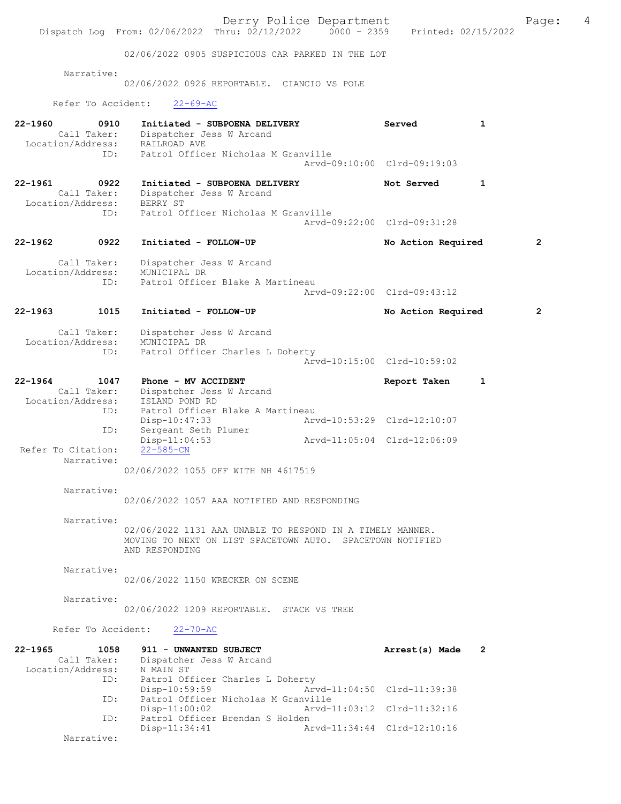Derry Police Department<br>
Page: 4 (19/12/2022 0000 - 2359 Printed: 02/15/2022 Dispatch Log From: 02/06/2022 Thru: 02/12/2022 02/06/2022 0905 SUSPICIOUS CAR PARKED IN THE LOT Narrative: 02/06/2022 0926 REPORTABLE. CIANCIO VS POLE Refer To Accident: 22-69-AC 22-1960 0910 Initiated - SUBPOENA DELIVERY Served 1 Call Taker: Dispatcher Jess W Arcand Location/Address: RAILROAD AVE ID: Patrol Officer Nicholas M Granville Arvd-09:10:00 Clrd-09:19:03 22-1961 0922 Initiated - SUBPOENA DELIVERY Not Served 1<br>Call Taker: Dispatcher Jess W Arcand Dispatcher Jess W Arcand<br>BERRY ST Location/Address:<br>ID: Patrol Officer Nicholas M Granville Arvd-09:22:00 Clrd-09:31:28 22-1962 0922 Initiated - FOLLOW-UP No Action Required 2 Call Taker: Dispatcher Jess W Arcand<br>ion/Address: MUNICIPAL DR Location/Address:<br>ID: Patrol Officer Blake A Martineau Arvd-09:22:00 Clrd-09:43:12 22-1963 1015 Initiated - FOLLOW-UP No Action Required 2 Call Taker: Dispatcher Jess W Arcand<br>Location/Address: MUNICIPAL DR with .<br>:ess: MUNICIPAL DR<br> ID: Patrol Office Patrol Officer Charles L Doherty Arvd-10:15:00 Clrd-10:59:02 22-1964 1047 Phone - MV ACCIDENT Report Taken 1 Call Taker: Dispatcher Jess W Arcand Location/Address: ISLAND POND RD ID: Patrol Officer Blake A Martineau<br>Disp-10:47:33 Art Disp-10:47:33 Arvd-10:53:29 Clrd-12:10:07 ID: Sergeant Seth Plumer<br>Disp-11:04:53 Disp-11:04:53 Arvd-11:05:04 Clrd-12:06:09 Refer To Citation: Narrative: 02/06/2022 1055 OFF WITH NH 4617519 Narrative: 02/06/2022 1057 AAA NOTIFIED AND RESPONDING Narrative: 02/06/2022 1131 AAA UNABLE TO RESPOND IN A TIMELY MANNER. MOVING TO NEXT ON LIST SPACETOWN AUTO. SPACETOWN NOTIFIED AND RESPONDING Narrative: 02/06/2022 1150 WRECKER ON SCENE Narrative: 02/06/2022 1209 REPORTABLE. STACK VS TREE Refer To Accident: 22-70-AC 22-1965 1058 911 - UNWANTED SUBJECT Arrest(s) Made 2 Call Taker: Dispatcher Jess W Arcand<br>ion/Address: N MAIN ST Location/Address: Patrol Officer Charles L Doherty<br>Disp-10:59:59 Ary Disp-10:59:59 Arvd-11:04:50 Clrd-11:39:38<br>ID: Patrol Officer Nicholas M Granville Patrol Officer Nicholas M Granville Disp-11:00:02 Arvd-11:03:12 Clrd-11:32:16<br>TD: Patrol Officer Brendan S Holden Patrol Officer Brendan S Holden Disp-11:34:41 Arvd-11:34:44 Clrd-12:10:16 Narrative: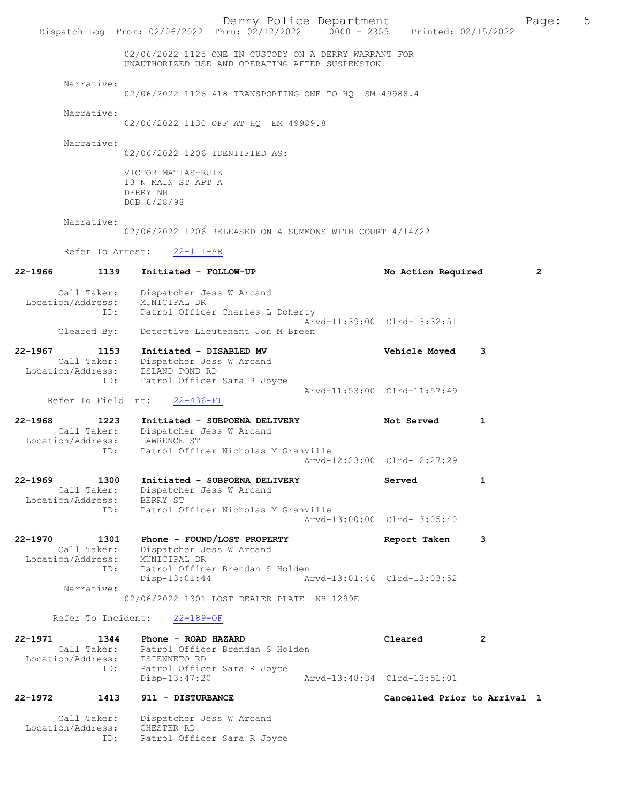|                                                            | Dispatch Log From: 02/06/2022 Thru: 02/12/2022 0000 - 2359 Printed: 02/15/2022                                   | Derry Police Department     |                              |                | Page:        | 5 |
|------------------------------------------------------------|------------------------------------------------------------------------------------------------------------------|-----------------------------|------------------------------|----------------|--------------|---|
|                                                            | 02/06/2022 1125 ONE IN CUSTODY ON A DERRY WARRANT FOR<br>UNAUTHORIZED USE AND OPERATING AFTER SUSPENSION         |                             |                              |                |              |   |
| Narrative:                                                 | 02/06/2022 1126 418 TRANSPORTING ONE TO HQ SM 49988.4                                                            |                             |                              |                |              |   |
| Narrative:                                                 | 02/06/2022 1130 OFF AT HQ EM 49989.8                                                                             |                             |                              |                |              |   |
| Narrative:                                                 | 02/06/2022 1206 IDENTIFIED AS:                                                                                   |                             |                              |                |              |   |
|                                                            | VICTOR MATIAS-RUIZ<br>13 N MAIN ST APT A<br>DERRY NH<br>DOB 6/28/98                                              |                             |                              |                |              |   |
| Narrative:                                                 | 02/06/2022 1206 RELEASED ON A SUMMONS WITH COURT 4/14/22                                                         |                             |                              |                |              |   |
| Refer To Arrest:                                           | $22 - 111 - AR$                                                                                                  |                             |                              |                |              |   |
| 22-1966<br>1139                                            | Initiated - FOLLOW-UP                                                                                            |                             | No Action Required           |                | $\mathbf{2}$ |   |
| Location/Address:                                          | Call Taker: Dispatcher Jess W Arcand<br>MUNICIPAL DR<br>ID: Patrol Officer Charles L Doherty                     | Arvd-11:39:00 Clrd-13:32:51 |                              |                |              |   |
| Cleared By:                                                | Detective Lieutenant Jon M Breen                                                                                 |                             |                              |                |              |   |
| 22-1967<br>1153<br>Location/Address:<br>ID:                | Initiated - DISABLED MV<br>Call Taker: Dispatcher Jess W Arcand<br>ISLAND POND RD<br>Patrol Officer Sara R Joyce |                             | Vehicle Moved                | 3              |              |   |
| Refer To Field Int:                                        | $22 - 436 - FI$                                                                                                  | Arvd-11:53:00 Clrd-11:57:49 |                              |                |              |   |
| 22-1968<br>1223<br>Location/Address: LAWRENCE ST           | Initiated - SUBPOENA DELIVERY<br>Call Taker: Dispatcher Jess W Arcand                                            |                             | Not Served                   | 1              |              |   |
| ID:                                                        | Patrol Officer Nicholas M Granville                                                                              | Arvd-12:23:00 Clrd-12:27:29 |                              |                |              |   |
| 22-1969<br>1300<br>Call Taker:<br>Location/Address:        | Initiated - SUBPOENA DELIVERY<br>Dispatcher Jess W Arcand<br>BERRY ST                                            |                             | Served                       | 1              |              |   |
| ID:                                                        | Patrol Officer Nicholas M Granville                                                                              | Arvd-13:00:00 Clrd-13:05:40 |                              |                |              |   |
| 22-1970<br>1301<br>Call Taker:<br>Location/Address:        | Phone - FOUND/LOST PROPERTY<br>Dispatcher Jess W Arcand<br>MUNICIPAL DR                                          |                             | Report Taken                 | 3              |              |   |
| ID:<br>Narrative:                                          | Patrol Officer Brendan S Holden<br>$Disp-13:01:44$<br>02/06/2022 1301 LOST DEALER PLATE NH 1299E                 | Arvd-13:01:46 Clrd-13:03:52 |                              |                |              |   |
| Refer To Incident:                                         | $22 - 189 - OF$                                                                                                  |                             |                              |                |              |   |
| 22-1971<br>1344                                            | Phone - ROAD HAZARD                                                                                              |                             | Cleared                      | $\overline{2}$ |              |   |
| Call Taker:<br>Location/Address:<br>ID:                    | Patrol Officer Brendan S Holden<br>TSIENNETO RD<br>Patrol Officer Sara R Joyce                                   |                             |                              |                |              |   |
|                                                            | Disp-13:47:20                                                                                                    | Arvd-13:48:34 Clrd-13:51:01 |                              |                |              |   |
| 22-1972<br>1413<br>Call Taker:<br>Location/Address:<br>ID: | 911 - DISTURBANCE<br>Dispatcher Jess W Arcand<br>CHESTER RD<br>Patrol Officer Sara R Joyce                       |                             | Cancelled Prior to Arrival 1 |                |              |   |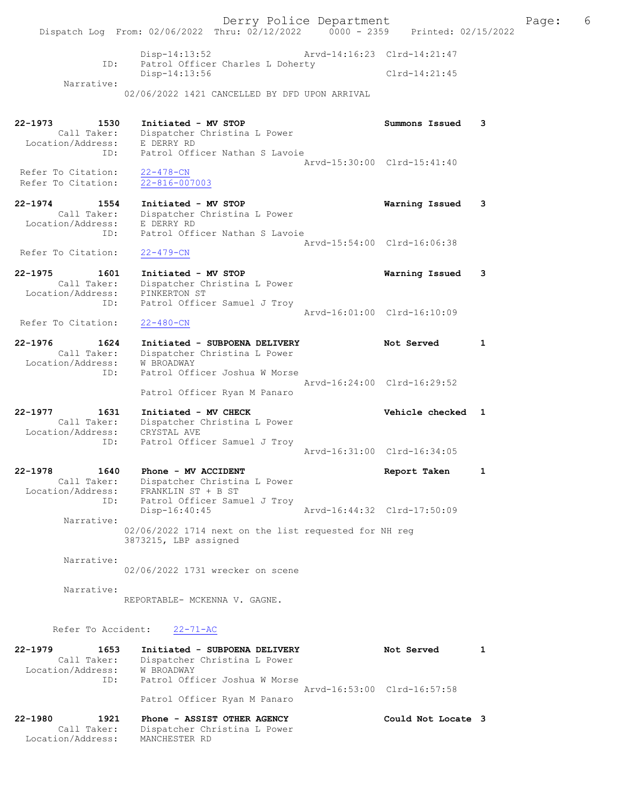Derry Police Department The Rage: 6 Dispatch Log From: 02/06/2022 Thru: 02/12/2022 0000 - 2359 Printed: 02/15/2022 Arvd-14:16:23 Clrd-14:21:47 Patrol Officer Charles L Doherty Disp-14:13:52 Arvd-14:16:23 Clrd-14:21:47<br>ID: Patrol Officer Charles L Doherty<br>Disp-14:13:56 Clrd-14:21:45 Narrative: 02/06/2022 1421 CANCELLED BY DFD UPON ARRIVAL 22-1973 1530 Initiated - MV STOP Summons Issued 3 Call Taker: Dispatcher Christina L Power Location/Address: E DERRY RD ID: Patrol Officer Nathan S Lavoie Arvd-15:30:00 Clrd-15:41:40 Refer To Citation: 22-478-CN Refer To Citation: 22-816-007003 22-1974 1554 Initiated - MV STOP Warning Issued 3 Call Taker: Dispatcher Christina L Power Location/Address: E DERRY RD ID: Patrol Officer Nathan S Lavoie Arvd-15:54:00 Clrd-16:06:38 Refer To Citation: 22-479-CN 22-1975 1601 Initiated - MV STOP Warning Issued 3 Call Taker: Dispatcher Christina L Power Location/Address: PINKERTON ST ID: Patrol Officer Samuel J Troy Arvd-16:01:00 Clrd-16:10:09 Refer To Citation: 22-480-CN 22-1976 1624 Initiated - SUBPOENA DELIVERY Not Served 1 Call Taker: Dispatcher Christina L Power Location/Address: W BROADWAY ID: Patrol Officer Joshua W Morse Arvd-16:24:00 Clrd-16:29:52 Patrol Officer Ryan M Panaro 22-1977 1631 Initiated - MV CHECK 1997 1998 Vehicle checked 1 Call Taker: Dispatcher Christina L Power Location/Address: CRYSTAL AVE ID: Patrol Officer Samuel J Troy Arvd-16:31:00 Clrd-16:34:05 22-1978 1640 Phone - MV ACCIDENT Report Taken 1 Call Taker: Dispatcher Christina L Power Location/Address: FRANKLIN ST + B ST ID: Patrol Officer Samuel J Troy Disp-16:40:45 Arvd-16:44:32 Clrd-17:50:09 Narrative: 02/06/2022 1714 next on the list requested for NH reg 3873215, LBP assigned Narrative: 02/06/2022 1731 wrecker on scene Narrative: REPORTABLE- MCKENNA V. GAGNE. Refer To Accident: 22-71-AC 22-1979 1653 Initiated - SUBPOENA DELIVERY Not Served 1 Call Taker: Dispatcher Christina L Power Location/Address: W BROADWAY ID: Patrol Officer Joshua W Morse Arvd-16:53:00 Clrd-16:57:58 Patrol Officer Ryan M Panaro 22-1980 1921 Phone - ASSIST OTHER AGENCY Could Not Locate 3 Call Taker: Dispatcher Christina L Power Location/Address: MANCHESTER RD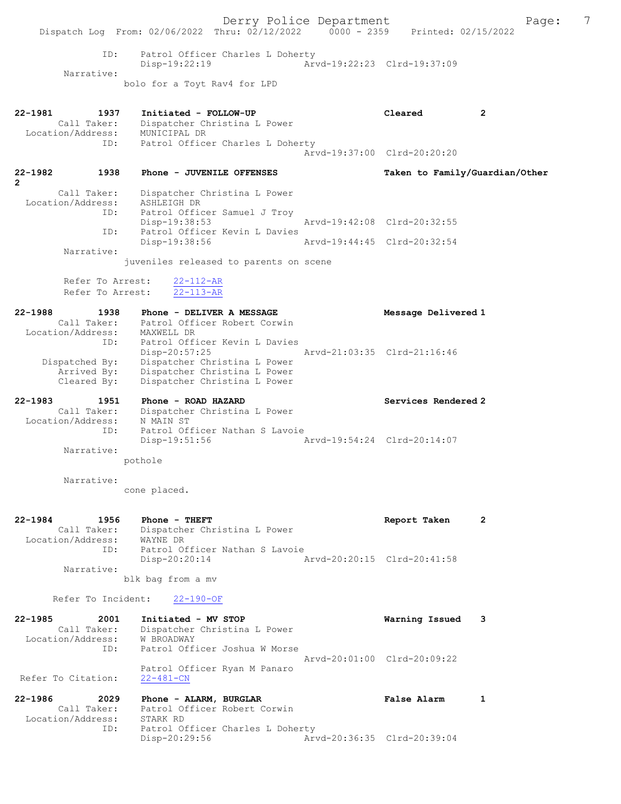Derry Police Department The Page: 7 Dispatch Log From: 02/06/2022 Thru: 02/12/2022 0000 - 2359 Printed: 02/15/2022 ID: Patrol Officer Charles L Doherty Disp-19:22:19 Arvd-19:22:23 Clrd-19:37:09 Narrative: bolo for a Toyt Rav4 for LPD 22-1981 1937 Initiated - FOLLOW-UP Cleared 2 Call Taker: Dispatcher Christina L Power Location/Address: MUNICIPAL DR ID: Patrol Officer Charles L Doherty Arvd-19:37:00 Clrd-20:20:20 22-1982 1938 Phone - JUVENILE OFFENSES Taken to Family/Guardian/Other 2 Call Taker: Dispatcher Christina L Power Location/Address: ASHLEIGH DR ID: Patrol Officer Samuel J Troy Disp-19:38:53 Arvd-19:42:08 Clrd-20:32:55 ID: Patrol Officer Kevin L Davies Disp-19:38:56 Arvd-19:44:45 Clrd-20:32:54 Narrative: juveniles released to parents on scene Refer To Arrest: 22-112-AR Refer To Arrest: 22-113-AR 22-1988 1938 Phone - DELIVER A MESSAGE Message Delivered 1 Call Taker: Patrol Officer Robert Corwin Location/Address: MAXWELL DR ID: Patrol Officer Kevin L Davies Disp-20:57:25 Arvd-21:03:35 Clrd-21:16:46 Dispatched By: Dispatcher Christina L Power Arrived By: Dispatcher Christina L Power Cleared By: Dispatcher Christina L Power 22-1983 1951 Phone - ROAD HAZARD Services Rendered 2 Call Taker: Dispatcher Christina L Power Location/Address: N MAIN ST ID: Patrol Officer Nathan S Lavoie Disp-19:51:56 Arvd-19:54:24 Clrd-20:14:07 Narrative: pothole Narrative: cone placed. 22-1984 1956 Phone - THEFT Report Taken 2 Call Taker: Dispatcher Christina L Power Location/Address: WAYNE DR ID: Patrol Officer Nathan S Lavoie Disp-20:20:14 Arvd-20:20:15 Clrd-20:41:58 Narrative: blk bag from a mv Refer To Incident: 22-190-OF 22-1985 2001 Initiated - MV STOP Warning Issued 3 Call Taker: Dispatcher Christina L Power Location/Address: W BROADWAY ID: Patrol Officer Joshua W Morse Arvd-20:01:00 Clrd-20:09:22 Patrol Officer Ryan M Panaro<br>22-481-CN Refer To Citation: 22-1986 2029 Phone - ALARM, BURGLAR False Alarm 1 Call Taker: Patrol Officer Robert Corwin<br>ation/Address: STARK RD Location/Address: ID: Patrol Officer Charles L Doherty<br>Disp-20:29:56 Arv Disp-20:29:56 Arvd-20:36:35 Clrd-20:39:04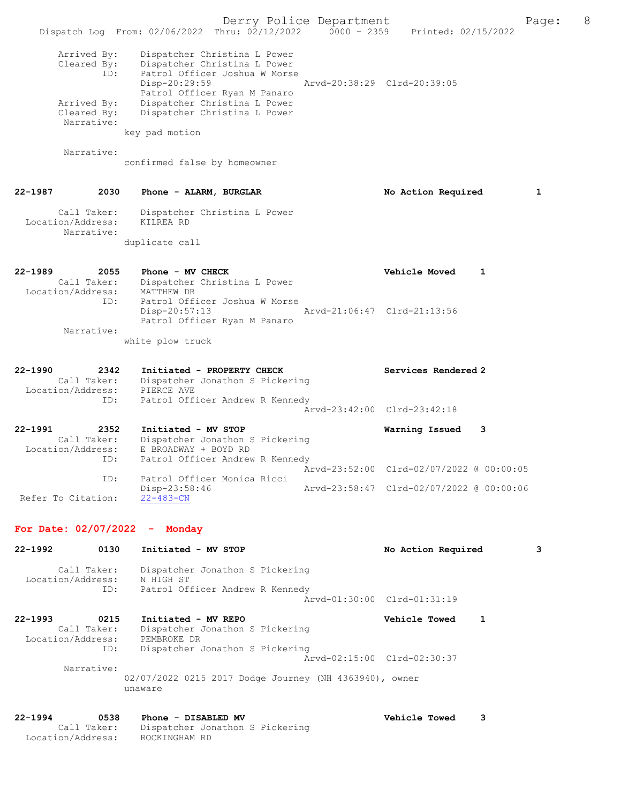Derry Police Department The Rage: 8 Dispatch Log From: 02/06/2022 Thru: 02/12/2022 0000 - 2359 Printed: 02/15/2022 Arrived By: Dispatcher Christina L Power Cleared By: Dispatcher Christina L Power ID: Patrol Officer Joshua W Morse Disp-20:29:59 Arvd-20:38:29 Clrd-20:39:05 Patrol Officer Ryan M Panaro<br>Arrived By: Dispatcher Christina L Power Dispatcher Christina L Power Cleared By: Dispatcher Christina L Power Narrative: key pad motion Narrative: confirmed false by homeowner 22-1987 2030 Phone - ALARM, BURGLAR No No Action Required 1 Call Taker: Dispatcher Christina L Power Location/Address: KILREA RD Narrative: duplicate call 22-1989 2055 Phone - MV CHECK Vehicle Moved 1 Call Taker: Dispatcher Christina L Power Location/Address: MATTHEW DR ID: Patrol Officer Joshua W Morse<br>Disp-20:57:13 Disp-20:57:13 Arvd-21:06:47 Clrd-21:13:56 Patrol Officer Ryan M Panaro Narrative: white plow truck 22-1990 2342 Initiated - PROPERTY CHECK Services Rendered 2 Call Taker: Dispatcher Jonathon S Pickering Location/Address: PIERCE AVE ID: Patrol Officer Andrew R Kennedy Arvd-23:42:00 Clrd-23:42:18 22-1991 2352 Initiated - MV STOP Warning Issued 3 Call Taker: Dispatcher Jonathon S Pickering Location/Address: E BROADWAY + BOYD RD ID: Patrol Officer Andrew R Kennedy Arvd-23:52:00 Clrd-02/07/2022 @ 00:00:05<br>ID: Patrol Officer Monica Ricci Patrol Officer Monica Ricci<br>Disp-23:58:46 Disp-23:58:46 Arvd-23:58:47 Clrd-02/07/2022 @ 00:00:06 Refer To Citation: For Date: 02/07/2022 - Monday 22-1992 0130 Initiated - MV STOP No Action Required 3 Call Taker: Dispatcher Jonathon S Pickering Location/Address: N HIGH ST ID: Patrol Officer Andrew R Kennedy Arvd-01:30:00 Clrd-01:31:19 22-1993 0215 Initiated - MV REPO Vehicle Towed 1 Call Taker: Dispatcher Jonathon S Pickering Location/Address: PEMBROKE DR ID: Dispatcher Jonathon S Pickering Arvd-02:15:00 Clrd-02:30:37 Narrative: 02/07/2022 0215 2017 Dodge Journey (NH 4363940), owner unaware 22-1994 0538 Phone - DISABLED MV Vehicle Towed 3 Call Taker: Dispatcher Jonathon S Pickering Location/Address: ROCKINGHAM RD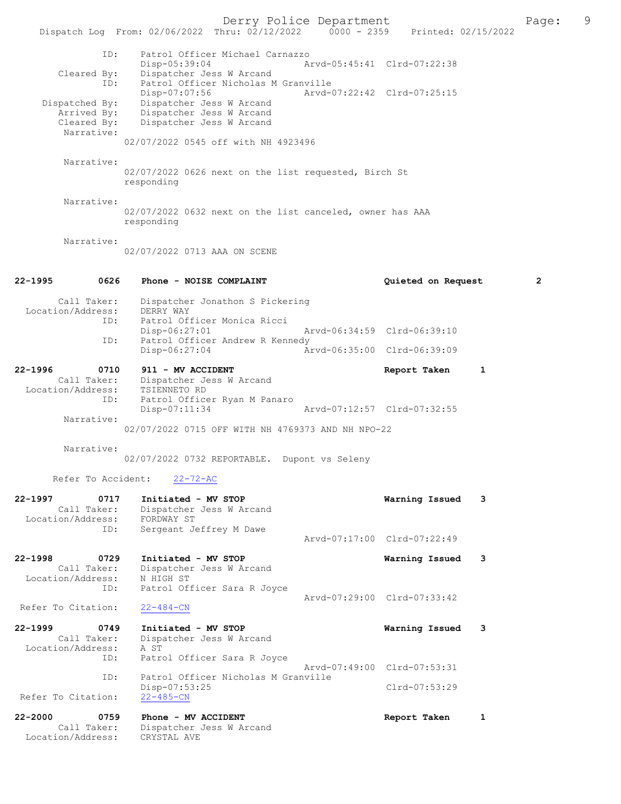Derry Police Department Page: 9 Dispatch Log From: 02/06/2022 Thru: 02/12/2022 0000 - 2359 ID: Patrol Officer Michael Carnazzo Disp-05:39:04 Arvd-05:45:41 Clrd-07:22:38 Cleared By: Dispatcher Jess W Arcand ID: Patrol Officer Nicholas M Granville<br>Disp-07:07:56 Arvd-0 Arvd-07:22:42 Clrd-07:25:15 Dispatched By: Dispatcher Jess W Arcand Arrived By: Dispatcher Jess W Arcand Cleared By: Dispatcher Jess W Arcand Narrative: 02/07/2022 0545 off with NH 4923496 Narrative: 02/07/2022 0626 next on the list requested, Birch St responding Narrative: 02/07/2022 0632 next on the list canceled, owner has AAA responding Narrative: 02/07/2022 0713 AAA ON SCENE 22-1995 0626 Phone - NOISE COMPLAINT Quieted on Request 2 Call Taker: Dispatcher Jonathon S Pickering<br>ion/Address: DERRY WAY Location/Address: ID: Patrol Officer Monica Ricci<br>Disp-06:27:01 Disp-06:27:01 Arvd-06:34:59 Clrd-06:39:10<br>ID: Patrol Officer Andrew R Kennedy Patrol Officer Andrew R Kennedy Disp-06:27:04 Arvd-06:35:00 Clrd-06:39:09 22-1996 0710 911 - MV ACCIDENT Report Taken 1 Call Taker: Dispatcher Jess W Arcand Dispatcher Jess W Arcand<br>TSIENNETO RD Location/Address: ID: Patrol Officer Ryan M Panaro<br>Disp-07:11:34 Arvd-07:12:57 Clrd-07:32:55 Narrative: 02/07/2022 0715 OFF WITH NH 4769373 AND NH NPO-22 Narrative: 02/07/2022 0732 REPORTABLE. Dupont vs Seleny Refer To Accident: 22-72-AC 22-1997 0717 Initiated - MV STOP 1997 Warning Issued 3<br>Call Taker: Dispatcher Jess W Arcand Dispatcher Jess W Arcand<br>FORDWAY ST Location/Address:<br>TD: Sergeant Jeffrey M Dawe Arvd-07:17:00 Clrd-07:22:49 22-1998 0729 Initiated - MV STOP 1998 Marning Issued 3<br>Call Taker: Dispatcher Jess W Arcand Dispatcher Jess W Arcand Location/Address: N HIGH ST<br>TD: Patrol Of Patrol Officer Sara R Joyce Arvd-07:29:00 Clrd-07:33:42<br>
22-484-CN Refer To Citation: 22-1999 0749 Initiated - MV STOP 1988 Call Taker: Dispatcher Jess W Arcand Dispatcher Jess W Arcand<br>A ST Location/Address: ID: Patrol Officer Sara R Joyce Arvd-07:49:00 Clrd-07:53:31 ID: Patrol Officer Nicholas M Granville Disp-07:53:25 Clrd-07:53:29<br>22-485-CN Refer To Citation: 22-2000 0759 Phone - MV ACCIDENT Call Taken 1 Call Taker: Dispatcher Jess W Arcand Dispatcher Jess W Arcand<br>CRYSTAL AVE Location/Address: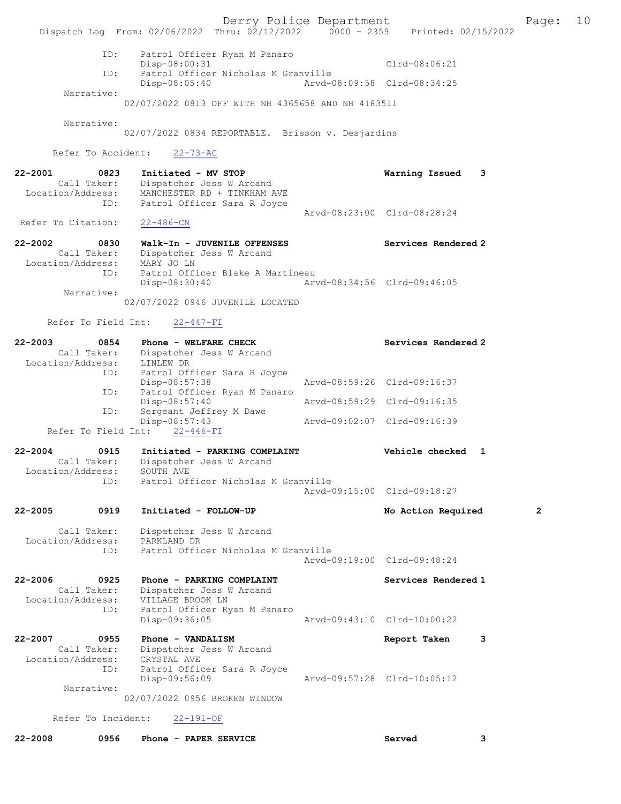Derry Police Department Fage: 10 Dispatch Log From: 02/06/2022 Thru: 02/12/2022 0000 - 2359 Printed: 02/15/2022 ID: Patrol Officer Ryan M Panaro Disp-08:00:31 Clrd-08:06:21 ID: Patrol Officer Nicholas M Granville Disp-08:05:40 Arvd-08:09:58 Clrd-08:34:25 Narrative: 02/07/2022 0813 OFF WITH NH 4365658 AND NH 4183511 Narrative: 02/07/2022 0834 REPORTABLE. Brisson v. Desjardins Refer To Accident: 22-73-AC 22-2001 0823 Initiated - MV STOP Warning Issued 3 Call Taker: Dispatcher Jess W Arcand Location/Address: MANCHESTER RD + TINKHAM AVE ID: Patrol Officer Sara R Joyce Arvd-08:23:00 Clrd-08:28:24<br>22-486-CN Refer To Citation: 22-2002 0830 Walk-In - JUVENILE OFFENSES Services Rendered 2 Call Taker: Dispatcher Jess W Arcand Location/Address: MARY JO LN ID: Patrol Officer Blake A Martineau Disp-08:30:40 Arvd-08:34:56 Clrd-09:46:05 Narrative: 02/07/2022 0946 JUVENILE LOCATED Refer To Field Int: 22-447-FI 22-2003 0854 Phone - WELFARE CHECK Services Rendered 2 Call Taker: Dispatcher Jess W Arcand Location/Address: LINLEW DR ID: Patrol Officer Sara R Joyce Disp-08:57:38 Arvd-08:59:26 Clrd-09:16:37 ID: Patrol Officer Ryan M Panaro Disp-08:57:40 Arvd-08:59:29 Clrd-09:16:35 ID: Sergeant Jeffrey M Dawe Disp-08:57:43 Arvd-09:02:07 Clrd-09:16:39 Refer To Field Int: 22-446-FI 22-2004 0915 Initiated - PARKING COMPLAINT Vehicle checked 1 Call Taker: Dispatcher Jess W Arcand Location/Address: SOUTH AVE ID: Patrol Officer Nicholas M Granville Arvd-09:15:00 Clrd-09:18:27 22-2005 0919 Initiated - FOLLOW-UP No Action Required 2 Call Taker: Dispatcher Jess W Arcand Location/Address: PARKLAND DR ID: Patrol Officer Nicholas M Granville Arvd-09:19:00 Clrd-09:48:24 22-2006 0925 Phone - PARKING COMPLAINT Services Rendered 1 Call Taker: Dispatcher Jess W Arcand Location/Address: VILLAGE BROOK LN ID: Patrol Officer Ryan M Panaro Disp-09:36:05 Arvd-09:43:10 Clrd-10:00:22 22-2007 0955 Phone - VANDALISM Report Taken 3 Call Taker: Dispatcher Jess W Arcand Location/Address: CRYSTAL AVE ID: Patrol Officer Sara R Joyce Disp-09:56:09 Arvd-09:57:28 Clrd-10:05:12 Narrative: 02/07/2022 0956 BROKEN WINDOW Refer To Incident: 22-191-OF 22-2008 0956 Phone - PAPER SERVICE Served 3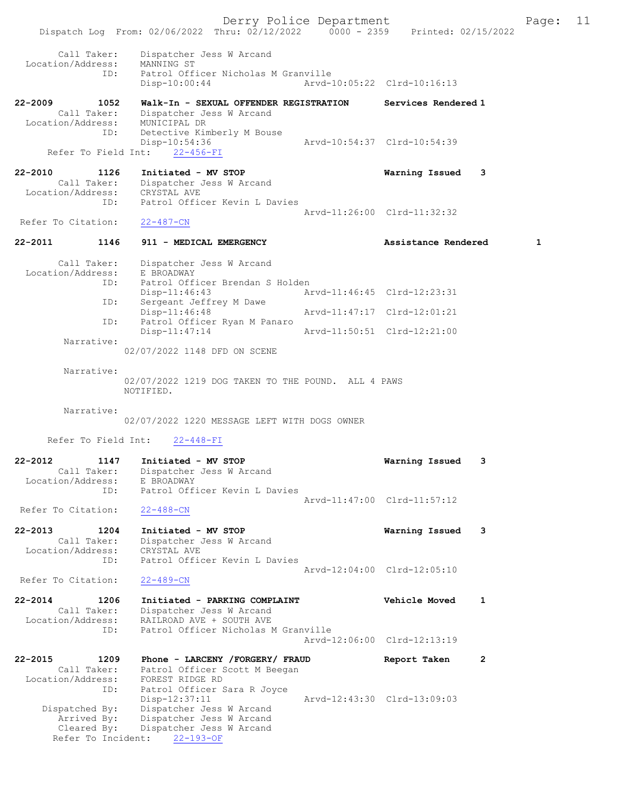Dispatch Log From: 02/06/2022 Thru: 02/12/2022 0000 - 2359 Printed: 02/15/2022 Call Taker: Dispatcher Jess W Arcand Location/Address: MANNING ST ID: Patrol Officer Nicholas M Granville Disp-10:00:44 Arvd-10:05:22 Clrd-10:16:13 22-2009 1052 Walk-In - SEXUAL OFFENDER REGISTRATION Services Rendered 1 Call Taker: Dispatcher Jess W Arcand Location/Address: MUNICIPAL DR ID: Detective Kimberly M Bouse Disp-10:54:36 Arvd-10:54:37 Clrd-10:54:39 Refer To Field Int: 22-456-FI 22-2010 1126 Initiated - MV STOP Warning Issued 3 Call Taker: Dispatcher Jess W Arcand Location/Address: CRYSTAL AVE ID: Patrol Officer Kevin L Davies Arvd-11:26:00 Clrd-11:32:32 Refer To Citation: 22-487-CN 22-2011 1146 911 - MEDICAL EMERGENCY Assistance Rendered 1 Call Taker: Dispatcher Jess W Arcand Location/Address: E BROADWAY ID: Patrol Officer Brendan S Holden Disp-11:46:43 Arvd-11:46:45 Clrd-12:23:31 ID: Sergeant Jeffrey M Dawe Disp-11:46:48 Arvd-11:47:17 Clrd-12:01:21 ID: Patrol Officer Ryan M Panaro Disp-11:47:14 Arvd-11:50:51 Clrd-12:21:00 Narrative: 02/07/2022 1148 DFD ON SCENE Narrative: 02/07/2022 1219 DOG TAKEN TO THE POUND. ALL 4 PAWS NOTIFIED. Narrative: 02/07/2022 1220 MESSAGE LEFT WITH DOGS OWNER Refer To Field Int: 22-448-FI 22-2012 1147 Initiated - MV STOP Warning Issued 3 Call Taker: Dispatcher Jess W Arcand Location/Address: E BROADWAY ID: Patrol Officer Kevin L Davies Arvd-11:47:00 Clrd-11:57:12 Refer To Citation: 22-488-CN 22-2013 1204 Initiated - MV STOP Warning Issued 3 Call Taker: Dispatcher Jess W Arcand Location/Address: CRYSTAL AVE ID: Patrol Officer Kevin L Davies Arvd-12:04:00 Clrd-12:05:10<br>22-489-CN Refer To Citation: 22-2014 1206 Initiated - PARKING COMPLAINT Vehicle Moved 1 Call Taker: Dispatcher Jess W Arcand Location/Address: RAILROAD AVE + SOUTH AVE ID: Patrol Officer Nicholas M Granville Arvd-12:06:00 Clrd-12:13:19 22-2015 1209 Phone - LARCENY /FORGERY/ FRAUD Report Taken 2 Call Taker: Patrol Officer Scott M Beegan Location/Address: FOREST RIDGE RD ID: Patrol Officer Sara R Joyce Disp-12:37:11 Arvd-12:43:30 Clrd-13:09:03 Dispatched By: Dispatcher Jess W Arcand Arrived By: Dispatcher Jess W Arcand Cleared By: Dispatcher Jess W Arcand Refer To Incident: 22-193-OF

Derry Police Department Fage: 11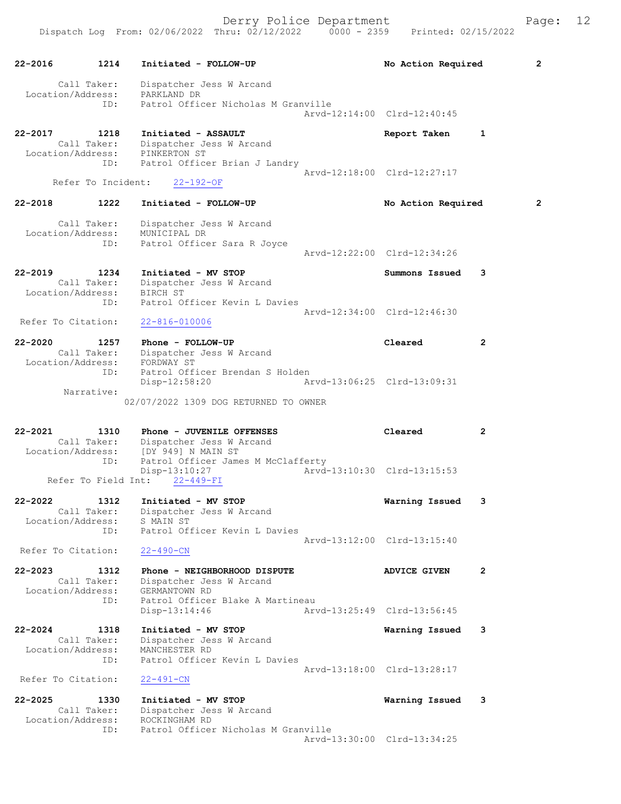| 22-2016                          | 1214                                     | Initiated - FOLLOW-UP                                                                       | No Action Required          | 2              |
|----------------------------------|------------------------------------------|---------------------------------------------------------------------------------------------|-----------------------------|----------------|
| Location/Address:                | Call Taker:                              | Dispatcher Jess W Arcand<br>PARKLAND DR                                                     |                             |                |
|                                  | ID:                                      | Patrol Officer Nicholas M Granville                                                         | Aryd-12:14:00 Clrd-12:40:45 |                |
| 22-2017                          | 1218<br>Call Taker:                      | Initiated - ASSAULT<br>Dispatcher Jess W Arcand                                             | Report Taken                | 1              |
|                                  | Location/Address:<br>ID:                 | PINKERTON ST<br>Patrol Officer Brian J Landry                                               | Arvd-12:18:00 Clrd-12:27:17 |                |
|                                  | Refer To Incident:                       | $22 - 192 - OF$                                                                             |                             |                |
| 22-2018                          | 1222                                     | Initiated - FOLLOW-UP                                                                       | No Action Required          | $\overline{2}$ |
|                                  | Call Taker:<br>Location/Address:<br>ID:  | Dispatcher Jess W Arcand<br>MUNICIPAL DR                                                    |                             |                |
|                                  |                                          | Patrol Officer Sara R Joyce                                                                 | Arvd-12:22:00 Clrd-12:34:26 |                |
| 22-2019<br>Location/Address:     | 1234<br>Call Taker:                      | Initiated - MV STOP<br>Dispatcher Jess W Arcand<br>BIRCH ST                                 | Summons Issued              | 3              |
|                                  | ID:                                      | Patrol Officer Kevin L Davies                                                               | Arvd-12:34:00 Clrd-12:46:30 |                |
| Refer To Citation:               |                                          | $22 - 816 - 010006$                                                                         |                             |                |
| $22 - 2020$                      | 1257<br>Call Taker:<br>Location/Address: | Phone - FOLLOW-UP<br>Dispatcher Jess W Arcand<br>FORDWAY ST                                 | Cleared                     | $\overline{2}$ |
|                                  | ID:<br>Narrative:                        | Patrol Officer Brendan S Holden<br>Disp-12:58:20                                            | Arvd-13:06:25 Clrd-13:09:31 |                |
|                                  |                                          | 02/07/2022 1309 DOG RETURNED TO OWNER                                                       |                             |                |
| 22-2021                          | 1310                                     | Phone - JUVENILE OFFENSES<br>Call Taker: Dispatcher Jess W Arcand                           | Cleared                     | $\overline{2}$ |
|                                  | ID:                                      | Location/Address: [DY 949] N MAIN ST<br>Patrol Officer James M McClafferty<br>Disp-13:10:27 | Arvd-13:10:30 Clrd-13:15:53 |                |
|                                  | Refer To Field Int:                      | $22 - 449 - FI$                                                                             |                             |                |
| $22 - 2022$<br>Location/Address: | 1312<br>Call Taker:                      | Initiated - MV STOP<br>Dispatcher Jess W Arcand<br>S MAIN ST                                | Warning Issued              | 3              |
| Refer To Citation:               | ID:                                      | Patrol Officer Kevin L Davies<br>$22 - 490 - CN$                                            | Arvd-13:12:00 Clrd-13:15:40 |                |
| $22 - 2023$                      | 1312<br>Call Taker:                      | Phone - NEIGHBORHOOD DISPUTE<br>Dispatcher Jess W Arcand                                    | <b>ADVICE GIVEN</b>         | $\mathbf{2}$   |
| Location/Address:                | ID:                                      | GERMANTOWN RD<br>Patrol Officer Blake A Martineau<br>Disp-13:14:46                          | Arvd-13:25:49 Clrd-13:56:45 |                |
| $22 - 2024$                      | 1318                                     | Initiated - MV STOP                                                                         | Warning Issued              | 3              |
| Location/Address:                | Call Taker:<br>ID:                       | Dispatcher Jess W Arcand<br>MANCHESTER RD<br>Patrol Officer Kevin L Davies                  |                             |                |
| Refer To Citation:               |                                          | $22 - 491 - CN$                                                                             | Arvd-13:18:00 Clrd-13:28:17 |                |
| $22 - 2025$                      | 1330<br>Call Taker:                      | Initiated - MV STOP<br>Dispatcher Jess W Arcand                                             | Warning Issued              | 3              |
| Location/Address:                | ID:                                      | ROCKINGHAM RD<br>Patrol Officer Nicholas M Granville                                        |                             |                |
|                                  |                                          |                                                                                             | Arvd-13:30:00 Clrd-13:34:25 |                |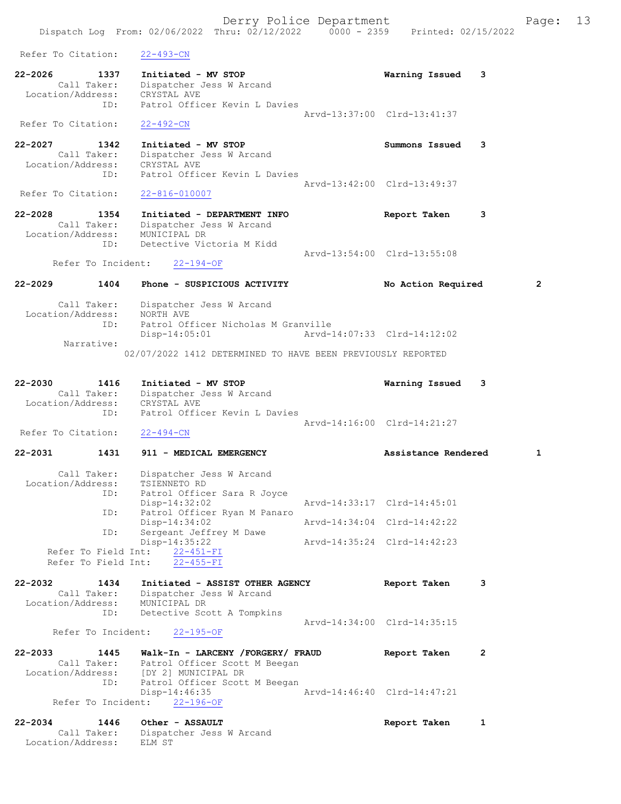Derry Police Department Fage: 13 Dispatch Log From: 02/06/2022 Thru: 02/12/2022 0000 - 2359 Printed: 02/15/2022 Refer To Citation: 22-493-CN 22-2026 1337 Initiated - MV STOP Warning Issued 3 Call Taker: Dispatcher Jess W Arcand Location/Address: CRYSTAL AVE ID: Patrol Officer Kevin L Davies Arvd-13:37:00 Clrd-13:41:37 Refer To Citation: 22-492-CN 22-2027 1342 Initiated - MV STOP Summons Issued 3 Call Taker: Dispatcher Jess W Arcand Location/Address: CRYSTAL AVE ID: Patrol Officer Kevin L Davies Arvd-13:42:00 Clrd-13:49:37<br>22-816-010007 Refer To Citation: 22-2028 1354 Initiated - DEPARTMENT INFO Report Taken 3 Call Taker: Dispatcher Jess W Arcand Location/Address: MUNICIPAL DR ID: Detective Victoria M Kidd Arvd-13:54:00 Clrd-13:55:08 Refer To Incident: 22-194-OF 22-2029 1404 Phone - SUSPICIOUS ACTIVITY No Action Required 2 Call Taker: Dispatcher Jess W Arcand Location/Address: NORTH AVE ID: Patrol Officer Nicholas M Granville Disp-14:05:01 Arvd-14:07:33 Clrd-14:12:02 Narrative: 02/07/2022 1412 DETERMINED TO HAVE BEEN PREVIOUSLY REPORTED 22-2030 1416 Initiated - MV STOP Warning Issued 3 Call Taker: Dispatcher Jess W Arcand Location/Address: CRYSTAL AVE ID: Patrol Officer Kevin L Davies Arvd-14:16:00 Clrd-14:21:27 Refer To Citation: 22-494-CN 22-2031 1431 911 - MEDICAL EMERGENCY 18 Assistance Rendered 1 Call Taker: Dispatcher Jess W Arcand Location/Address: TSIENNETO RD ID: Patrol Officer Sara R Joyce<br>Disp-14:32:02 Disp-14:32:02 Arvd-14:33:17 Clrd-14:45:01 ID: Patrol Officer Ryan M Panaro<br>Disp-14:34:02 Disp-14:34:02 Arvd-14:34:04 Clrd-14:42:22 ID: Sergeant Jeffrey M Dawe Disp-14:35:22 Arvd-14:35:24 Clrd-14:42:23 Refer To Field Int: 22-451-FI Refer To Field Int: 22-455-FI 22-2032 1434 Initiated - ASSIST OTHER AGENCY Report Taken 3 Call Taker: Dispatcher Jess W Arcand Location/Address: MUNICIPAL DR ID: Detective Scott A Tompkins Arvd-14:34:00 Clrd-14:35:15 Refer To Incident: 22-195-OF 22-2033 1445 Walk-In - LARCENY /FORGERY/ FRAUD Report Taken 2 Call Taker: Patrol Officer Scott M Beegan Location/Address: [DY 2] MUNICIPAL DR ID: Patrol Officer Scott M Beegan<br>Disp-14:46:35 Disp-14:46:35 Arvd-14:46:40 Clrd-14:47:21 Refer To Incident: 22-196-OF 22-2034 1446 Other - ASSAULT **Report Taken** 1 Call Taker: Dispatcher Jess W Arcand

Location/Address: ELM ST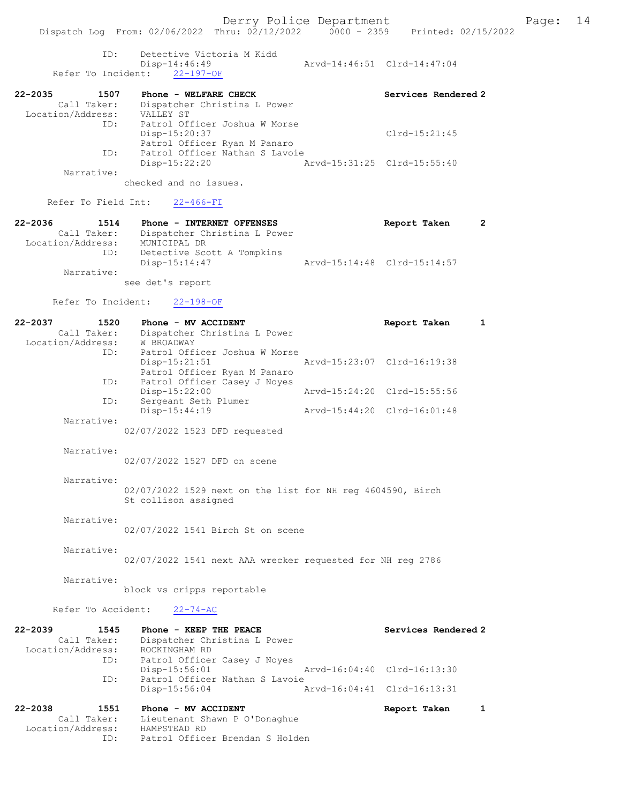ID: Detective Victoria M Kidd Disp-14:46:49 Arvd-14:46:51 Clrd-14:47:04 Refer To Incident: 22-197-OF

| $22 - 2035$       | 1507        | Phone - WELFARE CHECK          |                             | Services Rendered 2 |
|-------------------|-------------|--------------------------------|-----------------------------|---------------------|
|                   | Call Taker: | Dispatcher Christina L Power   |                             |                     |
| Location/Address: |             | VALLEY ST                      |                             |                     |
|                   | ID:         | Patrol Officer Joshua W Morse  |                             |                     |
|                   |             | Disp-15:20:37                  |                             | Clrd-15:21:45       |
|                   |             | Patrol Officer Ryan M Panaro   |                             |                     |
|                   | ID:         | Patrol Officer Nathan S Lavoie |                             |                     |
|                   |             | Disp-15:22:20                  | Arvd-15:31:25 Clrd-15:55:40 |                     |
|                   | Narrative:  |                                |                             |                     |

checked and no issues.

Refer To Field Int: 22-466-FI

| $22 - 2036$       | 1514 | Phone - INTERNET OFFENSES    | Report Taken                |  |
|-------------------|------|------------------------------|-----------------------------|--|
| Call Taker:       |      | Dispatcher Christina L Power |                             |  |
| Location/Address: |      | MUNICIPAL DR                 |                             |  |
|                   | ID:  | Detective Scott A Tompkins   |                             |  |
|                   |      | Disp-15:14:47                | Arvd-15:14:48 Clrd-15:14:57 |  |
| Narrative:        |      |                              |                             |  |
|                   |      | see det's report             |                             |  |

#### Refer To Incident: 22-198-OF

| $22 - 2037$<br>1520 | Phone - MV ACCIDENT           | Report Taken                |  |
|---------------------|-------------------------------|-----------------------------|--|
| Call Taker:         | Dispatcher Christina L Power  |                             |  |
| Location/Address:   | W BROADWAY                    |                             |  |
| ID:                 | Patrol Officer Joshua W Morse |                             |  |
|                     | $Disp-15:21:51$               | Arvd-15:23:07 Clrd-16:19:38 |  |
|                     | Patrol Officer Ryan M Panaro  |                             |  |
| ID:                 | Patrol Officer Casey J Noyes  |                             |  |
|                     | $Disp-15:22:00$               | Arvd-15:24:20 Clrd-15:55:56 |  |
| ID:                 | Sergeant Seth Plumer          |                             |  |
|                     | $Disp-15:44:19$               | Arvd-15:44:20 Clrd-16:01:48 |  |
| Narrative:          |                               |                             |  |
|                     | 02/07/2022 1523 DFD requested |                             |  |

Narrative:

02/07/2022 1527 DFD on scene

#### Narrative:

02/07/2022 1529 next on the list for NH reg 4604590, Birch St collison assigned

Narrative:

02/07/2022 1541 Birch St on scene

### Narrative:

02/07/2022 1541 next AAA wrecker requested for NH reg 2786

#### Narrative:

block vs cripps reportable

#### Refer To Accident: 22-74-AC

| $22 - 2039$       | 1545        | Phone - KEEP THE PEACE          | Services Rendered 2         |  |
|-------------------|-------------|---------------------------------|-----------------------------|--|
|                   | Call Taker: | Dispatcher Christina L Power    |                             |  |
| Location/Address: |             | ROCKINGHAM RD                   |                             |  |
|                   | ID:         | Patrol Officer Casey J Noyes    |                             |  |
|                   |             | Disp-15:56:01                   | Arvd-16:04:40 Clrd-16:13:30 |  |
|                   | ID:         | Patrol Officer Nathan S Lavoie  |                             |  |
|                   |             | $Disp-15:56:04$                 | Arvd-16:04:41 Clrd-16:13:31 |  |
| $22 - 2038$       | 1551        | Phone - MV ACCIDENT             | Report Taken                |  |
|                   | Call Taker: | Lieutenant Shawn P O'Donaghue   |                             |  |
| Location/Address: |             | HAMPSTEAD RD                    |                             |  |
|                   | ID:         | Patrol Officer Brendan S Holden |                             |  |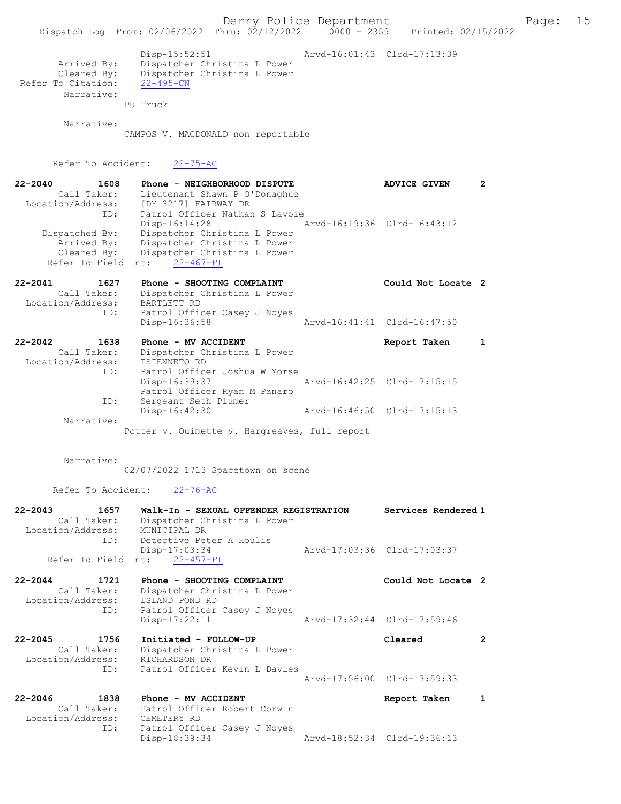Derry Police Department Fage: 15 Dispatch Log From: 02/06/2022 Thru: 02/12/2022 0000 - 2359 Printed: 02/15/2022 Disp-15:52:51 Arvd-16:01:43 Clrd-17:13:39 Arrived By: Dispatcher Christina L Power Cleared By: Dispatcher Christina L Power Refer To Citation: 22-495-CN Narrative: PU Truck Narrative: CAMPOS V. MACDONALD non reportable Refer To Accident: 22-75-AC 22-2040 1608 Phone - NEIGHBORHOOD DISPUTE ADVICE GIVEN 2 Call Taker: Lieutenant Shawn P O'Donaghue Location/Address: [DY 3217] FAIRWAY DR ID: Patrol Officer Nathan S Lavoie Disp-16:14:28 Arvd-16:19:36 Clrd-16:43:12 Dispatched By: Dispatcher Christina L Power Arrived By: Dispatcher Christina L Power Cleared By: Dispatcher Christina L Power Refer To Field Int: 22-467-FI 22-2041 1627 Phone - SHOOTING COMPLAINT COULT Could Not Locate 2 Call Taker: Dispatcher Christina L Power Location/Address: BARTLETT RD ID: Patrol Officer Casey J Noyes Disp-16:36:58 Arvd-16:41:41 Clrd-16:47:50 22-2042 1638 Phone - MV ACCIDENT Report Taken 1 Call Taker: Dispatcher Christina L Power Location/Address: TSIENNETO RD ID: Patrol Officer Joshua W Morse Disp-16:39:37 Arvd-16:42:25 Clrd-17:15:15 Patrol Officer Ryan M Panaro ID: Sergeant Seth Plumer Disp-16:42:30 Arvd-16:46:50 Clrd-17:15:13 Narrative: Potter v. Ouimette v. Hargreaves, full report Narrative: 02/07/2022 1713 Spacetown on scene Refer To Accident: 22-76-AC 22-2043 1657 Walk-In - SEXUAL OFFENDER REGISTRATION Services Rendered 1 Call Taker: Dispatcher Christina L Power Location/Address: MUNICIPAL DR ID: Detective Peter A Houlis Disp-17:03:34 Arvd-17:03:36 Clrd-17:03:37 Refer To Field Int: 22-457-FI 22-2044 1721 Phone - SHOOTING COMPLAINT Could Not Locate 2 Call Taker: Dispatcher Christina L Power Location/Address: ISLAND POND RD ID: Patrol Officer Casey J Noyes Disp-17:22:11 Arvd-17:32:44 Clrd-17:59:46 22-2045 1756 Initiated - FOLLOW-UP Cleared 2 Call Taker: Dispatcher Christina L Power Location/Address: RICHARDSON DR ID: Patrol Officer Kevin L Davies Arvd-17:56:00 Clrd-17:59:33 22-2046 1838 Phone - MV ACCIDENT Report Taken 1 Call Taker: Patrol Officer Robert Corwin<br>Scation/Address: CEMETERY RD Call Lange<br>Location/Address:<br>ID: Patrol Officer Casey J Noyes<br>Disp-18:39:34 Disp-18:39:34 Arvd-18:52:34 Clrd-19:36:13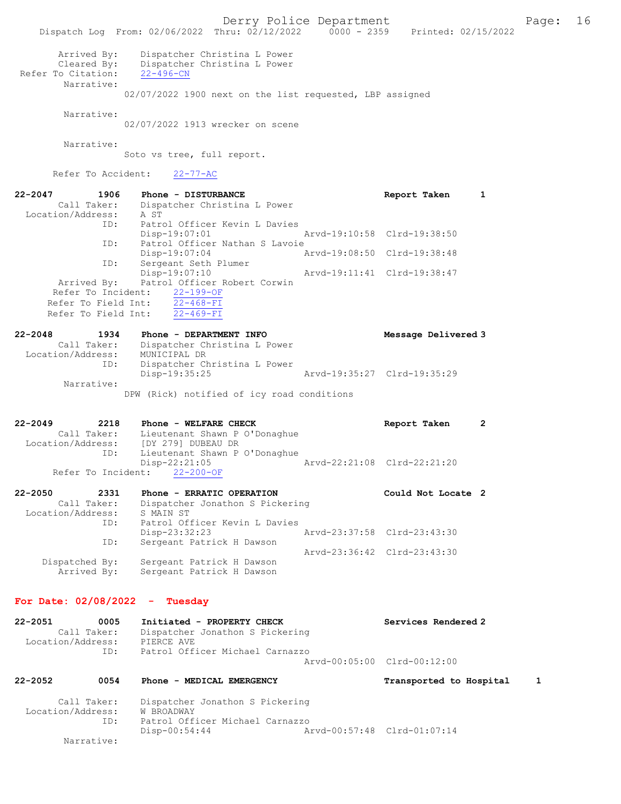Derry Police Department The Page: 16 Dispatch Log From: 02/06/2022 Thru: 02/12/2022 0000 - 2359 Printed: 02/15/2022 Arrived By: Dispatcher Christina L Power Cleared By: Dispatcher Christina L Power Refer To Citation: 22-496-CN Narrative: 02/07/2022 1900 next on the list requested, LBP assigned Narrative: 02/07/2022 1913 wrecker on scene Narrative: Soto vs tree, full report. Refer To Accident: 22-77-AC 22-2047 1906 Phone - DISTURBANCE Report Taken 1 Call Taker: Dispatcher Christina L Power Location/Address: A ST ID: Patrol Officer Kevin L Davies Disp-19:07:01 Arvd-19:10:58 Clrd-19:38:50 ID: Patrol Officer Nathan S Lavoie Disp-19:07:04 Arvd-19:08:50 Clrd-19:38:48 ID: Sergeant Seth Plumer Disp-19:07:10 Arvd-19:11:41 Clrd-19:38:47 Arrived By: Patrol Officer Robert Corwin Refer To Incident: 22-199-OF Refer To Field Int: 22-468-FI Refer To Field Int: 22-469-FI 22-2048 1934 Phone - DEPARTMENT INFO Message Delivered 3 Call Taker: Dispatcher Christina L Power Location/Address: MUNICIPAL DR ID: Dispatcher Christina L Power ID: Dispatcher Christina L Power<br>Disp-19:35:25 Arvd-19:35:27 Clrd-19:35:29 Narrative: DPW (Rick) notified of icy road conditions 22-2049 2218 Phone - WELFARE CHECK Report Taken 2 Call Taker: Lieutenant Shawn P O'Donaghue Location/Address: [DY 279] DUBEAU DR ID: Lieutenant Shawn P O'Donaghue Disp-22:21:05 Arvd-22:21:08 Clrd-22:21:20 Refer To Incident: 22-200-OF 22-2050 2331 Phone - ERRATIC OPERATION Could Not Locate 2 Call Taker: Dispatcher Jonathon S Pickering Location/Address: S MAIN ST ID: Patrol Officer Kevin L Davies<br>Disp-23:32:23 Disp-23:32:23 Arvd-23:37:58 Clrd-23:43:30 ID: Sergeant Patrick H Dawson Arvd-23:36:42 Clrd-23:43:30 Dispatched By: Sergeant Patrick H Dawson Arrived By: Sergeant Patrick H Dawson For Date: 02/08/2022 - Tuesday 22-2051 0005 Initiated - PROPERTY CHECK Services Rendered 2<br>Call Taker: Dispatcher Jonathon S Pickering Call Taker: Dispatcher Jonathon S Pickering Location/Address: PIERCE AVE ID: Patrol Officer Michael Carnazzo Arvd-00:05:00 Clrd-00:12:00 22-2052 0054 Phone - MEDICAL EMERGENCY Transported to Hospital 1 Call Taker: Dispatcher Jonathon S Pickering Location/Address: W BROADWAY<br>ID: Patrol Off Patrol Officer Michael Carnazzo Disp-00:54:44 Arvd-00:57:48 Clrd-01:07:14 Narrative: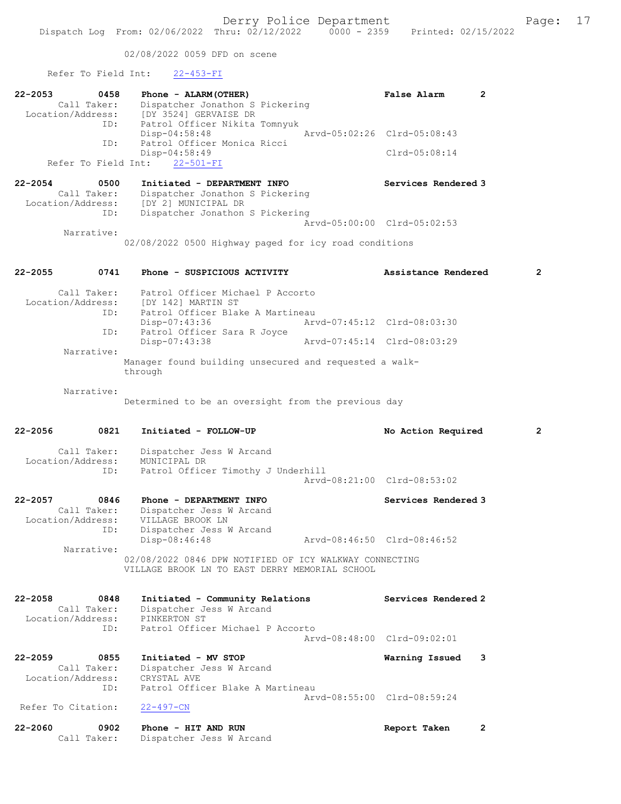02/08/2022 0059 DFD on scene

### Refer To Field Int: 22-453-FI

| 22-2053<br>0458<br>Call Taker:                                 | Phone - ALARM (OTHER)<br>Dispatcher Jonathon S Pickering<br>Location/Address: [DY 3524] GERVAISE DR<br>ID: Patrol Officer Nikita                  | False Alarm<br>$\mathbf{2}$ |                |
|----------------------------------------------------------------|---------------------------------------------------------------------------------------------------------------------------------------------------|-----------------------------|----------------|
| ID:                                                            | Patrol Officer Nikita Tomnyuk<br>$Disp-04:58:48$<br>Patrol Officer Monica Ricci                                                                   | Arvd-05:02:26 Clrd-05:08:43 |                |
| Refer To Field Int:                                            | Disp-04:58:49<br>$22 - 501 - FI$                                                                                                                  | $Clrd-05:08:14$             |                |
| 22-2054<br>0500<br>Call Taker:                                 | Initiated - DEPARTMENT INFO<br>Dispatcher Jonathon S Pickering<br>Location/Address: [DY 2] MUNICIPAL DR<br>Dispatcher Jonathon S Pickering<br>ID: | Services Rendered 3         |                |
| Narrative:                                                     |                                                                                                                                                   | Arvd-05:00:00 Clrd-05:02:53 |                |
|                                                                | 02/08/2022 0500 Highway paged for icy road conditions                                                                                             |                             |                |
| 22-2055<br>0741                                                | Phone - SUSPICIOUS ACTIVITY                                                                                                                       | Assistance Rendered         | $\overline{2}$ |
| Call Taker:                                                    | Patrol Officer Michael P Accorto<br>Location/Address: [DY 142] MARTIN ST<br>ID: Patrol Officer Blal<br>Patrol Officer Blake A Martineau           |                             |                |
|                                                                | Disp-07:43:36<br>Patrol Officer Sara R Joyce<br>ID:                                                                                               | Arvd-07:45:12 Clrd-08:03:30 |                |
| Narrative:                                                     | Disp-07:43:38<br>Arvd-07:45:14 Clrd-08:03:29                                                                                                      |                             |                |
|                                                                | Manager found building unsecured and requested a walk-<br>through                                                                                 |                             |                |
| Narrative:                                                     | Determined to be an oversight from the previous day                                                                                               |                             |                |
| 22-2056<br>0821                                                | Initiated - FOLLOW-UP                                                                                                                             | No Action Required          | 2              |
| Call Taker:<br>Location/Address:                               | Dispatcher Jess W Arcand<br>MUNICIPAL DR                                                                                                          |                             |                |
| ID:                                                            | Patrol Officer Timothy J Underhill                                                                                                                | Arvd-08:21:00 Clrd-08:53:02 |                |
| $22 - 2057$<br>0846<br>Call Taker:<br>Location/Address:<br>ID: | Phone - DEPARTMENT INFO<br>Dispatcher Jess W Arcand<br>VILLAGE BROOK LN<br>Dispatcher Jess W Arcand                                               | Services Rendered 3         |                |
| Narrative:                                                     | Disp-08:46:48                                                                                                                                     | Arvd-08:46:50 Clrd-08:46:52 |                |
|                                                                | 02/08/2022 0846 DPW NOTIFIED OF ICY WALKWAY CONNECTING<br>VILLAGE BROOK LN TO EAST DERRY MEMORIAL SCHOOL                                          |                             |                |
| 22-2058<br>0848<br>Call Taker:<br>Location/Address:            | Initiated - Community Relations<br>Dispatcher Jess W Arcand<br>PINKERTON ST                                                                       | Services Rendered 2         |                |
| ID:                                                            | Patrol Officer Michael P Accorto                                                                                                                  | Arvd-08:48:00 Clrd-09:02:01 |                |
| 22-2059<br>0855<br>Call Taker:<br>Location/Address.            | Initiated - MV STOP<br>Dispatcher Jess W Arcand<br>DISPACCNET (<br>CRYSTAL AVE                                                                    | Warning Issued<br>3         |                |

 Location/Address: CRYSTAL AVE ID: Patrol Officer Blake A Martineau Arvd-08:55:00 Clrd-08:59:24 Refer To Citation: 22-497-CN

| 22-2060 | 0902 Phone - HIT AND RUN             | Report Taken |  |
|---------|--------------------------------------|--------------|--|
|         | Call Taker: Dispatcher Jess W Arcand |              |  |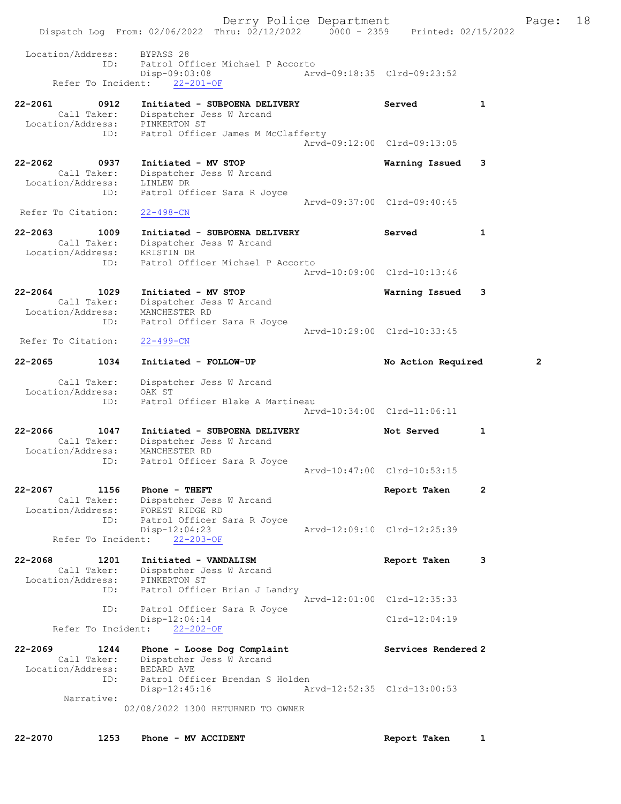Derry Police Department Fage: 18 Dispatch Log From: 02/06/2022 Thru: 02/12/2022 0000 - 2359 Printed: 02/15/2022 Location/Address: BYPASS 28 ID: Patrol Officer Michael P Accorto Disp-09:03:08 Arvd-09:18:35 Clrd-09:23:52 Refer To Incident: 22-201-OF 22-2061 0912 Initiated - SUBPOENA DELIVERY Served 1 Call Taker: Dispatcher Jess W Arcand Location/Address: PINKERTON ST ID: Patrol Officer James M McClafferty Arvd-09:12:00 Clrd-09:13:05 22-2062 0937 Initiated - MV STOP Warning Issued 3 Call Taker: Dispatcher Jess W Arcand Location/Address: LINLEW DR ID: Patrol Officer Sara R Joyce Arvd-09:37:00 Clrd-09:40:45 Refer To Citation: 22-498-CN 22-2063 1009 Initiated - SUBPOENA DELIVERY Served 1 Call Taker: Dispatcher Jess W Arcand Location/Address: KRISTIN DR ID: Patrol Officer Michael P Accorto Arvd-10:09:00 Clrd-10:13:46 22-2064 1029 Initiated - MV STOP Warning Issued 3 Call Taker: Dispatcher Jess W Arcand Location/Address: MANCHESTER RD ID: Patrol Officer Sara R Joyce Arvd-10:29:00 Clrd-10:33:45<br>22-499-CN Refer To Citation: 22-2065 1034 Initiated - FOLLOW-UP No Action Required 2 Call Taker: Dispatcher Jess W Arcand Location/Address: OAK ST ID: Patrol Officer Blake A Martineau Arvd-10:34:00 Clrd-11:06:11 22-2066 1047 Initiated - SUBPOENA DELIVERY Not Served 1 Call Taker: Dispatcher Jess W Arcand Location/Address: MANCHESTER RD ID: Patrol Officer Sara R Joyce Arvd-10:47:00 Clrd-10:53:15 22-2067 1156 Phone - THEFT 120 2 Report Taken 2 Call Taker: Dispatcher Jess W Arcand Location/Address: FOREST RIDGE RD ID: Patrol Officer Sara R Joyce Disp-12:04:23 Arvd-12:09:10 Clrd-12:25:39 Refer To Incident: 22-203-OF 22-2068 1201 Initiated - VANDALISM Report Taken 3 Call Taker: Dispatcher Jess W Arcand Location/Address: PINKERTON ST ID: Patrol Officer Brian J Landry Arvd-12:01:00 Clrd-12:35:33 ID: Patrol Officer Sara R Joyce Disp-12:04:14 Clrd-12:04:19 Refer To Incident: 22-202-OF 22-2069 1244 Phone - Loose Dog Complaint Nervices Rendered 2 Call Taker: Dispatcher Jess W Arcand Location/Address: BEDARD AVE ID: Patrol Officer Brendan S Holden Disp-12:45:16 Arvd-12:52:35 Clrd-13:00:53 Narrative: 02/08/2022 1300 RETURNED TO OWNER

22-2070 1253 Phone - MV ACCIDENT Report Taken 1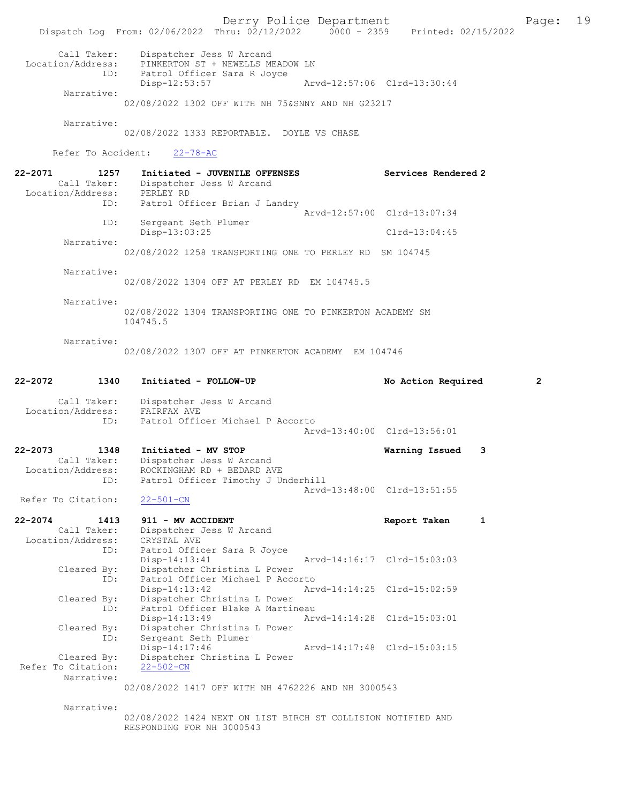Derry Police Department The Page: 19 Dispatch Log From: 02/06/2022 Thru: 02/12/2022 0000 - 2359 Printed: 02/15/2022 Call Taker: Dispatcher Jess W Arcand<br>
on/Address: PINKERTON ST + NEWEITS ME Location/Address: PINKERTON ST + NEWELLS MEADOW LN<br>ID: Patrol Officer Sara R Jovce Finnanton of Factal<br>Patrol Officer Sara R Joyce<br>Disp-12:53:57 Disp-12:53:57 Arvd-12:57:06 Clrd-13:30:44 Narrative: 02/08/2022 1302 OFF WITH NH 75&SNNY AND NH G23217 Narrative: 02/08/2022 1333 REPORTABLE. DOYLE VS CHASE Refer To Accident: 22-78-AC 22-2071 1257 Initiated - JUVENILE OFFENSES Services Rendered 2 Call Taker: Dispatcher Jess W Arcand Location/Address: PERLEY RD ID: Patrol Officer Brian J Landry Arvd-12:57:00 Clrd-13:07:34<br>TD: Sergeant Seth Plumer Sergeant Seth Plumer Disp-13:03:25 Clrd-13:04:45 Narrative: 02/08/2022 1258 TRANSPORTING ONE TO PERLEY RD SM 104745 Narrative: 02/08/2022 1304 OFF AT PERLEY RD EM 104745.5 Narrative: 02/08/2022 1304 TRANSPORTING ONE TO PINKERTON ACADEMY SM 104745.5 Narrative: 02/08/2022 1307 OFF AT PINKERTON ACADEMY EM 104746 22-2072 1340 Initiated - FOLLOW-UP No Action Required 2 Call Taker: Dispatcher Jess W Arcand Location/Address: FAIRFAX AVE ID: Patrol Officer Michael P Accorto Arvd-13:40:00 Clrd-13:56:01 22-2073 1348 Initiated - MV STOP Warning Issued 3 Call Taker: Dispatcher Jess W Arcand Location/Address: ROCKINGHAM RD + BEDARD AVE ess: Actricians of the Millian of the Patrol Officer Timothy J Underhill Arvd-13:48:00 Clrd-13:51:55<br>22-501-CN Refer To Citation: 22-2074 1413 911 - MV ACCIDENT Noted that the report Taken 1 Call Taker: Dispatcher Jess W Arcand Location/Address: CRYSTAL AVE ID: Patrol Officer Sara R Joyce<br>Disp-14:13:41 Disp-14:13:41 Arvd-14:16:17 Clrd-15:03:03<br>Cleared By: Dispatcher Christina L Power By: Dispatcher Christina L Power<br>ID: Patrol Officer Michael P Acco Patrol Officer Michael P Accorto Disp-14:13:42 Arvd-14:14:25 Clrd-15:02:59<br>Cleared By: Dispatcher Christina L Power Dispatcher Christina L Power ID: Patrol Officer Blake A Martineau<br>Disp-14:13:49 Arw Disp-14:13:49 Arvd-14:14:28 Clrd-15:03:01<br>Cleared By: Dispatcher Christina L Power Expression By: Dispatcher Christina L Power<br>
TD: Sergeant Seth Plumer Dispatoner onres.<br>Sergeant Seth Plumer<br>Disp-14:17:46 Disp-14:17:46 Arvd-14:17:48 Clrd-15:03:15<br>Cleared By: Dispatcher Christina L Power Dispatcher Christina L Power<br>22-502-CN Refer To Citation: Narrative: 02/08/2022 1417 OFF WITH NH 4762226 AND NH 3000543 Narrative:

02/08/2022 1424 NEXT ON LIST BIRCH ST COLLISION NOTIFIED AND RESPONDING FOR NH 3000543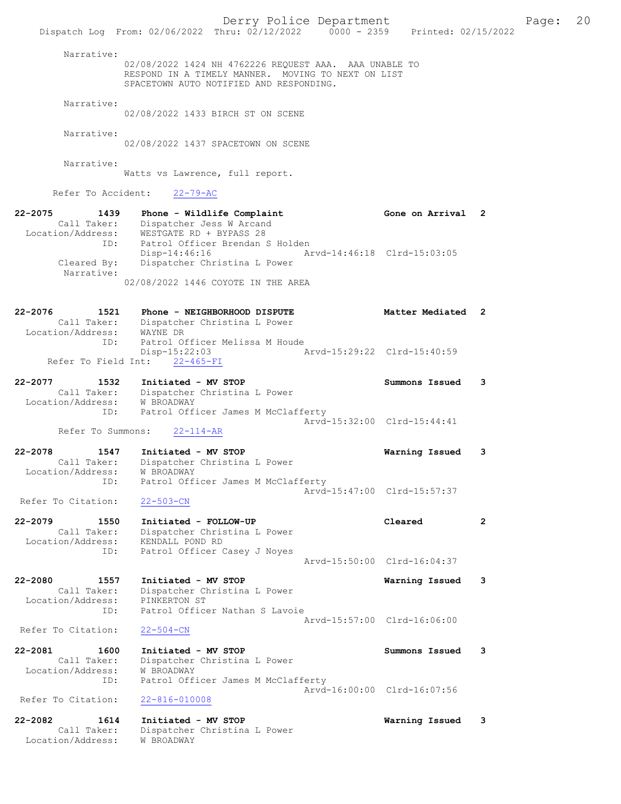|                                                     | Dispatch Log From: 02/06/2022 Thru: $02/12/2022$ $0000 - 2359$ Printed: 02/15/2022                                                                     | Derry Police Department |                             |   | Page: 20 |  |
|-----------------------------------------------------|--------------------------------------------------------------------------------------------------------------------------------------------------------|-------------------------|-----------------------------|---|----------|--|
| Narrative:                                          | 02/08/2022 1424 NH 4762226 REQUEST AAA. AAA UNABLE TO<br>RESPOND IN A TIMELY MANNER. MOVING TO NEXT ON LIST<br>SPACETOWN AUTO NOTIFIED AND RESPONDING. |                         |                             |   |          |  |
| Narrative:                                          | 02/08/2022 1433 BIRCH ST ON SCENE                                                                                                                      |                         |                             |   |          |  |
| Narrative:                                          | 02/08/2022 1437 SPACETOWN ON SCENE                                                                                                                     |                         |                             |   |          |  |
| Narrative:                                          | Watts vs Lawrence, full report.                                                                                                                        |                         |                             |   |          |  |
| Refer To Accident:                                  | $22 - 79 - AC$                                                                                                                                         |                         |                             |   |          |  |
| 22-2075                                             | 1439 Phone - Wildlife Complaint<br>Call Taker: Dispatcher Jess W Arcand<br>Location/Address: WESTGATE RD + BYPASS 28                                   |                         | Gone on Arrival 2           |   |          |  |
| ID:<br>Cleared By:                                  | Patrol Officer Brendan S Holden<br>$Disp-14:46:16$<br>Dispatcher Christina L Power                                                                     |                         | Arvd-14:46:18 Clrd-15:03:05 |   |          |  |
| Narrative:                                          | 02/08/2022 1446 COYOTE IN THE AREA                                                                                                                     |                         |                             |   |          |  |
| 22-2076                                             | 1521 Phone - NEIGHBORHOOD DISPUTE<br>Call Taker: Dispatcher Christina L Power                                                                          |                         | Matter Mediated 2           |   |          |  |
| Location/Address: WAYNE DR<br>ID:                   | Patrol Officer Melissa M Houde<br>Disp-15:22:03                                                                                                        |                         | Arvd-15:29:22 Clrd-15:40:59 |   |          |  |
|                                                     | Refer To Field Int: 22-465-FI                                                                                                                          |                         |                             |   |          |  |
| 22-2077<br>1532<br>Location/Address: W BROADWAY     | Initiated - MV STOP<br>Call Taker: Dispatcher Christina L Power                                                                                        |                         | Summons Issued 3            |   |          |  |
| Refer To Summons:                                   | ID: Patrol Officer James M McClafferty<br>$22 - 114 - AR$                                                                                              |                         | Arvd-15:32:00 Clrd-15:44:41 |   |          |  |
| 22-2078<br>1547                                     | Initiated - MV STOP                                                                                                                                    |                         | Warning Issued              | 3 |          |  |
| Call Taker:<br>Location/Address:<br>ID:             | Dispatcher Christina L Power<br>W BROADWAY<br>Patrol Officer James M McClafferty                                                                       |                         |                             |   |          |  |
| Refer To Citation:                                  | $22 - 503 - CN$                                                                                                                                        |                         | Arvd-15:47:00 Clrd-15:57:37 |   |          |  |
| 22-2079<br>1550<br>Call Taker:<br>Location/Address: | Initiated - FOLLOW-UP<br>Dispatcher Christina L Power<br>KENDALL POND RD                                                                               |                         | Cleared                     | 2 |          |  |
| ID:                                                 | Patrol Officer Casey J Noyes                                                                                                                           |                         | Arvd-15:50:00 Clrd-16:04:37 |   |          |  |
| 22-2080<br>1557                                     | Initiated - MV STOP                                                                                                                                    |                         | Warning Issued              | 3 |          |  |
| Call Taker:<br>Location/Address:<br>ID:             | Dispatcher Christina L Power<br>PINKERTON ST<br>Patrol Officer Nathan S Lavoie                                                                         |                         |                             |   |          |  |
| Refer To Citation:                                  | $22 - 504 - CN$                                                                                                                                        |                         | Arvd-15:57:00 Clrd-16:06:00 |   |          |  |
| 22-2081<br>1600<br>Call Taker:<br>Location/Address: | Initiated - MV STOP<br>Dispatcher Christina L Power<br><b>W BROADWAY</b>                                                                               |                         | Summons Issued              | 3 |          |  |
| ID:<br>Refer To Citation:                           | Patrol Officer James M McClafferty<br>$22 - 816 - 010008$                                                                                              |                         | Arvd-16:00:00 Clrd-16:07:56 |   |          |  |
|                                                     |                                                                                                                                                        |                         |                             |   |          |  |
| 22-2082<br>1614<br>Call Taker:<br>Location/Address: | Initiated - MV STOP<br>Dispatcher Christina L Power<br>W BROADWAY                                                                                      |                         | Warning Issued              | 3 |          |  |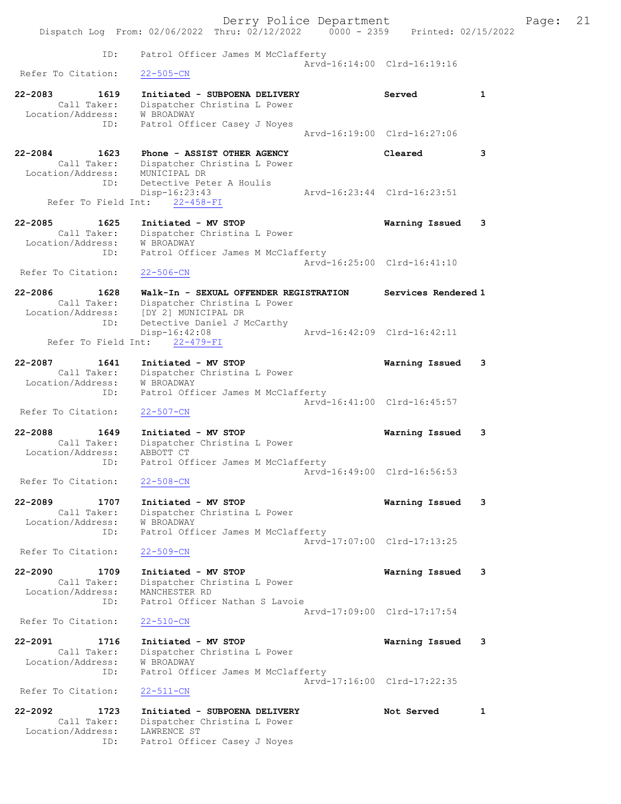|                                     | Derry Police Department                                                        |                             |   | Page: | 21 |
|-------------------------------------|--------------------------------------------------------------------------------|-----------------------------|---|-------|----|
|                                     | Dispatch Log From: 02/06/2022 Thru: 02/12/2022 0000 - 2359 Printed: 02/15/2022 |                             |   |       |    |
|                                     |                                                                                |                             |   |       |    |
| ID:                                 | Patrol Officer James M McClafferty                                             | Arvd-16:14:00 Clrd-16:19:16 |   |       |    |
| Refer To Citation:                  | $22 - 505 - CN$                                                                |                             |   |       |    |
| $22 - 2083$<br>1619                 | Initiated - SUBPOENA DELIVERY                                                  | Served                      | 1 |       |    |
| Call Taker:                         | Dispatcher Christina L Power                                                   |                             |   |       |    |
| Location/Address: W BROADWAY<br>ID: |                                                                                |                             |   |       |    |
|                                     | Patrol Officer Casey J Noyes                                                   | Arvd-16:19:00 Clrd-16:27:06 |   |       |    |
|                                     |                                                                                |                             |   |       |    |
| $22 - 2084$<br>1623                 | Phone - ASSIST OTHER AGENCY                                                    | Cleared                     | 3 |       |    |
| Call Taker:<br>Location/Address:    | Dispatcher Christina L Power<br>MUNICIPAL DR                                   |                             |   |       |    |
| ID:                                 | Detective Peter A Houlis                                                       |                             |   |       |    |
|                                     | $Disp-16:23:43$                                                                | Arvd-16:23:44 Clrd-16:23:51 |   |       |    |
|                                     | Refer To Field Int: 22-458-FI                                                  |                             |   |       |    |
| $22 - 2085$<br>1625                 | Initiated - MV STOP                                                            | Warning Issued 3            |   |       |    |
| Call Taker:<br>Location/Address:    | Dispatcher Christina L Power<br>W BROADWAY                                     |                             |   |       |    |
| ID:                                 | Patrol Officer James M McClafferty                                             |                             |   |       |    |
|                                     |                                                                                | Arvd-16:25:00 Clrd-16:41:10 |   |       |    |
| Refer To Citation:                  | $22 - 506 - CN$                                                                |                             |   |       |    |
| $22 - 2086$<br>1628                 | Walk-In - SEXUAL OFFENDER REGISTRATION                                         | Services Rendered 1         |   |       |    |
| Call Taker:                         | Dispatcher Christina L Power                                                   |                             |   |       |    |
|                                     | Location/Address: [DY 2] MUNICIPAL DR                                          |                             |   |       |    |
| ID:                                 | Detective Daniel J McCarthy                                                    |                             |   |       |    |
| Refer To Field Int:                 | Disp-16:42:08<br>$22 - 479 - FI$                                               | Arvd-16:42:09 Clrd-16:42:11 |   |       |    |
|                                     |                                                                                |                             |   |       |    |
| 22-2087<br>1641                     | Initiated - MV STOP                                                            | Warning Issued 3            |   |       |    |
| Call Taker:<br>Location/Address:    | Dispatcher Christina L Power<br><b>W BROADWAY</b>                              |                             |   |       |    |
| ID:                                 | Patrol Officer James M McClafferty                                             |                             |   |       |    |
|                                     |                                                                                | Arvd-16:41:00 Clrd-16:45:57 |   |       |    |
| Refer To Citation:                  | $22 - 507 - CN$                                                                |                             |   |       |    |
| 22-2088<br>1649                     | Initiated - MV STOP                                                            | Warning Issued              | 3 |       |    |
|                                     | Call Taker: Dispatcher Christina L Power                                       |                             |   |       |    |
| Location/Address: ABBOTT CT<br>ID:  | Patrol Officer James M McClafferty                                             |                             |   |       |    |
|                                     |                                                                                | Arvd-16:49:00 Clrd-16:56:53 |   |       |    |
| Refer To Citation:                  | $22 - 508 - CN$                                                                |                             |   |       |    |
| $22 - 2089$<br>1707                 | Initiated - MV STOP                                                            | Warning Issued              | 3 |       |    |
| Call Taker:                         | Dispatcher Christina L Power                                                   |                             |   |       |    |
| Location/Address:                   | W BROADWAY                                                                     |                             |   |       |    |
| ID:                                 | Patrol Officer James M McClafferty                                             | Arvd-17:07:00 Clrd-17:13:25 |   |       |    |
| Refer To Citation:                  | $22 - 509 - CN$                                                                |                             |   |       |    |
|                                     |                                                                                |                             |   |       |    |
| $22 - 2090$<br>1709                 | Initiated - MV STOP                                                            | Warning Issued              | 3 |       |    |
| Call Taker:<br>Location/Address:    | Dispatcher Christina L Power<br>MANCHESTER RD                                  |                             |   |       |    |
| ID:                                 | Patrol Officer Nathan S Lavoie                                                 |                             |   |       |    |
|                                     |                                                                                | Arvd-17:09:00 Clrd-17:17:54 |   |       |    |
| Refer To Citation:                  | $22 - 510 - CN$                                                                |                             |   |       |    |
| $22 - 2091$<br>1716                 | Initiated - MV STOP                                                            | Warning Issued 3            |   |       |    |
| Call Taker:                         | Dispatcher Christina L Power                                                   |                             |   |       |    |
| Location/Address:                   | W BROADWAY                                                                     |                             |   |       |    |
| ID:                                 | Patrol Officer James M McClafferty                                             | Arvd-17:16:00 Clrd-17:22:35 |   |       |    |
| Refer To Citation:                  | $22 - 511 - CN$                                                                |                             |   |       |    |
| $22 - 2092$<br>1723                 | Initiated - SUBPOENA DELIVERY                                                  | Not Served                  | 1 |       |    |
| Call Taker:                         | Dispatcher Christina L Power                                                   |                             |   |       |    |
| Location/Address:                   | LAWRENCE ST                                                                    |                             |   |       |    |
| ID:                                 | Patrol Officer Casey J Noyes                                                   |                             |   |       |    |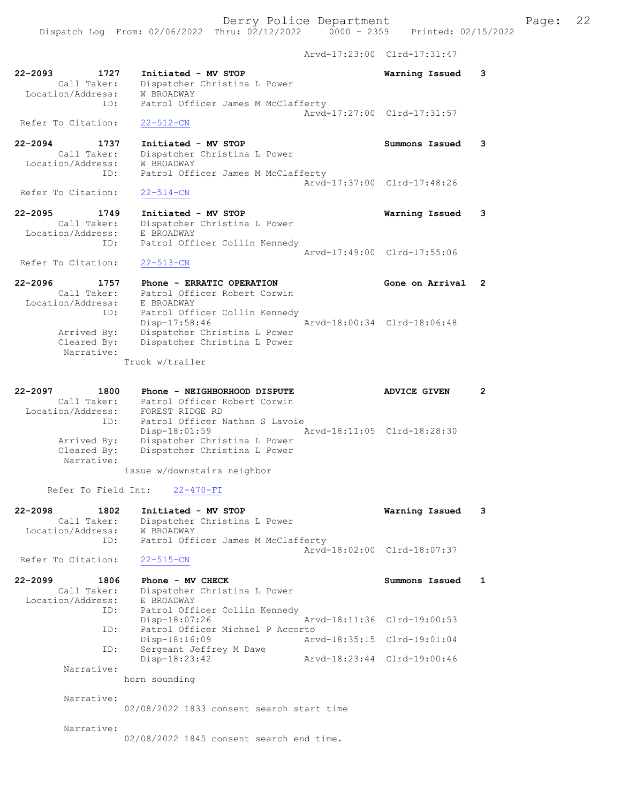Dispatch Log From: 02/06/2022 Thru: 02/12/2022 0000 - 2359 Printed: 02/15/2022 Arvd-17:23:00 Clrd-17:31:47

| $22 - 2093$<br>1727<br>Call Taker:<br>Location/Address:        | Initiated - MV STOP<br>Dispatcher Christina L Power<br>W BROADWAY                                                 | Warning Issued              | 3 |
|----------------------------------------------------------------|-------------------------------------------------------------------------------------------------------------------|-----------------------------|---|
| ID:<br>Refer To Citation:                                      | Patrol Officer James M McClafferty<br>$22 - 512 - CN$                                                             | Arvd-17:27:00 Clrd-17:31:57 |   |
| $22 - 2094$<br>1737<br>Call Taker:<br>Location/Address:<br>ID: | Initiated - MV STOP<br>Dispatcher Christina L Power<br><b>W BROADWAY</b><br>Patrol Officer James M McClafferty    | Summons Issued              | 3 |
| Refer To Citation:                                             | $22 - 514 - CN$                                                                                                   | Aryd-17:37:00 Clrd-17:48:26 |   |
| $22 - 2095$<br>1749<br>Call Taker:<br>Location/Address:        | Initiated - MV STOP<br>Dispatcher Christina L Power<br>E BROADWAY                                                 | Warning Issued              | 3 |
| ID:<br>Refer To Citation:                                      | Patrol Officer Collin Kennedy<br>$22 - 513 - CN$                                                                  | Arvd-17:49:00 Clrd-17:55:06 |   |
| $22 - 2096$<br>1757<br>Call Taker:<br>Location/Address:        | Phone - ERRATIC OPERATION<br>Patrol Officer Robert Corwin<br>E BROADWAY                                           | Gone on Arrival             | 2 |
| ID:<br>Arrived By:<br>Cleared By:<br>Narrative:                | Patrol Officer Collin Kennedy<br>Disp-17:58:46<br>Dispatcher Christina L Power<br>Dispatcher Christina L Power    | Arvd-18:00:34 Clrd-18:06:48 |   |
|                                                                | Truck w/trailer                                                                                                   |                             |   |
| $22 - 2097$<br>1800<br>Call Taker:<br>Location/Address:<br>ID: | Phone - NEIGHBORHOOD DISPUTE<br>Patrol Officer Robert Corwin<br>FOREST RIDGE RD<br>Patrol Officer Nathan S Lavoie | <b>ADVICE GIVEN</b>         | 2 |
| Arrived By:<br>Cleared By:<br>Narrative:                       | Disp-18:01:59<br>Dispatcher Christina L Power<br>Dispatcher Christina L Power                                     | Arvd-18:11:05 Clrd-18:28:30 |   |
|                                                                | issue w/downstairs neighbor                                                                                       |                             |   |
| Refer To Field Int:                                            | $22 - 470 - FI$                                                                                                   |                             |   |
| $22 - 2098$<br>1802<br>Call Taker:<br>Location/Address:<br>ID: | Initiated - MV STOP<br>Dispatcher Christina L Power<br>W BROADWAY<br>Patrol Officer James M McClafferty           | Warning Issued              | 3 |
| Refer To Citation:                                             | $22 - 515 - CN$                                                                                                   | Arvd-18:02:00 Clrd-18:07:37 |   |
| $22 - 2099$<br>1806<br>Call Taker:<br>Location/Address:<br>ID: | Phone - MV CHECK<br>Dispatcher Christina L Power<br>E BROADWAY<br>Patrol Officer Collin Kennedy                   | Summons Issued              | 1 |
| ID:                                                            | Disp-18:07:26<br>Patrol Officer Michael P Accorto                                                                 | Arvd-18:11:36 Clrd-19:00:53 |   |
| ID:                                                            | Disp-18:16:09<br>Sergeant Jeffrey M Dawe                                                                          | Arvd-18:35:15 Clrd-19:01:04 |   |
| Narrative:                                                     | Disp-18:23:42                                                                                                     | Arvd-18:23:44 Clrd-19:00:46 |   |
|                                                                | horn sounding                                                                                                     |                             |   |
| Narrative:                                                     | 02/08/2022 1833 consent search start time                                                                         |                             |   |
| Narrative:                                                     | 02/08/2022 1845 consent search end time.                                                                          |                             |   |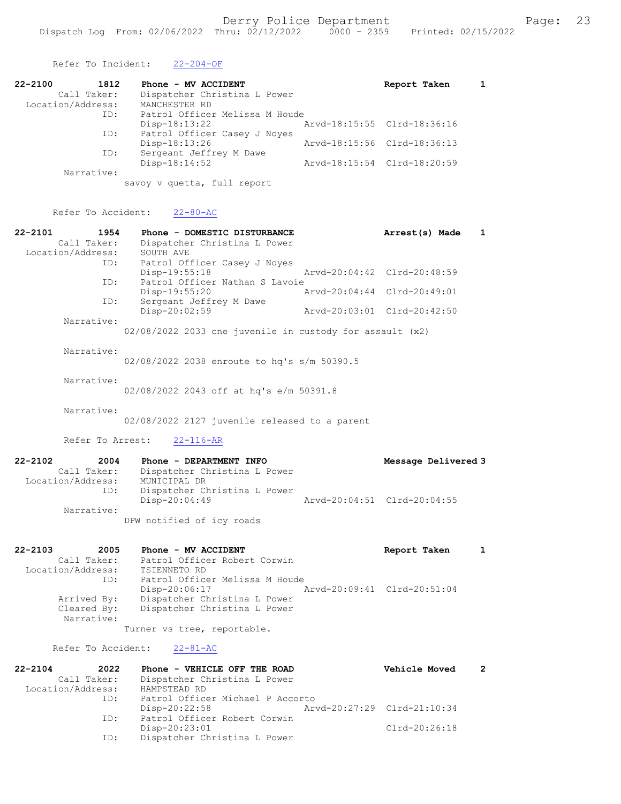Refer To Incident: 22-204-OF 22-2100 1812 Phone - MV ACCIDENT Report Taken 1 Call Taker: Dispatcher Christina L Power Location/Address: MANCHESTER RD ID: Patrol Officer Melissa M Houde Disp-18:13:22 Arvd-18:15:55 Clrd-18:36:16 ID: Patrol Officer Casey J Noyes Disp-18:13:26 Arvd-18:15:56 Clrd-18:36:13 ID: Sergeant Jeffrey M Dawe Disp-18:14:52 Arvd-18:15:54 Clrd-18:20:59 Narrative: savoy v quetta, full report Refer To Accident: 22-80-AC 22-2101 1954 Phone - DOMESTIC DISTURBANCE Arrest(s) Made 1 Call Taker: Dispatcher Christina L Power Location/Address: SOUTH AVE ID: Patrol Officer Casey J Noyes Disp-19:55:18 Arvd-20:04:42 Clrd-20:48:59 ID: Patrol Officer Nathan S Lavoie<br>Disp-19:55:20 A Disp-19:55:20 Arvd-20:04:44 Clrd-20:49:01 ID: Sergeant Jeffrey M Dawe Disp-20:02:59 Arvd-20:03:01 Clrd-20:42:50 Narrative: 02/08/2022 2033 one juvenile in custody for assault (x2) Narrative: 02/08/2022 2038 enroute to hq's s/m 50390.5 Narrative: 02/08/2022 2043 off at hq's e/m 50391.8 Narrative: 02/08/2022 2127 juvenile released to a parent Refer To Arrest: 22-116-AR 22-2102 2004 Phone - DEPARTMENT INFO Message Delivered 3 Call Taker: Dispatcher Christina L Power Location/Address: MUNICIPAL DR ID: Dispatcher Christina L Power Disp-20:04:49 Arvd-20:04:51 Clrd-20:04:55 Narrative: DPW notified of icy roads 22-2103 2005 Phone - MV ACCIDENT Report Taken 1 Call Taker: Patrol Officer Robert Corwin Location/Address: TSIENNETO RD ID: Patrol Officer Melissa M Houde Disp-20:06:17 Arvd-20:09:41 Clrd-20:51:04 Busp-20.00.17<br>Arrived By: Dispatcher Christina L Power Cleared By: Dispatcher Christina L Power Narrative:

Turner vs tree, reportable.

Refer To Accident: 22-81-AC

| $22 - 2104$       | 2022 | Phone - VEHICLE OFF THE ROAD     | Vehicle Moved               |  |
|-------------------|------|----------------------------------|-----------------------------|--|
| Call Taker:       |      | Dispatcher Christina L Power     |                             |  |
| Location/Address: |      | HAMPSTEAD RD                     |                             |  |
|                   | ID:  | Patrol Officer Michael P Accorto |                             |  |
|                   |      | $Disp-20:22:58$                  | Arvd-20:27:29 Clrd-21:10:34 |  |
|                   | ID:  | Patrol Officer Robert Corwin     |                             |  |
|                   |      | Disp-20:23:01                    | $Clrd-20:26:18$             |  |
|                   | ID:  | Dispatcher Christina L Power     |                             |  |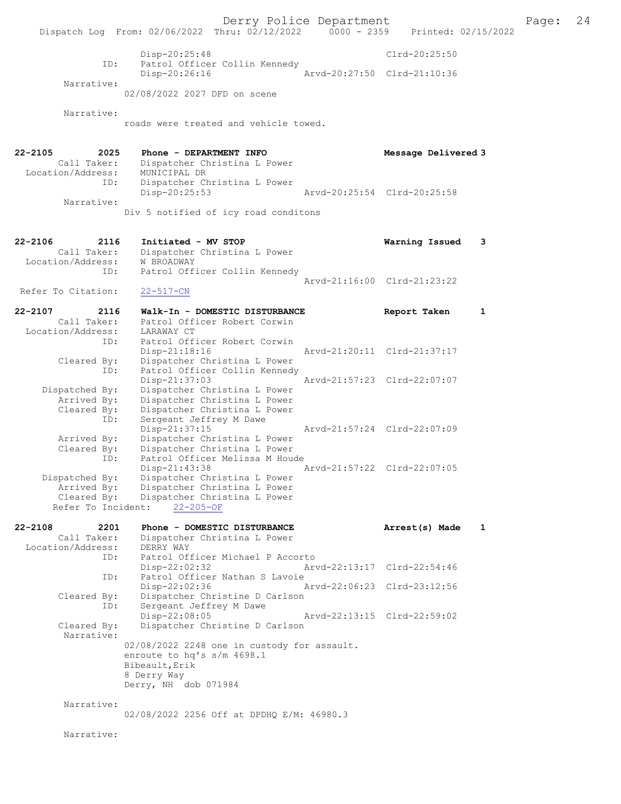Derry Police Department Page: 24 Dispatch Log From:  $02/06/2022$  Thru:  $02/12/2022$  0000 - 2359 Disp-20:25:48 Clrd-20:25:50 ID: Patrol Officer Collin Kennedy Disp-20:26:16 Arvd-20:27:50 Clrd-21:10:36 Narrative: 02/08/2022 2027 DFD on scene Narrative: roads were treated and vehicle towed. 22-2105 2025 Phone - DEPARTMENT INFO Message Delivered 3 Call Taker: Dispatcher Christina L Power Location/Address: MUNICIPAL DR ID: Dispatcher Christina L Power<br>Disp-20:25:53 Disp-20:25:53 Arvd-20:25:54 Clrd-20:25:58 Narrative: Div 5 notified of icy road conditons 22-2106 2116 Initiated - MV STOP Warning Issued 3 Call Taker: Dispatcher Christina L Power Location/Address: W BROADWAY ID: Patrol Officer Collin Kennedy Arvd-21:16:00 Clrd-21:23:22<br>22-517-CN Refer To Citation: 22-2107 2116 Walk-In - DOMESTIC DISTURBANCE Report Taken 1 Call Taker: Patrol Officer Robert Corwin Call Taker: Patrol Offi<br>Location/Address: LARAWAY CT ID: Patrol Officer Robert Corwin<br>Disp-21:18:16 Disp-21:18:16 Arvd-21:20:11 Clrd-21:37:17 Cleared By: Dispatcher Christina L Power ID: Patrol Officer Collin Kennedy Disp-21:37:03 Arvd-21:57:23 Clrd-22:07:07 Dispatched By: Dispatcher Christina L Power Arrived By: Dispatcher Christina L Power Cleared By: Dispatcher Christina L Power ID: Sergeant Jeffrey M Dawe Disp-21:37:15 Arvd-21:57:24 Clrd-22:07:09 Arrived By: Dispatcher Christina L Power Cleared By: Dispatcher Christina L Power ID: Patrol Officer Melissa M Houde Disp-21:43:38 Arvd-21:57:22 Clrd-22:07:05 Dispatched By: Dispatcher Christina L Power Arrived By: Dispatcher Christina L Power Cleared By: Dispatcher Christina L Power Refer To Incident: 22-205-OF 22-2108 2201 Phone - DOMESTIC DISTURBANCE Arrest(s) Made 1 Call Taker: Dispatcher Christina L Power Location/Address: DERRY WAY<br>ID: Patrol Officer<br>Disp-22:02:32 Patrol Officer Michael P Accorto Disp-22:02:32 Arvd-22:13:17 Clrd-22:54:46 ID: Patrol Officer Nathan S Lavoie<br>Disp-22:02:36 Arvd-22:06:23 Clrd-23:12:56 Cleared By: Dispatcher Christine D Carlson ID: Sergeant Jeffrey M Dawe Disp-22:08:05 Arvd-22:13:15 Clrd-22:59:02<br>Cleared By: Dispatcher Christine D Carlson Dispatcher Christine D Carlson Narrative: 02/08/2022 2248 one in custody for assault. enroute to hq's s/m 4698.1 Bibeault,Erik 8 Derry Way Derry, NH dob 071984 Narrative: 02/08/2022 2256 Off at DPDHQ E/M: 46980.3

Narrative: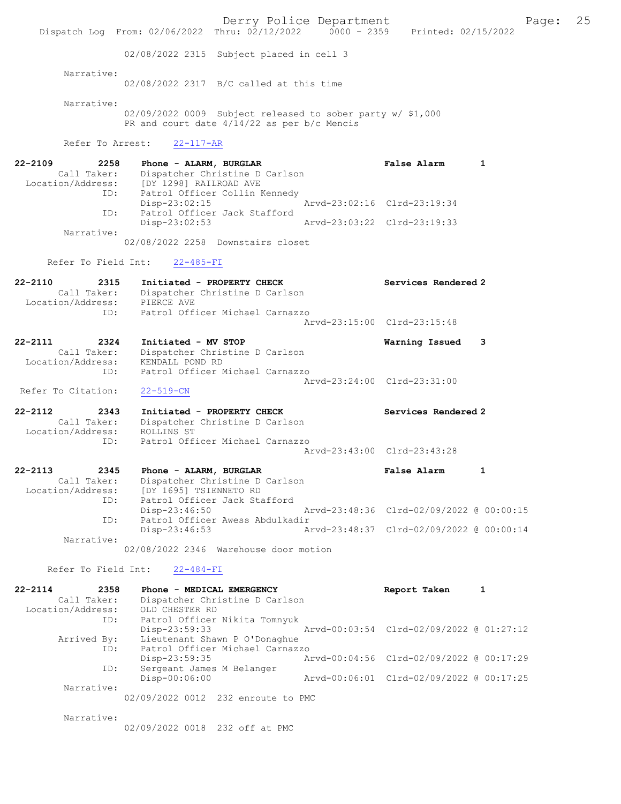Derry Police Department The Page: 25 Dispatch Log From: 02/06/2022 Thru: 02/12/2022 0000 - 2359 Printed: 02/15/2022 02/08/2022 2315 Subject placed in cell 3 Narrative: 02/08/2022 2317 B/C called at this time Narrative: 02/09/2022 0009 Subject released to sober party w/ \$1,000 PR and court date  $4/14/22$  as per b/c Mencis Refer To Arrest: 22-117-AR 22-2109 2258 Phone - ALARM, BURGLAR False Alarm 1 Call Taker: Dispatcher Christine D Carlson Location/Address: [DY 1298] RAILROAD AVE ID: Patrol Officer Collin Kennedy Disp-23:02:15 Arvd-23:02:16 Clrd-23:19:34 ID: Patrol Officer Jack Stafford<br>Disp-23:02:53 Arvd-23:03:22 Clrd-23:19:33 Disp-23:02:53 Narrative: 02/08/2022 2258 Downstairs closet Refer To Field Int: 22-485-FI 22-2110 2315 Initiated - PROPERTY CHECK Services Rendered 2 Call Taker: Dispatcher Christine D Carlson Location/Address: PIERCE AVE ID: Patrol Officer Michael Carnazzo Arvd-23:15:00 Clrd-23:15:48 22-2111 2324 Initiated - MV STOP Warning Issued 3 Call Taker: Dispatcher Christine D Carlson Location/Address: KENDALL POND RD ID: Patrol Officer Michael Carnazzo Arvd-23:24:00 Clrd-23:31:00 Refer To Citation: 22-519-CN 22-2112 2343 Initiated - PROPERTY CHECK Services Rendered 2 Call Taker: Dispatcher Christine D Carlson Location/Address: ROLLINS ST ID: Patrol Officer Michael Carnazzo Arvd-23:43:00 Clrd-23:43:28 22-2113 2345 Phone - ALARM, BURGLAR False Alarm 1 Call Taker: Dispatcher Christine D Carlson Location/Address: [DY 1695] TSIENNETO RD ID: Patrol Officer Jack Stafford Disp-23:46:50 Arvd-23:48:36 Clrd-02/09/2022 @ 00:00:15 ID: Patrol Officer Awess Abdulkadir<br>Disp-23:46:53 Ar Disp-23:46:53 Arvd-23:48:37 Clrd-02/09/2022 @ 00:00:14 Narrative: 02/08/2022 2346 Warehouse door motion Refer To Field Int: 22-484-FI 22-2114 2358 Phone - MEDICAL EMERGENCY Report Taken 1 Call Taker: Dispatcher Christine D Carlson Location/Address: OLD CHESTER RD ID: Patrol Officer Nikita Tomnyuk<br>Disp-23:59:33 Disp-23:59:33 Arvd-00:03:54 Clrd-02/09/2022 @ 01:27:12 Arrived By: Lieutenant Shawn P O'Donaghue ID: Patrol Officer Michael Carnazzo Disp-23:59:35 Arvd-00:04:56 Clrd-02/09/2022 @ 00:17:29 ID: Sergeant James M Belanger<br>Disp-00:06:00 Disp-00:06:00 Arvd-00:06:01 Clrd-02/09/2022 @ 00:17:25 Narrative: 02/09/2022 0012 232 enroute to PMC Narrative:

02/09/2022 0018 232 off at PMC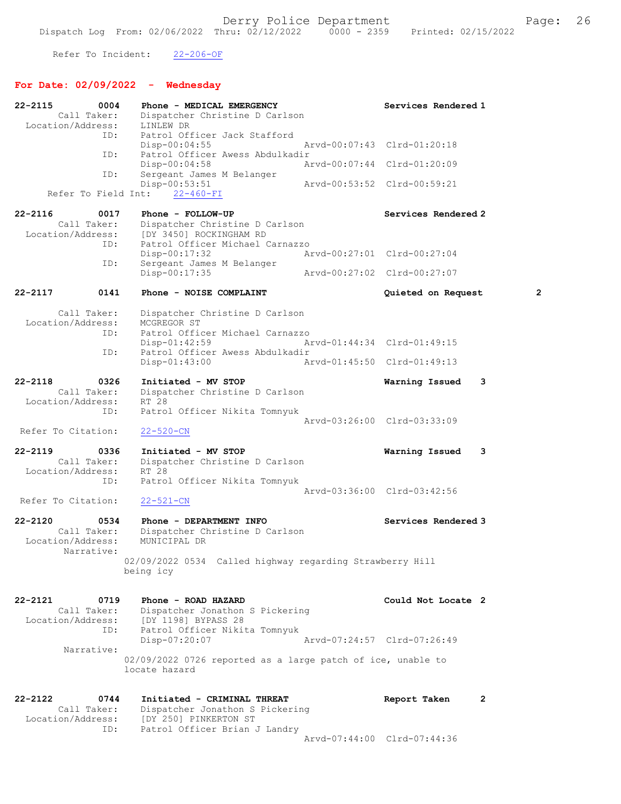Refer To Incident: 22-206-OF

# For Date: 02/09/2022 - Wednesday

| 22-2115            | 0004                | Phone - MEDICAL EMERGENCY                                   | Services Rendered 1         |                |
|--------------------|---------------------|-------------------------------------------------------------|-----------------------------|----------------|
|                    | Call Taker:         | Dispatcher Christine D Carlson                              |                             |                |
| Location/Address:  |                     | LINLEW DR                                                   |                             |                |
|                    | ID:                 | Patrol Officer Jack Stafford                                | Arvd-00:07:43 Clrd-01:20:18 |                |
|                    | ID:                 | $Disp-00:04:55$<br>Patrol Officer Awess Abdulkadir          |                             |                |
|                    |                     | $Disp-00:04:58$                                             | Arvd-00:07:44 Clrd-01:20:09 |                |
|                    | ID:                 | Sergeant James M Belanger                                   |                             |                |
|                    |                     | $Disp-00:53:51$                                             | Arvd-00:53:52 Clrd-00:59:21 |                |
|                    | Refer To Field Int: | $22 - 460 - FI$                                             |                             |                |
| $22 - 2116$        | 0017                | Phone - FOLLOW-UP                                           | Services Rendered 2         |                |
|                    | Call Taker:         | Dispatcher Christine D Carlson                              |                             |                |
| Location/Address:  |                     | [DY 3450] ROCKINGHAM RD                                     |                             |                |
|                    | ID:                 | Patrol Officer Michael Carnazzo                             |                             |                |
|                    |                     | Disp-00:17:32                                               | Arvd-00:27:01 Clrd-00:27:04 |                |
|                    | ID:                 | Sergeant James M Belanger                                   |                             |                |
|                    |                     | Disp-00:17:35                                               | Arvd-00:27:02 Clrd-00:27:07 |                |
| $22 - 2117$        | 0141                | Phone - NOISE COMPLAINT                                     | Quieted on Request          | $\overline{2}$ |
|                    | Call Taker:         | Dispatcher Christine D Carlson                              |                             |                |
| Location/Address:  |                     | MCGREGOR ST                                                 |                             |                |
|                    | ID:                 | Patrol Officer Michael Carnazzo                             |                             |                |
|                    |                     | $Disp-01:42:59$                                             | Arvd-01:44:34 Clrd-01:49:15 |                |
|                    | ID:                 | Patrol Officer Awess Abdulkadir                             |                             |                |
|                    |                     | $Disp-01:43:00$                                             | Arvd-01:45:50 Clrd-01:49:13 |                |
| $22 - 2118$        | 0326                | Initiated - MV STOP                                         | Warning Issued              | 3              |
|                    | Call Taker:         | Dispatcher Christine D Carlson                              |                             |                |
| Location/Address:  |                     | RT 28                                                       |                             |                |
|                    | ID:                 | Patrol Officer Nikita Tomnyuk                               |                             |                |
|                    |                     |                                                             | Arvd-03:26:00 Clrd-03:33:09 |                |
| Refer To Citation: |                     | $22 - 520 - CN$                                             |                             |                |
| $22 - 2119$        | 0336                | Initiated - MV STOP                                         | Warning Issued              | 3              |
|                    | Call Taker:         | Dispatcher Christine D Carlson                              |                             |                |
| Location/Address:  |                     | RT 28                                                       |                             |                |
|                    | ID:                 | Patrol Officer Nikita Tomnyuk                               |                             |                |
|                    |                     |                                                             | Arvd-03:36:00 Clrd-03:42:56 |                |
| Refer To Citation: |                     | $22 - 521 - CN$                                             |                             |                |
| $22 - 2120$        | 0534                | Phone - DEPARTMENT INFO                                     | Services Rendered 3         |                |
|                    | Call Taker:         | Dispatcher Christine D Carlson                              |                             |                |
| Location/Address:  |                     | MUNICIPAL DR                                                |                             |                |
|                    | Narrative:          |                                                             |                             |                |
|                    |                     | 02/09/2022 0534 Called highway regarding Strawberry Hill    |                             |                |
|                    |                     | being icy                                                   |                             |                |
|                    |                     |                                                             |                             |                |
| $22 - 2121$        | 0719                | Phone - ROAD HAZARD                                         | Could Not Locate 2          |                |
|                    | Call Taker:         | Dispatcher Jonathon S Pickering                             |                             |                |
| Location/Address:  | ID:                 | [DY 1198] BYPASS 28<br>Patrol Officer Nikita Tomnyuk        |                             |                |
|                    |                     | Disp-07:20:07                                               | Arvd-07:24:57 Clrd-07:26:49 |                |
|                    | Narrative:          |                                                             |                             |                |
|                    |                     | 02/09/2022 0726 reported as a large patch of ice, unable to |                             |                |
|                    |                     | locate hazard                                               |                             |                |
|                    |                     |                                                             |                             |                |
| 22-2122            | 0744                | Initiated - CRIMINAL THREAT                                 | Report Taken                | 2              |
|                    | Call Taker:         | Dispatcher Jonathon S Pickering                             |                             |                |
| Location/Address:  |                     | [DY 250] PINKERTON ST                                       |                             |                |
|                    | ID:                 | Patrol Officer Brian J Landry                               |                             |                |
|                    |                     |                                                             | Arvd-07:44:00 Clrd-07:44:36 |                |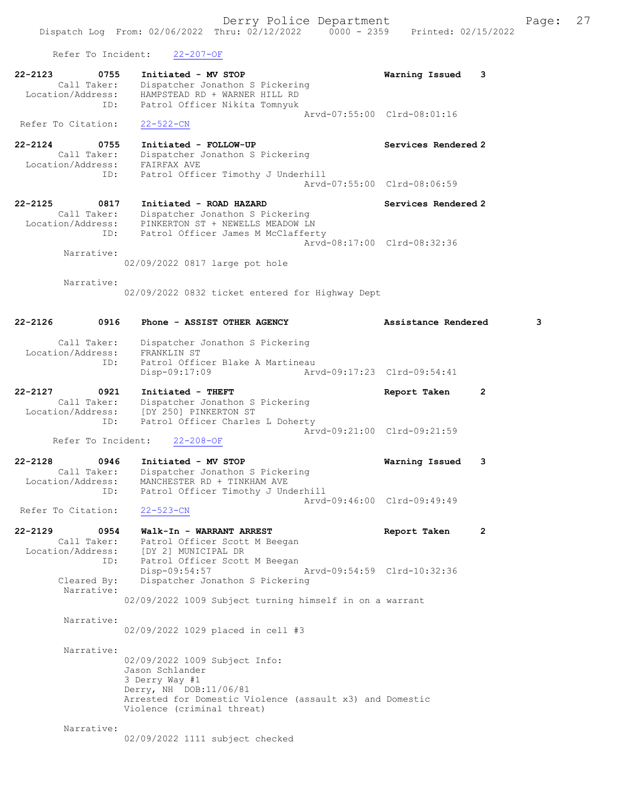Dispatch Log From: 02/06/2022 Thru: 02/12/2022 0000 - 2359 Printed: 02/15/2022

 Refer To Incident: 22-207-OF 22-2123 0755 Initiated - MV STOP Warning Issued 3 Call Taker: Dispatcher Jonathon S Pickering Location/Address: HAMPSTEAD RD + WARNER HILL RD ID: Patrol Officer Nikita Tomnyuk Arvd-07:55:00 Clrd-08:01:16 Refer To Citation: 22-522-CN 22-2124 0755 Initiated - FOLLOW-UP Services Rendered 2 Call Taker: Dispatcher Jonathon S Pickering Location/Address: FAIRFAX AVE ID: Patrol Officer Timothy J Underhill Arvd-07:55:00 Clrd-08:06:59 22-2125 0817 Initiated - ROAD HAZARD Services Rendered 2 Call Taker: Dispatcher Jonathon S Pickering Location/Address: PINKERTON ST + NEWELLS MEADOW LN ID: Patrol Officer James M McClafferty Arvd-08:17:00 Clrd-08:32:36 Narrative: 02/09/2022 0817 large pot hole Narrative: 02/09/2022 0832 ticket entered for Highway Dept 22-2126 0916 Phone - ASSIST OTHER AGENCY Assistance Rendered 3 Call Taker: Dispatcher Jonathon S Pickering<br>ion/Address: FRANKLIN ST Location/Address:<br>ID: Patrol Officer Blake A Martineau<br>Disp-09:17:09 Arw Disp-09:17:09 Arvd-09:17:23 Clrd-09:54:41 22-2127 0921 Initiated - THEFT Report Taken 2 Call Taker: Dispatcher Jonathon S Pickering Location/Address: [DY 250] PINKERTON ST ID: Patrol Officer Charles L Doherty Arvd-09:21:00 Clrd-09:21:59 Refer To Incident: 22-208-OF 22-2128 0946 Initiated - MV STOP Warning Issued 3 Call Taker: Dispatcher Jonathon S Pickering Location/Address: MANCHESTER RD + TINKHAM AVE ID: Patrol Officer Timothy J Underhill Arvd-09:46:00 Clrd-09:49:49 Refer To Citation: 22-523-CN 22-2129 0954 Walk-In - WARRANT ARREST Report Taken 2 Call Taker: Patrol Officer Scott M Beegan Location/Address: [DY 2] MUNICIPAL DR ID: Patrol Officer Scott M Beegan Disp-09:54:57 Arvd-09:54:59 Clrd-10:32:36<br>Cleared By: Dispatcher Jonathon S Pickering Dispatcher Jonathon S Pickering Narrative: 02/09/2022 1009 Subject turning himself in on a warrant Narrative: 02/09/2022 1029 placed in cell #3 Narrative:

> 02/09/2022 1009 Subject Info: Jason Schlander 3 Derry Way #1 Derry, NH DOB:11/06/81 Arrested for Domestic Violence (assault x3) and Domestic Violence (criminal threat)

Narrative:

02/09/2022 1111 subject checked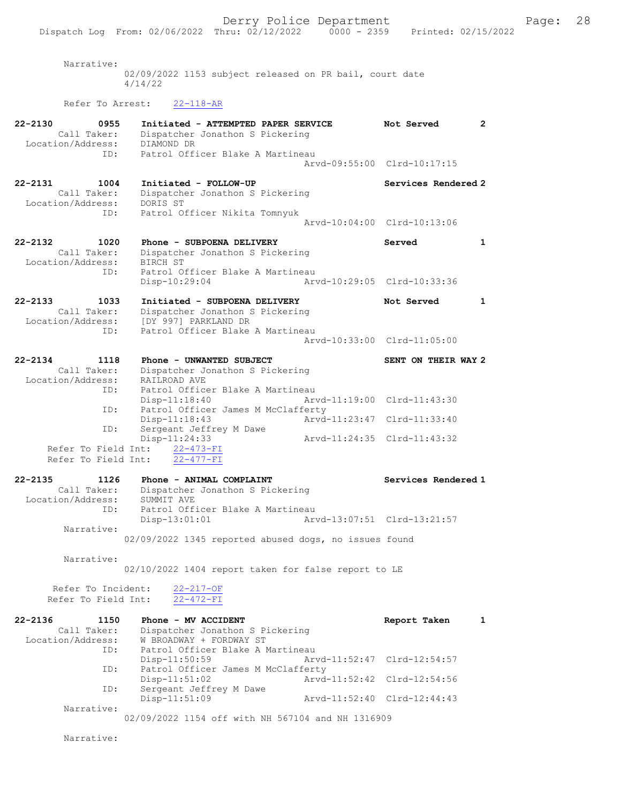Narrative: 02/09/2022 1153 subject released on PR bail, court date 4/14/22

## Refer To Arrest: 22-118-AR

| $22 - 2130$<br>0955<br>Call Taker:<br>Location/Address: | Initiated - ATTEMPTED PAPER SERVICE<br>Dispatcher Jonathon S Pickering<br>DIAMOND DR     | Not Served                  | $\mathbf{2}^{\prime}$ |
|---------------------------------------------------------|------------------------------------------------------------------------------------------|-----------------------------|-----------------------|
| ID:                                                     | Patrol Officer Blake A Martineau                                                         | Arvd-09:55:00 Clrd-10:17:15 |                       |
| $22 - 2131$<br>1004<br>Call Taker:<br>Location/Address: | Initiated - FOLLOW-UP<br>Dispatcher Jonathon S Pickering<br>DORIS ST                     | Services Rendered 2         |                       |
| ID:                                                     | Patrol Officer Nikita Tomnyuk                                                            | Arvd-10:04:00 Clrd-10:13:06 |                       |
| $22 - 2132$<br>1020<br>Call Taker:<br>Location/Address: | Phone - SUBPOENA DELIVERY<br>Dispatcher Jonathon S Pickering<br>BIRCH ST                 | Served                      | $\mathbf{1}$          |
| ID:                                                     | Patrol Officer Blake A Martineau<br>Disp-10:29:04                                        | Arvd-10:29:05 Clrd-10:33:36 |                       |
| $22 - 2133$<br>1033<br>Call Taker:<br>Location/Address: | Initiated - SUBPOENA DELIVERY<br>Dispatcher Jonathon S Pickering<br>[DY 997] PARKLAND DR | Not Served                  | 1                     |
| ID:                                                     | Patrol Officer Blake A Martineau                                                         | Arvd-10:33:00 Clrd-11:05:00 |                       |
| $22 - 2134$<br>1118                                     | Phone - UNWANTED SUBJECT                                                                 | SENT ON THEIR WAY 2         |                       |
| Call Taker:                                             | Dispatcher Jonathon S Pickering                                                          |                             |                       |
| Location/Address:<br>ID:                                | RAILROAD AVE<br>Patrol Officer Blake A Martineau                                         |                             |                       |
|                                                         | $Disp-11:18:40$                                                                          | Arvd-11:19:00 Clrd-11:43:30 |                       |
| ID:                                                     | Patrol Officer James M McClafferty                                                       |                             |                       |
|                                                         | Disp-11:18:43<br>Arvd-11:23:47                                                           | Clrd-11:33:40               |                       |
| ID:<br>Refer To Field Int:                              | Sergeant Jeffrey M Dawe<br>Disp-11:24:33                                                 | Arvd-11:24:35 Clrd-11:43:32 |                       |
| Refer To Field Int:                                     | $22 - 473 - FI$<br>$22 - 477 - FI$                                                       |                             |                       |
| $22 - 2135$<br>1126                                     | Phone - ANIMAL COMPLAINT                                                                 | Services Rendered 1         |                       |
| Call Taker:<br>Location/Address:                        | Dispatcher Jonathon S Pickering<br>SUMMIT AVE                                            |                             |                       |
| ID:<br>Narrative:                                       | Patrol Officer Blake A Martineau<br>Disp-13:01:01                                        | Arvd-13:07:51 Clrd-13:21:57 |                       |
|                                                         | 02/09/2022 1345 reported abused dogs, no issues found                                    |                             |                       |
| Narrative:                                              | 02/10/2022 1404 report taken for false report to LE                                      |                             |                       |
| Refer To Incident:<br>Refer To Field Int:               | $22 - 217 - OF$<br>$22 - 472 - FI$                                                       |                             |                       |
| $22 - 2136$<br>1150<br>Call Taker:                      | Phone - MV ACCIDENT<br>Dispatcher Jonathon S Pickering                                   | Report Taken                | $\mathbf{1}$          |
| Location/Address:<br>ID:                                | W BROADWAY + FORDWAY ST<br>Patrol Officer Blake A Martineau<br>$Disp-11:50:59$           | Arvd-11:52:47 Clrd-12:54:57 |                       |
| ID:                                                     | Patrol Officer James M McClafferty<br>$Disp-11:51:02$                                    | Arvd-11:52:42 Clrd-12:54:56 |                       |
| ID:                                                     | Sergeant Jeffrey M Dawe<br>Disp-11:51:09                                                 | Arvd-11:52:40 Clrd-12:44:43 |                       |
| Narrative:                                              | 02/09/2022 1154 off with NH 567104 and NH 1316909                                        |                             |                       |
|                                                         |                                                                                          |                             |                       |

Narrative: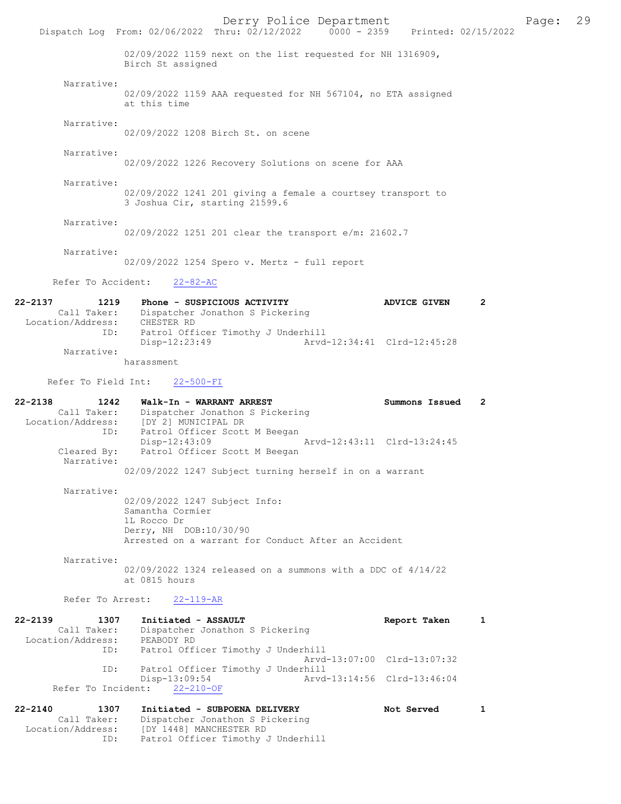Derry Police Department Fage: 29 Dispatch Log From: 02/06/2022 Thru: 02/12/2022 0000 - 2359 Printed: 02/15/2022 02/09/2022 1159 next on the list requested for NH 1316909, Birch St assigned Narrative: 02/09/2022 1159 AAA requested for NH 567104, no ETA assigned at this time Narrative: 02/09/2022 1208 Birch St. on scene Narrative: 02/09/2022 1226 Recovery Solutions on scene for AAA Narrative: 02/09/2022 1241 201 giving a female a courtsey transport to 3 Joshua Cir, starting 21599.6 Narrative: 02/09/2022 1251 201 clear the transport e/m: 21602.7 Narrative: 02/09/2022 1254 Spero v. Mertz - full report Refer To Accident: 22-82-AC 22-2137 1219 Phone - SUSPICIOUS ACTIVITY ADVICE GIVEN 2 Call Taker: Dispatcher Jonathon S Pickering Location/Address: CHESTER RD ID: Patrol Officer Timothy J Underhill ID: Patrol Officer Timothy J Underhill<br>Disp-12:23:49 Arvd-12:34:41 Clrd-12:45:28 Narrative: harassment Refer To Field Int: 22-500-FI 22-2138 1242 Walk-In - WARRANT ARREST Summons Issued 2 Call Taker: Dispatcher Jonathon S Pickering Location/Address: [DY 2] MUNICIPAL DR ID: Patrol Officer Scott M Beegan<br>Disp-12:43:09 Disp-12:43:09 Arvd-12:43:11 Clrd-13:24:45<br>Cleared By: Patrol Officer Scott M Beegan Patrol Officer Scott M Beegan Narrative: 02/09/2022 1247 Subject turning herself in on a warrant Narrative: 02/09/2022 1247 Subject Info: Samantha Cormier 1L Rocco Dr Derry, NH DOB:10/30/90 Arrested on a warrant for Conduct After an Accident Narrative: 02/09/2022 1324 released on a summons with a DDC of 4/14/22 at 0815 hours Refer To Arrest: 22-119-AR 22-2139 1307 Initiated - ASSAULT 1 Report Taken 1 Call Taker: Dispatcher Jonathon S Pickering Location/Address: PEABODY RD ID: Patrol Officer Timothy J Underhill Arvd-13:07:00 Clrd-13:07:32 ID: Patrol Officer Timothy J Underhill Disp-13:09:54 Arvd-13:14:56 Clrd-13:46:04 Refer To Incident: 22-210-OF 22-2140 1307 Initiated - SUBPOENA DELIVERY Not Served 1 Call Taker: Dispatcher Jonathon S Pickering Location/Address: [DY 1448] MANCHESTER RD

ID: Patrol Officer Timothy J Underhill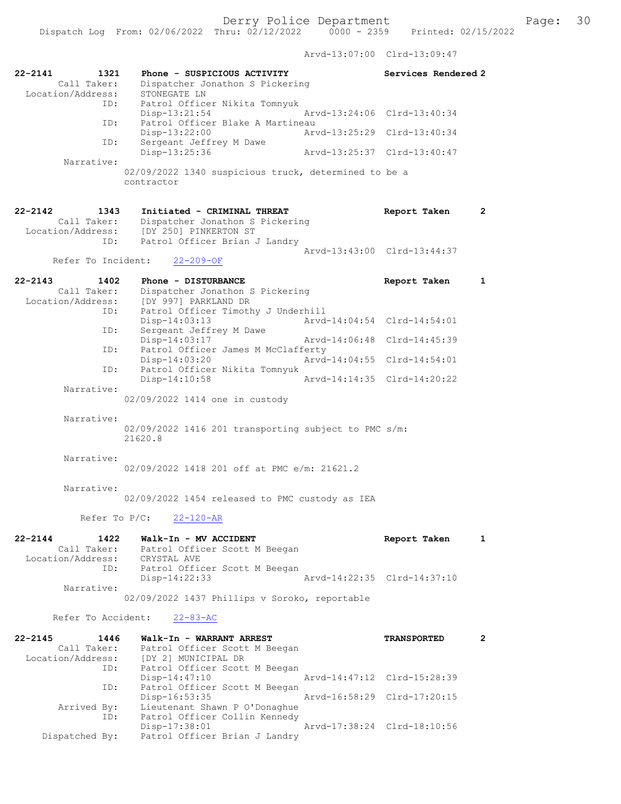Arvd-13:07:00 Clrd-13:09:47

| 22-2141<br>1321<br>Call Taker:<br>Location/Address:            | Phone - SUSPICIOUS ACTIVITY<br>Dispatcher Jonathon S Pickering<br>STONEGATE LN                                           | Services Rendered 2         |                       |
|----------------------------------------------------------------|--------------------------------------------------------------------------------------------------------------------------|-----------------------------|-----------------------|
| ID:                                                            | Patrol Officer Nikita Tomnyuk<br>$Disp-13:21:54$                                                                         | Arvd-13:24:06 Clrd-13:40:34 |                       |
| ID:                                                            | Patrol Officer Blake A Martineau<br>Disp-13:22:00                                                                        | Arvd-13:25:29 Clrd-13:40:34 |                       |
| ID:                                                            | Sergeant Jeffrey M Dawe<br>Disp-13:25:36                                                                                 | Arvd-13:25:37 Clrd-13:40:47 |                       |
| Narrative:                                                     | 02/09/2022 1340 suspicious truck, determined to be a<br>contractor                                                       |                             |                       |
| $22 - 2142$<br>1343<br>Call Taker:<br>Location/Address:<br>ID: | Initiated - CRIMINAL THREAT<br>Dispatcher Jonathon S Pickering<br>[DY 250] PINKERTON ST<br>Patrol Officer Brian J Landry | Report Taken                | $\mathbf{2}^{\prime}$ |
| Refer To Incident:                                             | $22 - 209 - OF$                                                                                                          | Arvd-13:43:00 Clrd-13:44:37 |                       |
| $22 - 2143$<br>1402                                            | Phone - DISTURBANCE                                                                                                      | Report Taken                | 1                     |
| Call Taker:<br>Location/Address:                               | Dispatcher Jonathon S Pickering<br>[DY 997] PARKLAND DR                                                                  |                             |                       |
| ID:                                                            | Patrol Officer Timothy J Underhill<br>Disp-14:03:13                                                                      | Arvd-14:04:54 Clrd-14:54:01 |                       |
| ID:                                                            | Sergeant Jeffrey M Dawe<br>Disp-14:03:17                                                                                 | Arvd-14:06:48 Clrd-14:45:39 |                       |
| ID:                                                            | Patrol Officer James M McClafferty<br>$Disp-14:03:20$                                                                    | Arvd-14:04:55 Clrd-14:54:01 |                       |
| ID:                                                            | Patrol Officer Nikita Tomnyuk<br>$Disp-14:10:58$                                                                         | Arvd-14:14:35 Clrd-14:20:22 |                       |
| Narrative:                                                     | 02/09/2022 1414 one in custody                                                                                           |                             |                       |
| Narrative:                                                     | 02/09/2022 1416 201 transporting subject to PMC s/m:<br>21620.8                                                          |                             |                       |
| Narrative:                                                     | 02/09/2022 1418 201 off at PMC e/m: 21621.2                                                                              |                             |                       |
| Narrative:                                                     | 02/09/2022 1454 released to PMC custody as IEA                                                                           |                             |                       |
|                                                                | Refer To P/C:<br>22-120-AR                                                                                               |                             |                       |
| $22 - 2144$<br>1422<br>Call Taker:<br>Location/Address:<br>ID: | Walk-In - MV ACCIDENT<br>Patrol Officer Scott M Beegan<br>CRYSTAL AVE<br>Patrol Officer Scott M Beegan                   | Report Taken                | 1                     |
| Narrative:                                                     | Disp-14:22:33                                                                                                            | Arvd-14:22:35 Clrd-14:37:10 |                       |
|                                                                | 02/09/2022 1437 Phillips v Soroko, reportable                                                                            |                             |                       |
| Refer To Accident:                                             | $22 - 83 - AC$                                                                                                           |                             |                       |
| $22 - 2145$<br>1446<br>Call Taker:<br>Location/Address:<br>ID: | Walk-In - WARRANT ARREST<br>Patrol Officer Scott M Beegan<br>[DY 2] MUNICIPAL DR<br>Patrol Officer Scott M Beegan        | <b>TRANSPORTED</b>          | $\mathbf{2}$          |
| ID:                                                            | $Disp-14:47:10$<br>Patrol Officer Scott M Beegan                                                                         | Arvd-14:47:12 Clrd-15:28:39 |                       |
| Arrived By:                                                    | Disp-16:53:35<br>Lieutenant Shawn P O'Donaghue                                                                           | Arvd-16:58:29 Clrd-17:20:15 |                       |
| ID:                                                            | Patrol Officer Collin Kennedy<br>Disp-17:38:01                                                                           | Arvd-17:38:24 Clrd-18:10:56 |                       |
| Dispatched By:                                                 | Patrol Officer Brian J Landry                                                                                            |                             |                       |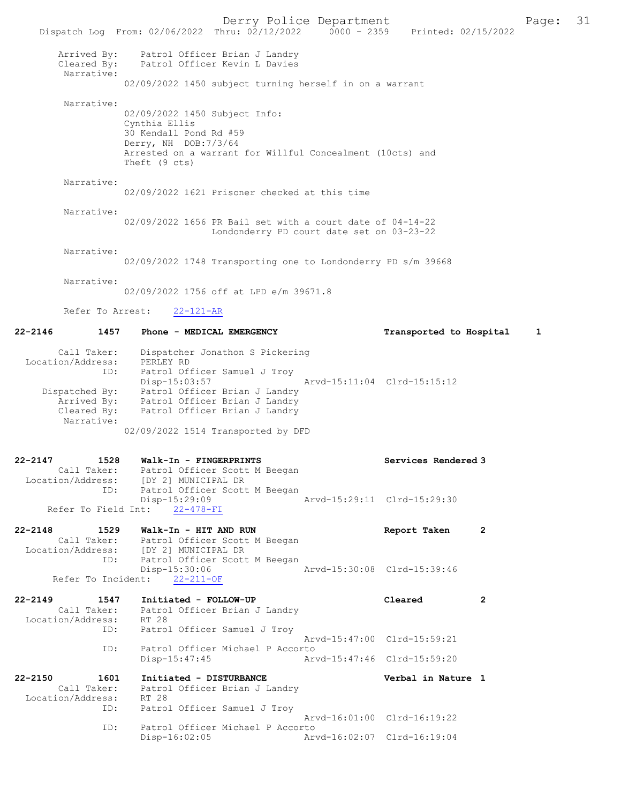Derry Police Department The Page: 31 Dispatch Log From: 02/06/2022 Thru: 02/12/2022 0000 - 2359 Printed: 02/15/2022 Arrived By: Patrol Officer Brian J Landry Cleared By: Patrol Officer Kevin L Davies Narrative: 02/09/2022 1450 subject turning herself in on a warrant Narrative: 02/09/2022 1450 Subject Info: Cynthia Ellis 30 Kendall Pond Rd #59 Derry, NH DOB:7/3/64 Arrested on a warrant for Willful Concealment (10cts) and Theft (9 cts) Narrative: 02/09/2022 1621 Prisoner checked at this time Narrative: 02/09/2022 1656 PR Bail set with a court date of 04-14-22 Londonderry PD court date set on 03-23-22 Narrative: 02/09/2022 1748 Transporting one to Londonderry PD s/m 39668 Narrative: 02/09/2022 1756 off at LPD e/m 39671.8 Refer To Arrest: 22-121-AR 22-2146 1457 Phone - MEDICAL EMERGENCY Transported to Hospital 1 Call Taker: Dispatcher Jonathon S Pickering Location/Address: PERLEY RD ID: Patrol Officer Samuel J Troy Disp-15:03:57 Arvd-15:11:04 Clrd-15:15:12 Dispatched By: Patrol Officer Brian J Landry Arrived By: Patrol Officer Brian J Landry Cleared By: Patrol Officer Brian J Landry Narrative: 02/09/2022 1514 Transported by DFD 22-2147 1528 Walk-In - FINGERPRINTS Services Rendered 3 Call Taker: Patrol Officer Scott M Beegan Location/Address: [DY 2] MUNICIPAL DR ID: Patrol Officer Scott M Beegan<br>Disp-15:29:09 Disp-15:29:09 Arvd-15:29:11 Clrd-15:29:30 Refer To Field Int: 22-478-FI 22-2148 1529 Walk-In - HIT AND RUN Report Taken 2<br>Call Taker: Patrol Officer Scott M Beegan Patrol Officer Scott M Beegan<br>[DY 2] MUNICIPAL DR Location/Address: ID: Patrol Officer Scott M Beegan Disp-15:30:06 Arvd-15:30:08 Clrd-15:39:46 Refer To Incident: 22-211-OF 22-2149 1547 Initiated - FOLLOW-UP Cleared 2<br>Call Taker: Patrol Officer Brian J Landry Patrol Officer Brian J Landry Location/Address: RT 28 ID: Patrol Officer Samuel J Troy Arvd-15:47:00 Clrd-15:59:21 ID: Patrol Officer Michael P Accorto<br>Disp-15:47:45 Art Disp-15:47:45 Arvd-15:47:46 Clrd-15:59:20 22-2150 1601 Initiated - DISTURBANCE Verbal in Nature 1 Call Taker: Patrol Officer Brian J Landry Location/Address: RT 28<br>ID: Patrol Patrol Officer Samuel J Troy Arvd-16:01:00 Clrd-16:19:22 ID: Patrol Officer Michael P Accorto<br>Disp-16:02:05 Art Disp-16:02:05 Arvd-16:02:07 Clrd-16:19:04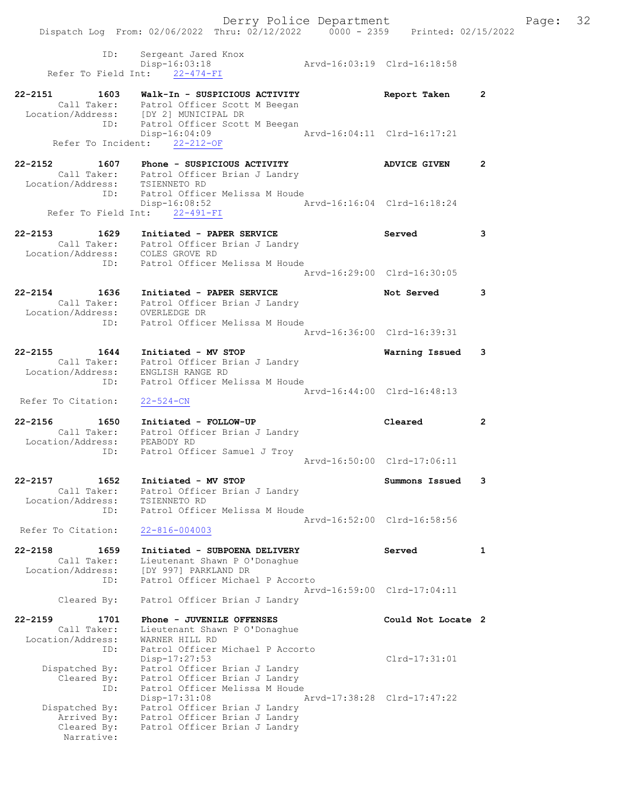Dispatch Log From: 02/06/2022 Thru: 02/12/2022 0000 - 2359 Printed: 02/15/2022 ID: Sergeant Jared Knox Disp-16:03:18 Arvd-16:03:19 Clrd-16:18:58 Refer To Field Int: 22-474-FI 22-2151 1603 Walk-In - SUSPICIOUS ACTIVITY Report Taken 2 Call Taker: Patrol Officer Scott M Beegan Location/Address: [DY 2] MUNICIPAL DR ID: Patrol Officer Scott M Beegan Disp-16:04:09 Arvd-16:04:11 Clrd-16:17:21 Refer To Incident: 22-212-OF 22-2152 1607 Phone - SUSPICIOUS ACTIVITY ADVICE GIVEN 2 Call Taker: Patrol Officer Brian J Landry Location/Address: TSIENNETO RD ID: Patrol Officer Melissa M Houde Disp-16:08:52 Arvd-16:16:04 Clrd-16:18:24 Refer To Field Int: 22-491-FI 22-2153 1629 Initiated - PAPER SERVICE Served 3 Call Taker: Patrol Officer Brian J Landry Location/Address: COLES GROVE RD ID: Patrol Officer Melissa M Houde Arvd-16:29:00 Clrd-16:30:05 22-2154 1636 Initiated - PAPER SERVICE 10 Not Served 3 Call Taker: Patrol Officer Brian J Landry Location/Address: OVERLEDGE DR ID: Patrol Officer Melissa M Houde Arvd-16:36:00 Clrd-16:39:31 22-2155 1644 Initiated - MV STOP Warning Issued 3 Call Taker: Patrol Officer Brian J Landry Location/Address: ENGLISH RANGE RD ID: Patrol Officer Melissa M Houde Arvd-16:44:00 Clrd-16:48:13 Refer To Citation: 22-524-CN 22-2156 1650 Initiated - FOLLOW-UP Cleared 2 Call Taker: Patrol Officer Brian J Landry Location/Address: PEABODY RD ID: Patrol Officer Samuel J Troy Arvd-16:50:00 Clrd-17:06:11 22-2157 1652 Initiated - MV STOP Summons Issued 3 Call Taker: Patrol Officer Brian J Landry Location/Address: TSIENNETO RD ID: Patrol Officer Melissa M Houde Arvd-16:52:00 Clrd-16:58:56 Refer To Citation: 22-816-004003 22-2158 1659 Initiated - SUBPOENA DELIVERY Served 1 Call Taker: Lieutenant Shawn P O'Donaghue Location/Address: [DY 997] PARKLAND DR ID: Patrol Officer Michael P Accorto Arvd-16:59:00 Clrd-17:04:11 Cleared By: Patrol Officer Brian J Landry 22-2159 1701 Phone - JUVENILE OFFENSES Could Not Locate 2 Call Taker: Lieutenant Shawn P O'Donaghue Location/Address: WARNER HILL RD ID: Patrol Officer Michael P Accorto Disp-17:27:53 Clrd-17:31:01 Dispatched By: Patrol Officer Brian J Landry Cleared By: Patrol Officer Brian J Landry ID: Patrol Officer Melissa M Houde Disp-17:31:08 Arvd-17:38:28 Clrd-17:47:22 Dispatched By: Patrol Officer Brian J Landry Arrived By: Patrol Officer Brian J Landry Cleared By: Patrol Officer Brian J Landry

Narrative:

Derry Police Department Fage: 32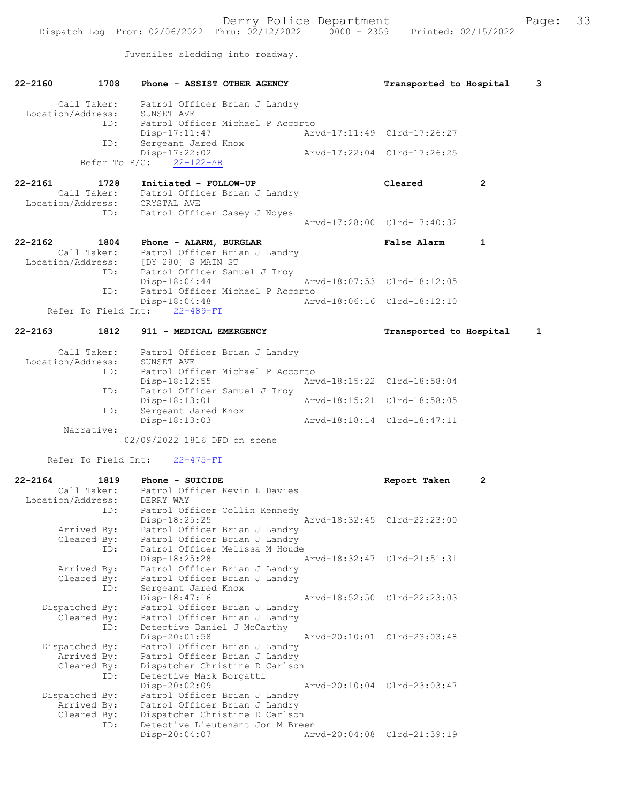Juveniles sledding into roadway.

| 22-2160           | 1708                | Phone - ASSIST OTHER AGENCY                                        |  | Transported to Hospital     |                | 3 |
|-------------------|---------------------|--------------------------------------------------------------------|--|-----------------------------|----------------|---|
|                   |                     | Call Taker: Patrol Officer Brian J Landry                          |  |                             |                |   |
|                   |                     | Location/Address: SUNSET AVE                                       |  |                             |                |   |
|                   | ID:                 | Patrol Officer Michael P Accorto                                   |  |                             |                |   |
|                   | ID:                 | $Disp-17:11:47$                                                    |  | Arvd-17:11:49 Clrd-17:26:27 |                |   |
|                   |                     | Sergeant Jared Knox<br>Disp-17:22:02                               |  | Arvd-17:22:04 Clrd-17:26:25 |                |   |
|                   |                     | Refer To $P/C$ : 22-122-AR                                         |  |                             |                |   |
|                   |                     |                                                                    |  |                             | $\overline{2}$ |   |
| $22 - 2161$       | 1728                | Initiated - FOLLOW-UP<br>Call Taker: Patrol Officer Brian J Landry |  | Cleared                     |                |   |
|                   |                     | Location/Address: CRYSTAL AVE                                      |  |                             |                |   |
|                   | ID:                 | Patrol Officer Casey J Noyes                                       |  |                             |                |   |
|                   |                     |                                                                    |  | Arvd-17:28:00 Clrd-17:40:32 |                |   |
| $22 - 2162$       | 1804                | Phone - ALARM, BURGLAR                                             |  | <b>False Alarm</b>          | 1              |   |
|                   | Call Taker:         | Patrol Officer Brian J Landry                                      |  |                             |                |   |
|                   |                     | Location/Address: [DY 280] S MAIN ST                               |  |                             |                |   |
|                   | ID:                 | Patrol Officer Samuel J Troy                                       |  |                             |                |   |
|                   |                     | $Disp-18:04:44$                                                    |  | Arvd-18:07:53 Clrd-18:12:05 |                |   |
|                   | ID:                 | Patrol Officer Michael P Accorto<br>Disp-18:04:48                  |  | Arvd-18:06:16 Clrd-18:12:10 |                |   |
|                   |                     | Refer To Field Int: 22-489-FI                                      |  |                             |                |   |
|                   |                     |                                                                    |  |                             |                |   |
| 22-2163           | 1812                | 911 - MEDICAL EMERGENCY                                            |  | Transported to Hospital     |                | 1 |
|                   | Call Taker:         |                                                                    |  |                             |                |   |
| Location/Address: |                     | Patrol Officer Brian J Landry<br>SUNSET AVE                        |  |                             |                |   |
|                   | ID:                 | Patrol Officer Michael P Accorto                                   |  |                             |                |   |
|                   |                     | Disp-18:12:55                                                      |  | Arvd-18:15:22 Clrd-18:58:04 |                |   |
|                   | ID:                 | Patrol Officer Samuel J Troy                                       |  |                             |                |   |
|                   | ID:                 | Disp-18:13:01<br>Sergeant Jared Knox                               |  | Arvd-18:15:21 Clrd-18:58:05 |                |   |
|                   |                     | Disp-18:13:03                                                      |  | Arvd-18:18:14 Clrd-18:47:11 |                |   |
|                   | Narrative:          |                                                                    |  |                             |                |   |
|                   |                     | 02/09/2022 1816 DFD on scene                                       |  |                             |                |   |
|                   | Refer To Field Int: | $22 - 475 - FI$                                                    |  |                             |                |   |
|                   |                     |                                                                    |  |                             |                |   |
| $22 - 2164$       |                     | 1819 Phone - SUICIDE                                               |  | Report Taken                | 2              |   |
| Location/Address: |                     | Call Taker: Patrol Officer Kevin L Davies<br>DERRY WAY             |  |                             |                |   |
|                   | ID:                 | Patrol Officer Collin Kennedy                                      |  |                             |                |   |
|                   |                     | $Disp-18:25:25$                                                    |  | Arvd-18:32:45 Clrd-22:23:00 |                |   |
|                   | Arrived By:         | Patrol Officer Brian J Landry                                      |  |                             |                |   |
|                   | Cleared By:<br>ID:  | Patrol Officer Brian J Landry<br>Patrol Officer Melissa M Houde    |  |                             |                |   |
|                   |                     | Disp-18:25:28                                                      |  | Arvd-18:32:47 Clrd-21:51:31 |                |   |
|                   | Arrived By:         | Patrol Officer Brian J Landry                                      |  |                             |                |   |
|                   | Cleared By:         | Patrol Officer Brian J Landry                                      |  |                             |                |   |
|                   | ID:                 | Sergeant Jared Knox                                                |  |                             |                |   |
|                   | Dispatched By:      | Disp-18:47:16<br>Patrol Officer Brian J Landry                     |  | Arvd-18:52:50 Clrd-22:23:03 |                |   |
|                   | Cleared By:         | Patrol Officer Brian J Landry                                      |  |                             |                |   |
|                   | ID:                 | Detective Daniel J McCarthy                                        |  |                             |                |   |
|                   |                     | Disp-20:01:58                                                      |  | Arvd-20:10:01 Clrd-23:03:48 |                |   |
|                   | Dispatched By:      | Patrol Officer Brian J Landry                                      |  |                             |                |   |
|                   | Arrived By:         | Patrol Officer Brian J Landry                                      |  |                             |                |   |
|                   | Cleared By:<br>ID:  | Dispatcher Christine D Carlson<br>Detective Mark Borgatti          |  |                             |                |   |
|                   |                     | Disp-20:02:09                                                      |  | Arvd-20:10:04 Clrd-23:03:47 |                |   |
|                   | Dispatched By:      | Patrol Officer Brian J Landry                                      |  |                             |                |   |
|                   | Arrived By:         | Patrol Officer Brian J Landry                                      |  |                             |                |   |
|                   | Cleared By:<br>ID:  | Dispatcher Christine D Carlson<br>Detective Lieutenant Jon M Breen |  |                             |                |   |
|                   |                     | Disp-20:04:07                                                      |  | Arvd-20:04:08 Clrd-21:39:19 |                |   |
|                   |                     |                                                                    |  |                             |                |   |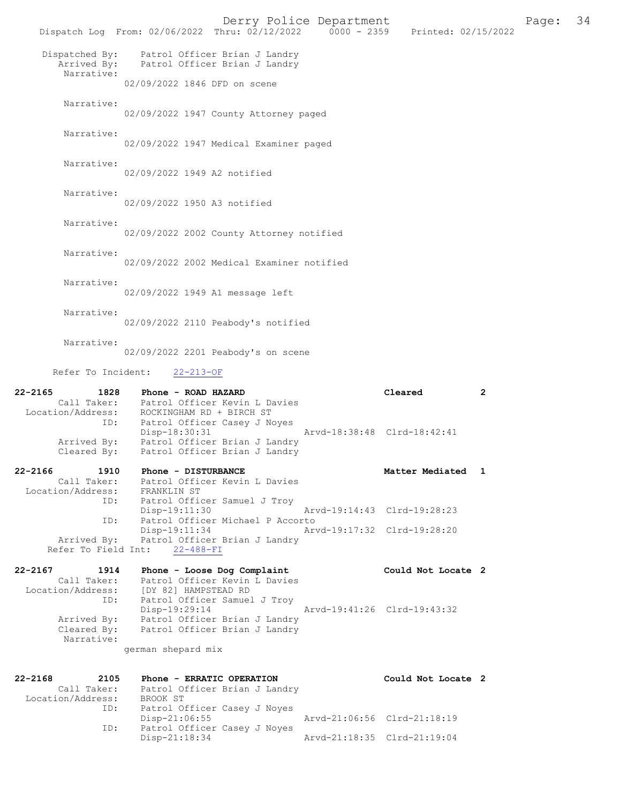Derry Police Department The Page: 34 Dispatch Log From: 02/06/2022 Thru: 02/12/2022 0000 - 2359 Printed: 02/15/2022 Dispatched By: Patrol Officer Brian J Landry Arrived By: Patrol Officer Brian J Landry Narrative: 02/09/2022 1846 DFD on scene Narrative: 02/09/2022 1947 County Attorney paged Narrative: 02/09/2022 1947 Medical Examiner paged Narrative: 02/09/2022 1949 A2 notified Narrative: 02/09/2022 1950 A3 notified Narrative: 02/09/2022 2002 County Attorney notified Narrative: 02/09/2022 2002 Medical Examiner notified Narrative: 02/09/2022 1949 A1 message left Narrative: 02/09/2022 2110 Peabody's notified Narrative: 02/09/2022 2201 Peabody's on scene Refer To Incident: 22-213-OF 22-2165 1828 Phone - ROAD HAZARD Cleared 2 Call Taker: Patrol Officer Kevin L Davies Location/Address: ROCKINGHAM RD + BIRCH ST ID: Patrol Officer Casey J Noyes Disp-18:30:31 Arvd-18:38:48 Clrd-18:42:41 Arrived By: Patrol Officer Brian J Landry Cleared By: Patrol Officer Brian J Landry 22-2166 1910 Phone - DISTURBANCE 1980 Matter Mediated 1 Call Taker: Patrol Officer Kevin L Davies Location/Address: FRANKLIN ST ID: Patrol Officer Samuel J Troy Disp-19:11:30 Arvd-19:14:43 Clrd-19:28:23 ID: Patrol Officer Michael P Accorto Disp-19:11:34 Arvd-19:17:32 Clrd-19:28:20 Arrived By: Patrol Officer Brian J Landry Refer To Field Int: 22-488-FI 22-2167 1914 Phone - Loose Dog Complaint Could Not Locate 2 Call Taker: Patrol Officer Kevin L Davies Location/Address: [DY 82] HAMPSTEAD RD ID: Patrol Officer Samuel J Troy Disp-19:29:14 Arvd-19:41:26 Clrd-19:43:32 Arrived By: Patrol Officer Brian J Landry Cleared By: Patrol Officer Brian J Landry Narrative: german shepard mix 22-2168 2105 Phone - ERRATIC OPERATION Could Not Locate 2 Call Taker: Patrol Officer Brian J Landry Location/Address: BROOK ST<br>ID: Patrol O Patrol Officer Casey J Noyes<br>Disp-21:06:55

Disp-21:06:55 Arvd-21:06:56 Clrd-21:18:19<br>ID: Patrol Officer Casey J Noves rol Officer Casey J Noyes<br>Disp-21:18:34 Disp-21:18:34 Arvd-21:18:35 Clrd-21:19:04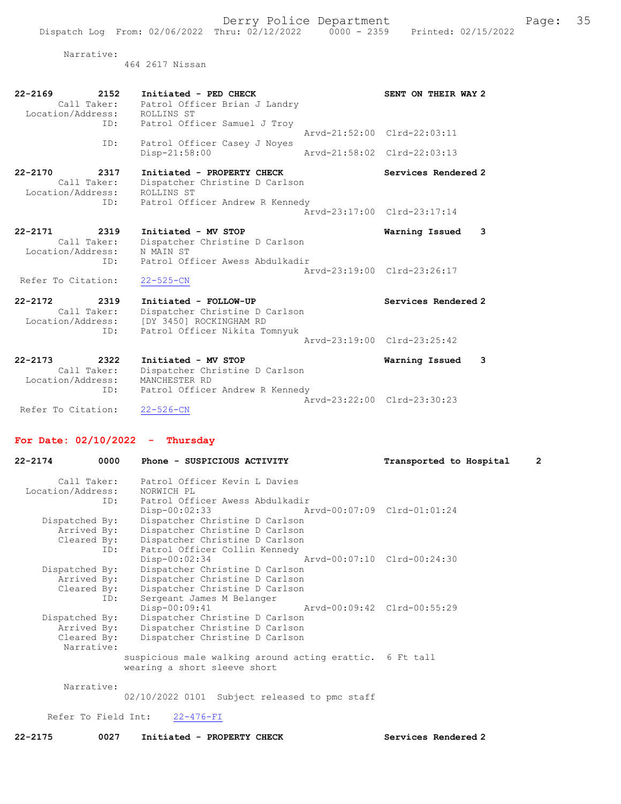Derry Police Department Fage: 35

464 2617 Nissan

| $22 - 2169$<br>2152<br>Call Taker:<br>Location/Address:        | Initiated - PED CHECK<br>Patrol Officer Brian J Landry<br>ROLLINS ST                                                | SENT ON THEIR WAY 2                                        |
|----------------------------------------------------------------|---------------------------------------------------------------------------------------------------------------------|------------------------------------------------------------|
| ID:<br>ID:                                                     | Patrol Officer Samuel J Troy<br>Patrol Officer Casey J Noyes<br>Disp-21:58:00                                       | Arvd-21:52:00 Clrd-22:03:11<br>Arvd-21:58:02 Clrd-22:03:13 |
| $22 - 2170$<br>2317<br>Call Taker:<br>Location/Address:<br>ID: | Initiated - PROPERTY CHECK<br>Dispatcher Christine D Carlson<br>ROLLINS ST<br>Patrol Officer Andrew R Kennedy       | Services Rendered 2<br>Aryd-23:17:00 Clrd-23:17:14         |
| $22 - 2171$<br>2319<br>Call Taker:<br>Location/Address:        | Initiated - MV STOP<br>Dispatcher Christine D Carlson<br>N MAIN ST                                                  | Warning Issued<br>3                                        |
| ID:<br>Refer To Citation:                                      | Patrol Officer Awess Abdulkadir<br>$22 - 525 - CN$                                                                  | Arvd-23:19:00 Clrd-23:26:17                                |
| $22 - 2172$<br>2319<br>Call Taker:<br>Location/Address:<br>ID: | Initiated - FOLLOW-UP<br>Dispatcher Christine D Carlson<br>[DY 3450] ROCKINGHAM RD<br>Patrol Officer Nikita Tomnyuk | Services Rendered 2                                        |
|                                                                |                                                                                                                     | Arvd-23:19:00 Clrd-23:25:42                                |
| $22 - 2173$<br>2322<br>Call Taker:<br>Location/Address:<br>ID: | Initiated - MV STOP<br>Dispatcher Christine D Carlson<br>MANCHESTER RD<br>Patrol Officer Andrew R Kennedy           | Warning Issued<br>3                                        |
| Refer To Citation:                                             | $22 - 526 - CN$                                                                                                     | Arvd-23:22:00 Clrd-23:30:23                                |

### For Date: 02/10/2022 - Thursday

| 22-2174           | 0000        | Phone - SUSPICIOUS ACTIVITY                              | Transported to Hospital | $\overline{2}$ |
|-------------------|-------------|----------------------------------------------------------|-------------------------|----------------|
|                   | Call Taker: | Patrol Officer Kevin L Davies                            |                         |                |
| Location/Address: |             | NORWICH PL                                               |                         |                |
|                   | ID:         | Patrol Officer Awess Abdulkadir                          |                         |                |
|                   |             | Disp-00:02:33 Arvd-00:07:09 Clrd-01:01:24                |                         |                |
| Dispatched By:    |             | Dispatcher Christine D Carlson                           |                         |                |
|                   | Arrived By: | Dispatcher Christine D Carlson                           |                         |                |
|                   |             | Cleared By: Dispatcher Christine D Carlson               |                         |                |
|                   | ID:         | Patrol Officer Collin Kennedy                            |                         |                |
|                   |             | Disp-00:02:34 Arvd-00:07:10 Clrd-00:24:30                |                         |                |
| Dispatched By:    |             | Dispatcher Christine D Carlson                           |                         |                |
|                   | Arrived By: | Dispatcher Christine D Carlson                           |                         |                |
|                   |             | Cleared By: Dispatcher Christine D Carlson               |                         |                |
|                   | ID:         | Sergeant James M Belanger                                |                         |                |
|                   |             | $Disp-00:09:41$<br>Arvd-00:09:42 Clrd-00:55:29           |                         |                |
| Dispatched By:    |             | Dispatcher Christine D Carlson                           |                         |                |
|                   | Arrived By: | Dispatcher Christine D Carlson                           |                         |                |
|                   | Cleared By: | Dispatcher Christine D Carlson                           |                         |                |
|                   | Narrative:  |                                                          |                         |                |
|                   |             | suspicious male walking around acting erattic. 6 Ft tall |                         |                |
|                   |             | wearing a short sleeve short                             |                         |                |
|                   | Narrative:  |                                                          |                         |                |
|                   |             |                                                          |                         |                |

02/10/2022 0101 Subject released to pmc staff

Refer To Field Int: 22-476-FI

22-2175 0027 Initiated - PROPERTY CHECK Services Rendered 2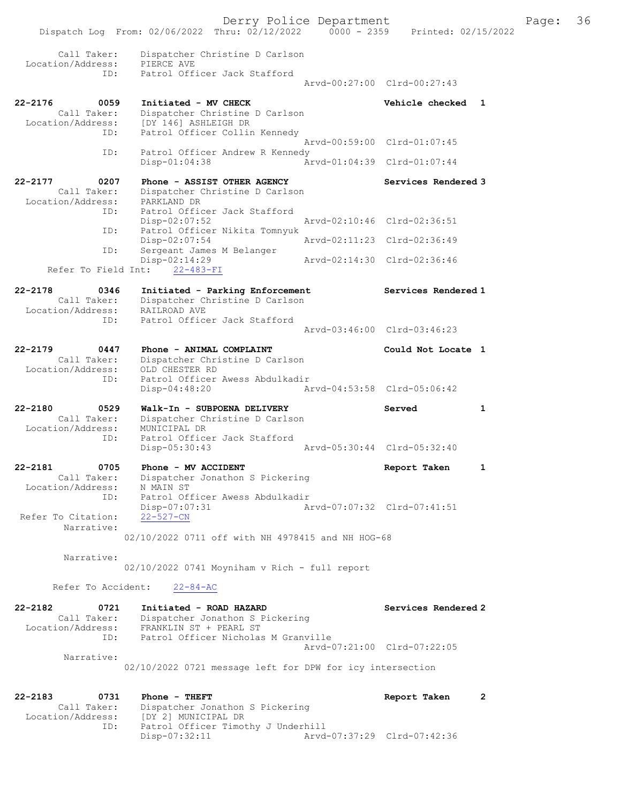|                                                                             |                                                                                                                 | Derry Police Department |                             | Page:        | 36 |
|-----------------------------------------------------------------------------|-----------------------------------------------------------------------------------------------------------------|-------------------------|-----------------------------|--------------|----|
|                                                                             | Dispatch Log From: 02/06/2022 Thru: 02/12/2022 0000 - 2359 Printed: 02/15/2022                                  |                         |                             |              |    |
| Call Taker:<br>Location/Address:                                            | Dispatcher Christine D Carlson<br>PIERCE AVE                                                                    |                         |                             |              |    |
| ID:                                                                         | Patrol Officer Jack Stafford                                                                                    |                         | Arvd-00:27:00 Clrd-00:27:43 |              |    |
| $22 - 2176$<br>0059<br>Call Taker:<br>Location/Address:                     | Initiated - MV CHECK<br>Dispatcher Christine D Carlson<br>[DY 146] ASHLEIGH DR                                  |                         | Vehicle checked 1           |              |    |
| ID:                                                                         | Patrol Officer Collin Kennedy                                                                                   |                         | Arvd-00:59:00 Clrd-01:07:45 |              |    |
| ID:                                                                         | Patrol Officer Andrew R Kennedy<br>$Disp-01:04:38$                                                              |                         | Arvd-01:04:39 Clrd-01:07:44 |              |    |
| 0207<br>22-2177<br>Call Taker:<br>Location/Address:                         | Phone - ASSIST OTHER AGENCY<br>Dispatcher Christine D Carlson<br>PARKLAND DR                                    |                         | Services Rendered 3         |              |    |
| ID:                                                                         | Patrol Officer Jack Stafford<br>$Disp-02:07:52$                                                                 |                         | Arvd-02:10:46 Clrd-02:36:51 |              |    |
| ID:                                                                         | Patrol Officer Nikita Tomnyuk<br>$Disp-02:07:54$                                                                |                         | Arvd-02:11:23 Clrd-02:36:49 |              |    |
| ID:<br>Refer To Field Int:                                                  | Sergeant James M Belanger<br>Disp-02:14:29<br>$22 - 483 - FI$                                                   |                         | Arvd-02:14:30 Clrd-02:36:46 |              |    |
| $22 - 2178$<br>0346<br>Call Taker:<br>Location/Address: RAILROAD AVE<br>ID: | Initiated - Parking Enforcement<br>Dispatcher Christine D Carlson<br>Patrol Officer Jack Stafford               |                         | Services Rendered 1         |              |    |
|                                                                             |                                                                                                                 |                         | Arvd-03:46:00 Clrd-03:46:23 |              |    |
| 22-2179<br>0447<br>Call Taker:<br>Location/Address:<br>ID:                  | Phone - ANIMAL COMPLAINT<br>Dispatcher Christine D Carlson<br>OLD CHESTER RD<br>Patrol Officer Awess Abdulkadir |                         | Could Not Locate 1          |              |    |
|                                                                             | Disp-04:48:20                                                                                                   |                         | Arvd-04:53:58 Clrd-05:06:42 |              |    |
| $22 - 2180$<br>0529<br>Call Taker:<br>Location/Address:<br>ID:              | Walk-In - SUBPOENA DELIVERY<br>Dispatcher Christine D Carlson<br>MUNICIPAL DR<br>Patrol Officer Jack Stafford   |                         | Served                      | 1            |    |
|                                                                             | Disp-05:30:43                                                                                                   |                         | Arvd-05:30:44 Clrd-05:32:40 |              |    |
| 22-2181<br>0705<br>Call Taker:<br>Location/Address:                         | Phone - MV ACCIDENT<br>Dispatcher Jonathon S Pickering<br>N MAIN ST                                             |                         | Report Taken                | 1            |    |
| ID:<br>Refer To Citation:                                                   | Patrol Officer Awess Abdulkadir<br>$Disp-07:07:31$<br>$22 - 527 - CN$                                           |                         | Arvd-07:07:32 Clrd-07:41:51 |              |    |
| Narrative:                                                                  | 02/10/2022 0711 off with NH 4978415 and NH HOG-68                                                               |                         |                             |              |    |
| Narrative:                                                                  | $02/10/2022$ 0741 Moyniham v Rich - full report                                                                 |                         |                             |              |    |
| Refer To Accident:                                                          | $22 - 84 - AC$                                                                                                  |                         |                             |              |    |
| 22-2182<br>0721<br>Call Taker:<br>Location/Address:                         | Initiated - ROAD HAZARD<br>Dispatcher Jonathon S Pickering<br>FRANKLIN ST + PEARL ST                            |                         | Services Rendered 2         |              |    |
| ID:<br>Narrative:                                                           | Patrol Officer Nicholas M Granville                                                                             |                         | Arvd-07:21:00 Clrd-07:22:05 |              |    |
|                                                                             | 02/10/2022 0721 message left for DPW for icy intersection                                                       |                         |                             |              |    |
| 22-2183<br>0731<br>Call Taker:<br>Location/Address:                         | Phone - THEFT<br>Dispatcher Jonathon S Pickering<br>[DY 2] MUNICIPAL DR                                         |                         | Report Taken                | $\mathbf{2}$ |    |
| ID:                                                                         | Patrol Officer Timothy J Underhill<br>Disp-07:32:11                                                             |                         | Arvd-07:37:29 Clrd-07:42:36 |              |    |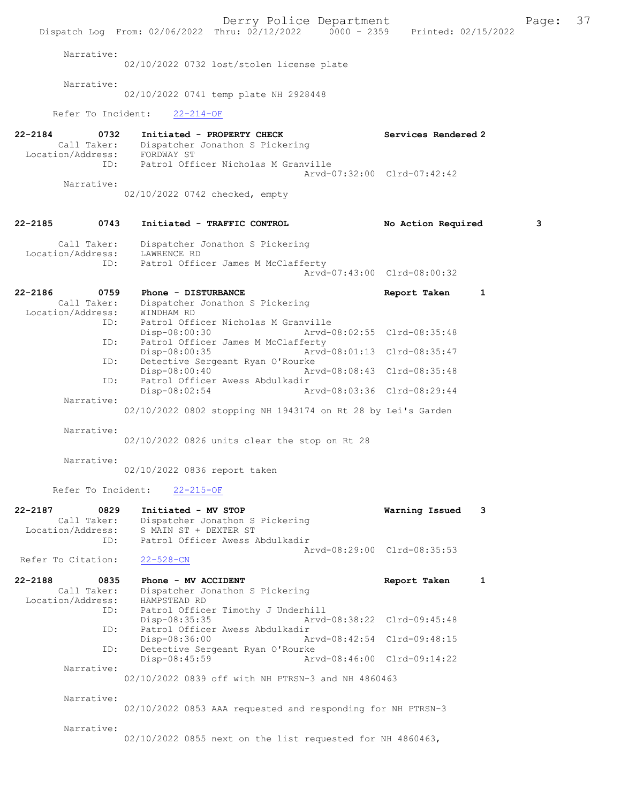Derry Police Department Fage: 37 Dispatch Log From: 02/06/2022 Thru: 02/12/2022 0000 - 2359 Printed: 02/15/2022 Narrative: 02/10/2022 0732 lost/stolen license plate Narrative: 02/10/2022 0741 temp plate NH 2928448 Refer To Incident: 22-214-OF 22-2184 0732 Initiated - PROPERTY CHECK Services Rendered 2 Call Taker: Dispatcher Jonathon S Pickering Location/Address: FORDWAY ST ID: Patrol Officer Nicholas M Granville Arvd-07:32:00 Clrd-07:42:42 Narrative: 02/10/2022 0742 checked, empty 22-2185 0743 Initiated - TRAFFIC CONTROL No Action Required 3 Call Taker: Dispatcher Jonathon S Pickering<br>ion/Address: LAWRENCE RD Location/Address: ID: Patrol Officer James M McClafferty Arvd-07:43:00 Clrd-08:00:32 22-2186 0759 Phone - DISTURBANCE 22-2186 Report Taken 1 Call Taker: Dispatcher Jonathon S Pickering<br>ion/Address: WINDHAM RD Location/Address:<br>ID: Patrol Officer Nicholas M Granville<br>Disp-08:00:30 Arvd-0 Disp-08:00:30 Arvd-08:02:55 Clrd-08:35:48 ID: Patrol Officer James M McClafferty<br>Disp-08:00:35 Arvd Disp-08:00:35 Arvd-08:01:13 Clrd-08:35:47<br>TD: Detective Sergeant Ryan O'Rourke Detective Sergeant Ryan O'Rourke Disp-08:00:40 Arvd-08:08:43 Clrd-08:35:48<br>ID: Patrol Officer Awess Abdulkadir Patrol Officer Awess Abdulkadir<br>Disp-08:02:54 Ar Disp-08:02:54 Arvd-08:03:36 Clrd-08:29:44 Narrative: 02/10/2022 0802 stopping NH 1943174 on Rt 28 by Lei's Garden Narrative: 02/10/2022 0826 units clear the stop on Rt 28 Narrative: 02/10/2022 0836 report taken Refer To Incident: 22-215-OF 22-2187 0829 Initiated - MV STOP Warning Issued 3 Call Taker: Dispatcher Jonathon S Pickering Location/Address: S MAIN ST + DEXTER ST ID: Patrol Officer Awess Abdulkadir Arvd-08:29:00 Clrd-08:35:53<br>22-528-CN Refer To Citation: 22-2188 0835 Phone - MV ACCIDENT Report Taken 1<br>Call Taker: Dispatcher Jonathon S Pickering Dispatcher Jonathon S Pickering<br>HAMPSTEAD RD Location/Address: ID: Patrol Officer Timothy J Underhill Disp-08:35:35 Arvd-08:38:22 Clrd-09:45:48 ID: Patrol Officer Awess Abdulkadir Disp-08:36:00 Arvd-08:42:54 Clrd-09:48:15<br>ID: Detective Sergeant Ryan O'Rourke Detective Sergeant Ryan O'Rourke<br>Disp-08:45:59 Ar Disp-08:45:59 Arvd-08:46:00 Clrd-09:14:22 Narrative: 02/10/2022 0839 off with NH PTRSN-3 and NH 4860463 Narrative: 02/10/2022 0853 AAA requested and responding for NH PTRSN-3 Narrative: 02/10/2022 0855 next on the list requested for NH 4860463,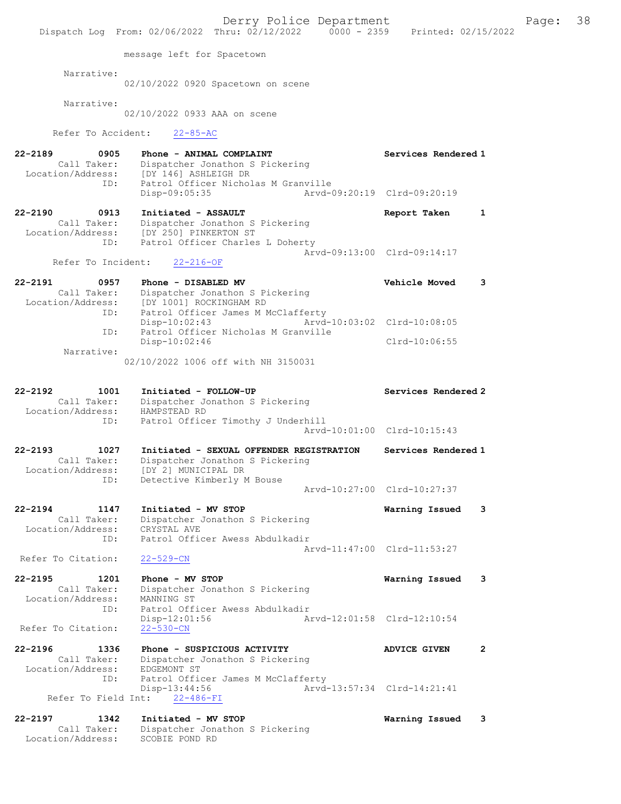|                                                                | Derry Police Department<br>Dispatch Log From: 02/06/2022 Thru: 02/12/2022 0000 - 2359 Printed: 02/15/2022                        |                                       |
|----------------------------------------------------------------|----------------------------------------------------------------------------------------------------------------------------------|---------------------------------------|
|                                                                | message left for Spacetown                                                                                                       |                                       |
| Narrative:                                                     | 02/10/2022 0920 Spacetown on scene                                                                                               |                                       |
| Narrative:                                                     | 02/10/2022 0933 AAA on scene                                                                                                     |                                       |
| Refer To Accident:                                             | $22 - 85 - AC$                                                                                                                   |                                       |
| $22 - 2189$<br>0905<br>Call Taker:                             | Phone - ANIMAL COMPLAINT<br>Dispatcher Jonathon S Pickering                                                                      | Services Rendered 1                   |
| Location/Address:<br>ID:                                       | [DY 146] ASHLEIGH DR<br>Patrol Officer Nicholas M Granville<br>Disp-09:05:35                                                     | Arvd-09:20:19 Clrd-09:20:19           |
| $22 - 2190$<br>0913<br>Call Taker:                             | Initiated - ASSAULT<br>Dispatcher Jonathon S Pickering                                                                           | 1<br>Report Taken                     |
| Location/Address:<br>ID:                                       | [DY 250] PINKERTON ST<br>Patrol Officer Charles L Doherty                                                                        | Arvd-09:13:00 Clrd-09:14:17           |
| Refer To Incident:                                             | $22 - 216 - OF$                                                                                                                  |                                       |
| $22 - 2191$<br>0957<br>Call Taker:<br>Location/Address:        | Phone - DISABLED MV<br>Dispatcher Jonathon S Pickering<br>[DY 1001] ROCKINGHAM RD                                                | Vehicle Moved<br>3                    |
| ID:                                                            | Patrol Officer James M McClafferty<br>$Disp-10:02:43$                                                                            | Arvd-10:03:02 Clrd-10:08:05           |
| ID:                                                            | Patrol Officer Nicholas M Granville<br>$Disp-10:02:46$                                                                           | $Clrd-10:06:55$                       |
| Narrative:                                                     | 02/10/2022 1006 off with NH 3150031                                                                                              |                                       |
| $22 - 2192$<br>1001<br>Call Taker:<br>Location/Address:        | Initiated - FOLLOW-UP<br>Dispatcher Jonathon S Pickering<br>HAMPSTEAD RD                                                         | Services Rendered 2                   |
| ID:                                                            | Patrol Officer Timothy J Underhill                                                                                               | Arvd-10:01:00 Clrd-10:15:43           |
| $22 - 2193$<br>1027<br>Call Taker:<br>Location/Address:<br>ID: | Initiated - SEXUAL OFFENDER REGISTRATION<br>Dispatcher Jonathon S Pickering<br>[DY 2] MUNICIPAL DR<br>Detective Kimberly M Bouse | Services Rendered 1                   |
|                                                                |                                                                                                                                  | Arvd-10:27:00 Clrd-10:27:37           |
| $22 - 2194$<br>1147<br>Call Taker:<br>Location/Address:        | Initiated - MV STOP<br>Dispatcher Jonathon S Pickering<br>CRYSTAL AVE                                                            | 3<br>Warning Issued                   |
| ID:<br>Refer To Citation:                                      | Patrol Officer Awess Abdulkadir<br>$22 - 529 - CN$                                                                               | Arvd-11:47:00 Clrd-11:53:27           |
| $22 - 2195$<br>1201<br>Call Taker:                             | Phone - MV STOP<br>Dispatcher Jonathon S Pickering                                                                               | Warning Issued<br>3                   |
| Location/Address:<br>ID:<br>Refer To Citation:                 | MANNING ST<br>Patrol Officer Awess Abdulkadir<br>$Disp-12:01:56$<br>$22 - 530 - CN$                                              | Arvd-12:01:58 Clrd-12:10:54           |
|                                                                |                                                                                                                                  |                                       |
| 22-2196<br>1336<br>Call Taker:<br>Location/Address:            | Phone - SUSPICIOUS ACTIVITY<br>Dispatcher Jonathon S Pickering<br>EDGEMONT ST                                                    | $\overline{2}$<br><b>ADVICE GIVEN</b> |
| ID:                                                            | Patrol Officer James M McClafferty<br>$Disp-13:44:56$<br>Refer To Field Int: 22-486-FI                                           | Arvd-13:57:34 Clrd-14:21:41           |
| 22-2197<br>1342<br>Call Taker:<br>Location/Address:            | Initiated - MV STOP<br>Dispatcher Jonathon S Pickering<br>SCOBIE POND RD                                                         | Warning Issued<br>3                   |

Page:  $38$ <br>2022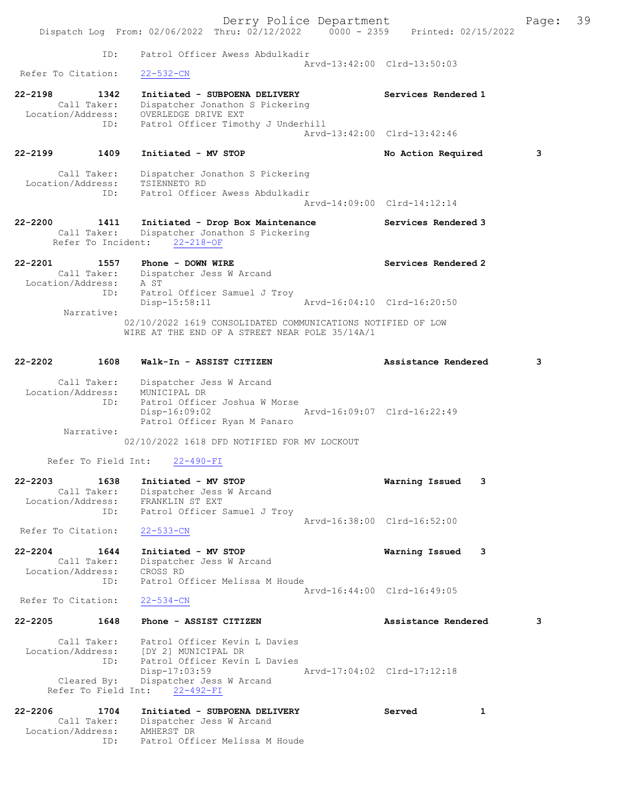|                                                                | Derry Police Department<br>Dispatch Log From: 02/06/2022 Thru: 02/12/2022 0000 - 2359 Printed: 02/15/2022                                            |                             | Page: | 39 |
|----------------------------------------------------------------|------------------------------------------------------------------------------------------------------------------------------------------------------|-----------------------------|-------|----|
| ID:                                                            | Patrol Officer Awess Abdulkadir                                                                                                                      | Arvd-13:42:00 Clrd-13:50:03 |       |    |
| Refer To Citation:                                             | $22 - 532 - CN$                                                                                                                                      |                             |       |    |
| $22 - 2198$<br>1342<br>Call Taker:<br>Location/Address:<br>ID: | Initiated - SUBPOENA DELIVERY<br>Dispatcher Jonathon S Pickering<br>OVERLEDGE DRIVE EXT<br>Patrol Officer Timothy J Underhill                        | Services Rendered 1         |       |    |
|                                                                |                                                                                                                                                      | Arvd-13:42:00 Clrd-13:42:46 |       |    |
| 22-2199<br>1409                                                | Initiated - MV STOP                                                                                                                                  | No Action Required          | 3     |    |
| Call Taker:<br>Location/Address:<br>ID:                        | Dispatcher Jonathon S Pickering<br>TSIENNETO RD<br>Patrol Officer Awess Abdulkadir                                                                   | Arvd-14:09:00 Clrd-14:12:14 |       |    |
|                                                                |                                                                                                                                                      |                             |       |    |
| 22-2200 1411<br>Call Taker:<br>Refer To Incident:              | Initiated - Drop Box Maintenance<br>Dispatcher Jonathon S Pickering<br>$22 - 218 - OF$                                                               | Services Rendered 3         |       |    |
| 22-2201<br>1557<br>Call Taker:<br>Location/Address:            | Phone - DOWN WIRE<br>Dispatcher Jess W Arcand<br>A ST                                                                                                | Services Rendered 2         |       |    |
| ID:                                                            | Patrol Officer Samuel J Troy<br>Disp-15:58:11                                                                                                        | Arvd-16:04:10 Clrd-16:20:50 |       |    |
| Narrative:                                                     | 02/10/2022 1619 CONSOLIDATED COMMUNICATIONS NOTIFIED OF LOW<br>WIRE AT THE END OF A STREET NEAR POLE 35/14A/1                                        |                             |       |    |
| 22-2202<br>1608                                                | Walk-In - ASSIST CITIZEN                                                                                                                             | Assistance Rendered         | 3     |    |
| Call Taker:<br>Location/Address:<br>ID:                        | Dispatcher Jess W Arcand<br>MUNICIPAL DR<br>Patrol Officer Joshua W Morse<br>Disp-16:09:02<br>Patrol Officer Ryan M Panaro                           | Arvd-16:09:07 Clrd-16:22:49 |       |    |
| Narrative:                                                     | 02/10/2022 1618 DFD NOTIFIED FOR MV LOCKOUT                                                                                                          |                             |       |    |
| Refer To Field Int:                                            | $22 - 490 - FI$                                                                                                                                      |                             |       |    |
| $22 - 2203$<br>1638<br>Call Taker:<br>Location/Address:<br>ID: | Initiated - MV STOP<br>Dispatcher Jess W Arcand<br>FRANKLIN ST EXT<br>Patrol Officer Samuel J Troy                                                   | 3<br>Warning Issued         |       |    |
| Refer To Citation:                                             | $22 - 533 - CN$                                                                                                                                      | Arvd-16:38:00 Clrd-16:52:00 |       |    |
| $22 - 2204$<br>1644                                            | Initiated - MV STOP                                                                                                                                  | Warning Issued 3            |       |    |
| Call Taker:<br>Location/Address:<br>ID:                        | Dispatcher Jess W Arcand<br>CROSS RD<br>Patrol Officer Melissa M Houde                                                                               |                             |       |    |
| Refer To Citation:                                             | $22 - 534 - CN$                                                                                                                                      | Arvd-16:44:00 Clrd-16:49:05 |       |    |
| $22 - 2205$<br>1648                                            | Phone - ASSIST CITIZEN                                                                                                                               | Assistance Rendered         | 3     |    |
| Call Taker:<br>ID:<br>Cleared By:                              | Patrol Officer Kevin L Davies<br>Location/Address: [DY 2] MUNICIPAL DR<br>Patrol Officer Kevin L Davies<br>Disp-17:03:59<br>Dispatcher Jess W Arcand | Arvd-17:04:02 Clrd-17:12:18 |       |    |
| Refer To Field Int:                                            | $22 - 492 - FI$                                                                                                                                      |                             |       |    |
| $22 - 2206$<br>1704<br>Call Taker:<br>Location/Address:<br>ID: | Initiated - SUBPOENA DELIVERY<br>Dispatcher Jess W Arcand<br>AMHERST DR<br>Patrol Officer Melissa M Houde                                            | Served<br>1                 |       |    |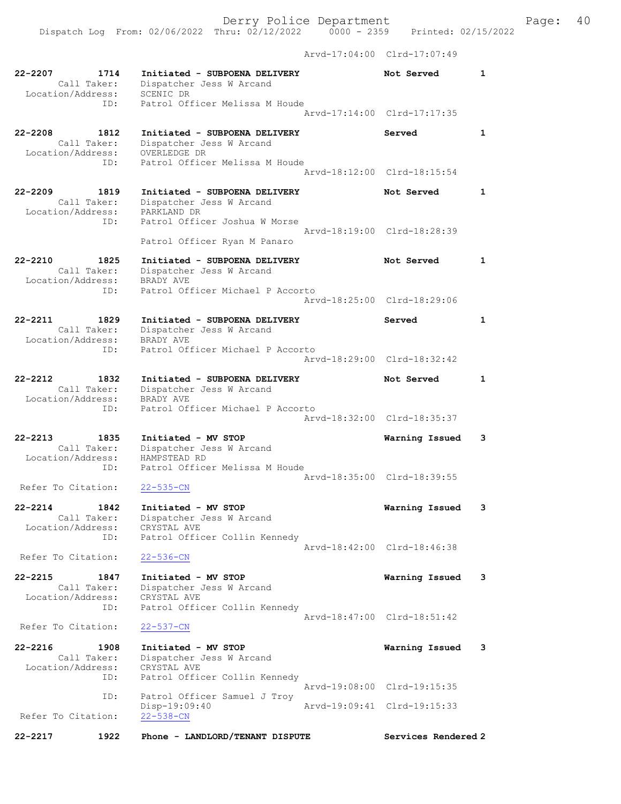Arvd-17:04:00 Clrd-17:07:49

| 22-2207<br>1714<br>Call Taker:<br>Location/Address:            | Initiated - SUBPOENA DELIVERY<br>Dispatcher Jess W Arcand<br>SCENIC DR                                      | Not Served                  | 1                       |
|----------------------------------------------------------------|-------------------------------------------------------------------------------------------------------------|-----------------------------|-------------------------|
| ID:                                                            | Patrol Officer Melissa M Houde                                                                              | Arvd-17:14:00 Clrd-17:17:35 |                         |
| $22 - 2208$<br>1812<br>Call Taker:<br>Location/Address:<br>ID: | Initiated - SUBPOENA DELIVERY<br>Dispatcher Jess W Arcand<br>OVERLEDGE DR<br>Patrol Officer Melissa M Houde | Served                      | $\mathbf{1}$            |
|                                                                |                                                                                                             | Arvd-18:12:00 Clrd-18:15:54 |                         |
| $22 - 2209$<br>1819<br>Call Taker:<br>Location/Address:<br>ID: | Initiated - SUBPOENA DELIVERY<br>Dispatcher Jess W Arcand<br>PARKLAND DR<br>Patrol Officer Joshua W Morse   | Not Served                  | $\mathbf{1}$            |
|                                                                | Patrol Officer Ryan M Panaro                                                                                | Arvd-18:19:00 Clrd-18:28:39 |                         |
| $22 - 2210$<br>1825<br>Call Taker:<br>Location/Address:        | Initiated - SUBPOENA DELIVERY<br>Dispatcher Jess W Arcand<br>BRADY AVE                                      | Not Served                  | 1                       |
| ID:                                                            | Patrol Officer Michael P Accorto                                                                            | Arvd-18:25:00 Clrd-18:29:06 |                         |
| $22 - 2211$<br>1829<br>Call Taker:<br>Location/Address:        | Initiated - SUBPOENA DELIVERY<br>Dispatcher Jess W Arcand<br>BRADY AVE                                      | Served                      | 1                       |
| ID:                                                            | Patrol Officer Michael P Accorto                                                                            | Arvd-18:29:00 Clrd-18:32:42 |                         |
| $22 - 2212$<br>1832<br>Call Taker:<br>Location/Address:        | Initiated - SUBPOENA DELIVERY<br>Dispatcher Jess W Arcand<br>BRADY AVE                                      | Not Served                  | 1                       |
| ID:                                                            | Patrol Officer Michael P Accorto                                                                            | Arvd-18:32:00 Clrd-18:35:37 |                         |
| $22 - 2213$<br>1835<br>Call Taker:<br>Location/Address:        | Initiated - MV STOP<br>Dispatcher Jess W Arcand<br>HAMPSTEAD RD                                             | Warning Issued              | 3                       |
| ID:<br>Refer To Citation:                                      | Patrol Officer Melissa M Houde<br>$22 - 535 - CN$                                                           | Arvd-18:35:00 Clrd-18:39:55 |                         |
| 22-2214<br>1842<br>Location/Address:                           | Initiated - MV STOP<br>Call Taker: Dispatcher Jess W Arcand<br>CRYSTAL AVE                                  | Warning Issued              | 3                       |
| ID:<br>Refer To Citation:                                      | Patrol Officer Collin Kennedy<br>$22 - 536 - CN$                                                            | Arvd-18:42:00 Clrd-18:46:38 |                         |
| 22-2215<br>1847                                                | Initiated - MV STOP                                                                                         | Warning Issued              | 3                       |
| Call Taker:<br>Location/Address:<br>ID:                        | Dispatcher Jess W Arcand<br>CRYSTAL AVE<br>Patrol Officer Collin Kennedy                                    |                             |                         |
| Refer To Citation:                                             | $22 - 537 - CN$                                                                                             | Arvd-18:47:00 Clrd-18:51:42 |                         |
| $22 - 2216$<br>1908<br>Call Taker:<br>Location/Address:<br>ID: | Initiated - MV STOP<br>Dispatcher Jess W Arcand<br>CRYSTAL AVE<br>Patrol Officer Collin Kennedy             | Warning Issued              | $\overline{\mathbf{3}}$ |
| ID:                                                            | Patrol Officer Samuel J Troy                                                                                | Arvd-19:08:00 Clrd-19:15:35 |                         |
| Refer To Citation:                                             | Disp-19:09:40<br>$22 - 538 - CN$                                                                            | Arvd-19:09:41 Clrd-19:15:33 |                         |
| 22-2217<br>1922                                                | Phone - LANDLORD/TENANT DISPUTE                                                                             | Services Rendered 2         |                         |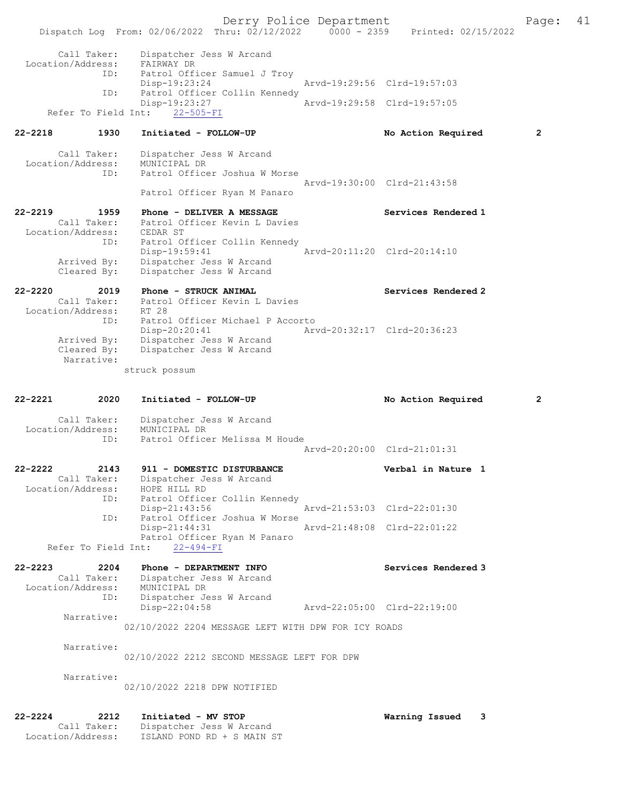Derry Police Department Fage: 41 Dispatch Log From: 02/06/2022 Thru: 02/12/2022 0000 - 2359 Printed: 02/15/2022 Call Taker: Dispatcher Jess W Arcand Location/Address: FAIRWAY DR ID: Patrol Officer Samuel J Troy Disp-19:23:24 **Arvd-19:29:56** Clrd-19:57:03<br>TD: Patrol Officer Collin Kennedy Patrol Officer Collin Kennedy<br>Disp-19:23:27 Disp-19:23:27 Arvd-19:29:58 Clrd-19:57:05 Refer To Field Int: 22-505-FI 22-2218 1930 Initiated - FOLLOW-UP No Action Required 2 Call Taker: Dispatcher Jess W Arcand Location/Address: MUNICIPAL DR ID: Patrol Officer Joshua W Morse Arvd-19:30:00 Clrd-21:43:58 Patrol Officer Ryan M Panaro 22-2219 1959 Phone - DELIVER A MESSAGE Services Rendered 1 Call Taker: Patrol Officer Kevin L Davies Location/Address: CEDAR ST ID: Patrol Officer Collin Kennedy Disp-19:59:41 Arvd-20:11:20 Clrd-20:14:10 Arrived By: Dispatcher Jess W Arcand Cleared By: Dispatcher Jess W Arcand 22-2220 2019 Phone - STRUCK ANIMAL 20 Services Rendered 2 Call Taker: Patrol Officer Kevin L Davies Location/Address: RT 28 ID: Patrol Officer Michael P Accorto Disp-20:20:41 Arvd-20:32:17 Clrd-20:36:23 Arrived By: Dispatcher Jess W Arcand Cleared By: Dispatcher Jess W Arcand Narrative: struck possum 22-2221 2020 Initiated - FOLLOW-UP No Action Required 2 Call Taker: Dispatcher Jess W Arcand Location/Address: MUNICIPAL DR ID: Patrol Officer Melissa M Houde Arvd-20:20:00 Clrd-21:01:31 22-2222 2143 911 - DOMESTIC DISTURBANCE Verbal in Nature 1 Call Taker: Dispatcher Jess W Arcand Location/Address: HOPE HILL RD ID: Patrol Officer Collin Kennedy Disp-21:43:56 <br>Disp-21:43:56 Arvd-21:53:03 Clrd-22:01:30<br>D: Patrol Officer Joshua W Morse Patrol Officer Joshua W Morse<br>Disp-21:44:31 Disp-21:44:31 Arvd-21:48:08 Clrd-22:01:22 Patrol Officer Ryan M Panaro Refer To Field Int: 22-494-FI 22-2223 2204 Phone - DEPARTMENT INFO Services Rendered 3 Call Taker: Dispatcher Jess W Arcand Location/Address: MUNICIPAL DR ID: Dispatcher Jess W Arcand<br>Disp-22:04:58 Disp-22:04:58 Arvd-22:05:00 Clrd-22:19:00 Narrative: 02/10/2022 2204 MESSAGE LEFT WITH DPW FOR ICY ROADS Narrative: 02/10/2022 2212 SECOND MESSAGE LEFT FOR DPW Narrative: 02/10/2022 2218 DPW NOTIFIED 22-2224 2212 Initiated - MV STOP Warning Issued 3 Call Taker: Dispatcher Jess W Arcand

Location/Address: ISLAND POND RD + S MAIN ST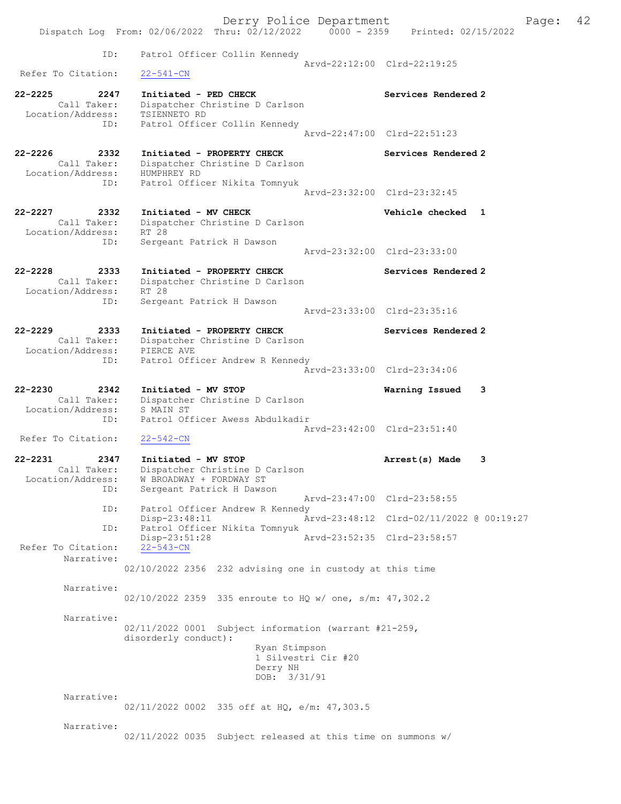|                                                                | Derry Police Department                                                                                                    |                             |                                          | Page: | 42 |
|----------------------------------------------------------------|----------------------------------------------------------------------------------------------------------------------------|-----------------------------|------------------------------------------|-------|----|
|                                                                | Dispatch Log From: 02/06/2022 Thru: 02/12/2022 0000 - 2359                                                                 |                             | Printed: 02/15/2022                      |       |    |
| ID:                                                            | Patrol Officer Collin Kennedy                                                                                              |                             | Arvd-22:12:00 Clrd-22:19:25              |       |    |
| Refer To Citation:                                             | $22 - 541 - CN$                                                                                                            |                             |                                          |       |    |
| $22 - 2225$<br>2247<br>Call Taker:<br>Location/Address:        | Initiated - PED CHECK<br>Dispatcher Christine D Carlson<br>TSIENNETO RD                                                    |                             | Services Rendered 2                      |       |    |
| ID:                                                            | Patrol Officer Collin Kennedy                                                                                              |                             | Arvd-22:47:00 Clrd-22:51:23              |       |    |
| $22 - 2226$<br>2332<br>Call Taker:<br>Location/Address:<br>ID: | Initiated - PROPERTY CHECK<br>Dispatcher Christine D Carlson<br>HUMPHREY RD<br>Patrol Officer Nikita Tomnyuk               |                             | Services Rendered 2                      |       |    |
|                                                                |                                                                                                                            |                             | Arvd-23:32:00 Clrd-23:32:45              |       |    |
| $22 - 2227$<br>2332<br>Call Taker:<br>Location/Address:<br>ID: | Initiated - MV CHECK<br>Dispatcher Christine D Carlson<br>RT 28<br>Sergeant Patrick H Dawson                               |                             | Vehicle checked 1                        |       |    |
|                                                                |                                                                                                                            |                             | Arvd-23:32:00 Clrd-23:33:00              |       |    |
| $22 - 2228$<br>2333<br>Call Taker:<br>Location/Address:        | Initiated - PROPERTY CHECK<br>Dispatcher Christine D Carlson<br>RT 28                                                      |                             | Services Rendered 2                      |       |    |
| ID:                                                            | Sergeant Patrick H Dawson                                                                                                  | Arvd-23:33:00 Clrd-23:35:16 |                                          |       |    |
| $22 - 2229$<br>2333<br>Call Taker:<br>Location/Address:        | Initiated - PROPERTY CHECK<br>Dispatcher Christine D Carlson<br>PIERCE AVE                                                 |                             | Services Rendered 2                      |       |    |
| ID:                                                            | Patrol Officer Andrew R Kennedy                                                                                            |                             | Arvd-23:33:00 Clrd-23:34:06              |       |    |
| $22 - 2230$<br>2342<br>Call Taker:<br>Location/Address:<br>ID: | Initiated - MV STOP<br>Dispatcher Christine D Carlson<br>S MAIN ST<br>Patrol Officer Awess Abdulkadir                      |                             | Warning Issued<br>3                      |       |    |
| Refer To Citation:                                             | $22 - 542 - CN$                                                                                                            |                             | Arvd-23:42:00 Clrd-23:51:40              |       |    |
| $22 - 2231$<br>2347                                            | Initiated - MV STOP                                                                                                        |                             | Arrest(s) Made<br>3                      |       |    |
| Call Taker:<br>Location/Address:<br>ID:                        | Dispatcher Christine D Carlson<br>W BROADWAY + FORDWAY ST<br>Sergeant Patrick H Dawson                                     |                             |                                          |       |    |
| ID:                                                            | Patrol Officer Andrew R Kennedy                                                                                            |                             | Arvd-23:47:00 Clrd-23:58:55              |       |    |
| ID:                                                            | Disp-23:48:11<br>Patrol Officer Nikita Tomnyuk                                                                             |                             | Arvd-23:48:12 Clrd-02/11/2022 @ 00:19:27 |       |    |
| Refer To Citation:                                             | Disp-23:51:28<br>$22 - 543 - CN$                                                                                           | Arvd-23:52:35 Clrd-23:58:57 |                                          |       |    |
| Narrative:                                                     | 02/10/2022 2356 232 advising one in custody at this time                                                                   |                             |                                          |       |    |
| Narrative:                                                     | 02/10/2022 2359 335 enroute to HQ w/ one, s/m: 47,302.2                                                                    |                             |                                          |       |    |
| Narrative:                                                     | 02/11/2022 0001 Subject information (warrant #21-259,<br>disorderly conduct):<br>Ryan Stimpson<br>Derry NH<br>DOB: 3/31/91 | 1 Silvestri Cir #20         |                                          |       |    |
| Narrative:                                                     | 02/11/2022 0002 335 off at HQ, e/m: 47,303.5                                                                               |                             |                                          |       |    |
| Narrative:                                                     | 02/11/2022 0035 Subject released at this time on summons w/                                                                |                             |                                          |       |    |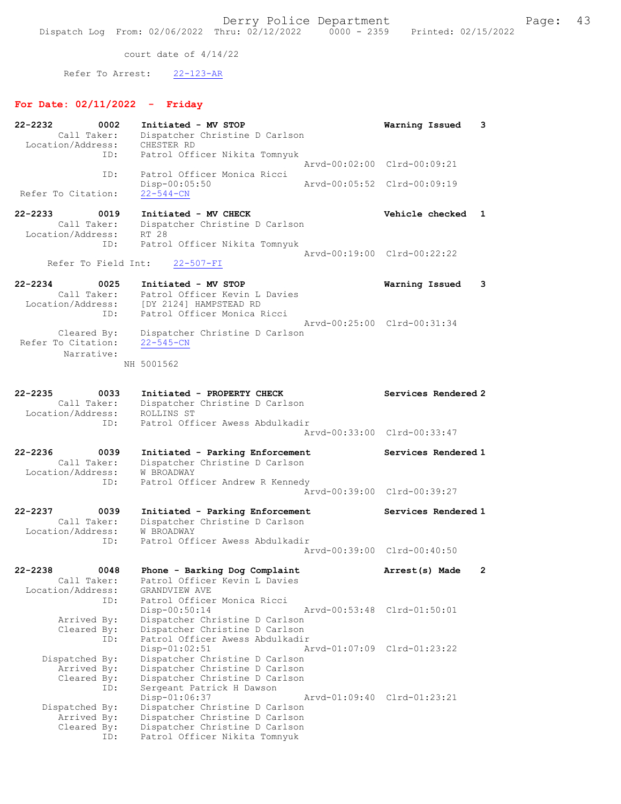court date of 4/14/22

Refer To Arrest: 22-123-AR

## For Date: 02/11/2022 - Friday

| 22-2232<br>0002<br>Call Taker:<br>Location/Address:            | Initiated - MV STOP<br>Dispatcher Christine D Carlson<br>CHESTER RD                                                                                                               | 3<br>Warning Issued         |
|----------------------------------------------------------------|-----------------------------------------------------------------------------------------------------------------------------------------------------------------------------------|-----------------------------|
| ID:                                                            | Patrol Officer Nikita Tomnyuk                                                                                                                                                     | Arvd-00:02:00 Clrd-00:09:21 |
| ID:<br>Refer To Citation:                                      | Patrol Officer Monica Ricci<br>Disp-00:05:50<br>$22 - 544 - CN$                                                                                                                   | Arvd-00:05:52 Clrd-00:09:19 |
| 22-2233<br>0019                                                | Initiated - MV CHECK                                                                                                                                                              | Vehicle checked<br>1        |
| Call Taker:<br>Location/Address:                               | Dispatcher Christine D Carlson<br>RT 28                                                                                                                                           |                             |
| ID:                                                            | Patrol Officer Nikita Tomnyuk                                                                                                                                                     | Arvd-00:19:00 Clrd-00:22:22 |
| Refer To Field Int:                                            | $22 - 507 - FI$                                                                                                                                                                   |                             |
| 22-2234<br>0025<br>Call Taker:<br>Location/Address:<br>ID:     | Initiated - MV STOP<br>Patrol Officer Kevin L Davies<br>[DY 2124] HAMPSTEAD RD<br>Patrol Officer Monica Ricci                                                                     | Warning Issued<br>3         |
| Cleared By:<br>Refer To Citation:                              | Dispatcher Christine D Carlson<br>$22 - 545 - CN$                                                                                                                                 | Arvd-00:25:00 Clrd-00:31:34 |
| Narrative:                                                     | NH 5001562                                                                                                                                                                        |                             |
| $22 - 2235$<br>0033<br>Call Taker:<br>Location/Address:<br>ID: | Initiated - PROPERTY CHECK<br>Dispatcher Christine D Carlson<br>ROLLINS ST<br>Patrol Officer Awess Abdulkadir                                                                     | Services Rendered 2         |
|                                                                |                                                                                                                                                                                   | Arvd-00:33:00 Clrd-00:33:47 |
| $22 - 2236$<br>0039<br>Call Taker:<br>Location/Address:        | Initiated - Parking Enforcement<br>Dispatcher Christine D Carlson<br><b>W BROADWAY</b>                                                                                            | Services Rendered 1         |
| ID:                                                            | Patrol Officer Andrew R Kennedy                                                                                                                                                   | Arvd-00:39:00 Clrd-00:39:27 |
| $22 - 2237$<br>0039<br>Call Taker:<br>Location/Address:<br>ID: | Initiated - Parking Enforcement<br>Dispatcher Christine D Carlson<br>W BROADWAY<br>Patrol Officer Awess Abdulkadir                                                                | Services Rendered 1         |
|                                                                |                                                                                                                                                                                   | Arvd-00:39:00 Clrd-00:40:50 |
| 0048<br>$22 - 2238$<br>Call Taker:<br>Location/Address:<br>ID: | Phone - Barking Dog Complaint<br>Patrol Officer Kevin L Davies<br>GRANDVIEW AVE<br>Patrol Officer Monica Ricci                                                                    | Arrest(s) Made<br>2         |
| Arrived By:<br>Cleared By:<br>ID:                              | Disp-00:50:14<br>Dispatcher Christine D Carlson<br>Dispatcher Christine D Carlson<br>Patrol Officer Awess Abdulkadir                                                              | Arvd-00:53:48 Clrd-01:50:01 |
| Dispatched By:<br>Arrived By:<br>Cleared By:                   | Disp-01:02:51<br>Dispatcher Christine D Carlson<br>Dispatcher Christine D Carlson<br>Dispatcher Christine D Carlson                                                               | Arvd-01:07:09 Clrd-01:23:22 |
| ID:<br>Dispatched By:<br>Arrived By:<br>Cleared By:<br>ID:     | Sergeant Patrick H Dawson<br>Disp-01:06:37<br>Dispatcher Christine D Carlson<br>Dispatcher Christine D Carlson<br>Dispatcher Christine D Carlson<br>Patrol Officer Nikita Tomnyuk | Arvd-01:09:40 Clrd-01:23:21 |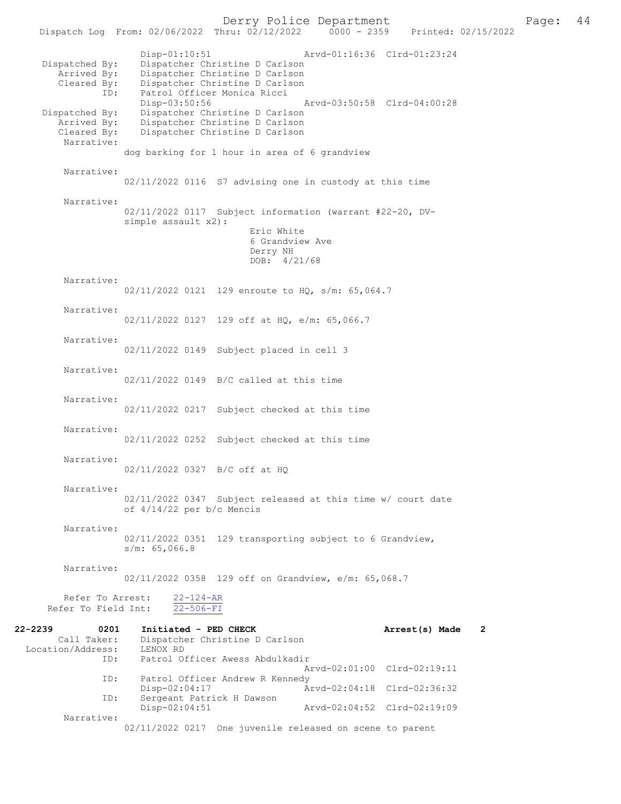Dispatch Log From: 02/06/2022 Thru: 02/12/2022 Disp-01:10:51 Arvd-01:16:36 Clrd-01:23:24 Dispatched By: Dispatcher Christine D Carlson<br>Arrived By: Dispatcher Christine D Carlson Arrived By: Dispatcher Christine D Carlson<br>Cleared By: Dispatcher Christine D Carlson By: Dispatcher Christine D Carlson<br>ID: Patrol Officer Monica Ricci Patrol Officer Monica Ricci<br>Disp-03:50:56 Disp-03:50:56 Arvd-03:50:58 Clrd-04:00:28<br>Dispatched By: Dispatcher Christine D Carlson Dispatcher Christine D Carlson Arrived By: Dispatcher Christine D Carlson<br>Cleared By: Dispatcher Christine D Carlson Dispatcher Christine D Carlson Narrative: dog barking for 1 hour in area of 6 grandview Narrative: 02/11/2022 0116 S7 advising one in custody at this time Narrative: 02/11/2022 0117 Subject information (warrant #22-20, DVsimple assault x2): Eric White 6 Grandview Ave Derry NH DOB: 4/21/68 Narrative: 02/11/2022 0121 129 enroute to HQ, s/m: 65,064.7 Narrative: 02/11/2022 0127 129 off at HO, e/m: 65,066.7 Narrative: 02/11/2022 0149 Subject placed in cell 3 Narrative: 02/11/2022 0149 B/C called at this time Narrative: 02/11/2022 0217 Subject checked at this time Narrative: 02/11/2022 0252 Subject checked at this time Narrative: 02/11/2022 0327 B/C off at HQ Narrative: 02/11/2022 0347 Subject released at this time w/ court date of 4/14/22 per b/c Mencis Narrative: 02/11/2022 0351 129 transporting subject to 6 Grandview, s/m: 65,066.8 Narrative: 02/11/2022 0358 129 off on Grandview, e/m: 65,068.7 Refer To Arrest:  $\frac{22-124-AR}{22-506-FI}$ Refer To Field Int: 22-2239 0201 Initiated - PED CHECK Arrest(s) Made 2 Call Taker: Dispatcher Christine D Carlson<br>.on/Address: LENOX RD  $Location/Address:   
  $ID$$ Patrol Officer Awess Abdulkadir Arvd-02:01:00 Clrd-02:19:11<br>ID: Patrol Officer Andrew R Kennedy Patrol Officer Andrew R Kennedy<br>Disp-02:04:17 Am Disp-02:04:17 Arvd-02:04:18 Clrd-02:36:32<br>TD: Sergeant Patrick H Dawson Sergeant Patrick H Dawson<br>Disp-02:04:51 Disp-02:04:51 Arvd-02:04:52 Clrd-02:19:09 Narrative: 02/11/2022 0217 One juvenile released on scene to parent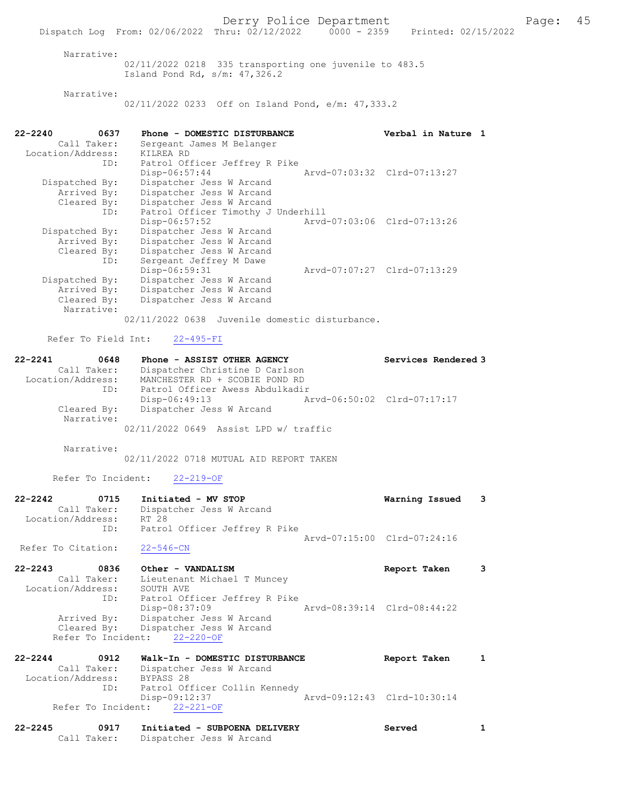Derry Police Department Fage: 45 Dispatch Log From: 02/06/2022 Thru: 02/12/2022 0000 - 2359 Printed: 02/15/2022 Narrative:

02/11/2022 0218 335 transporting one juvenile to 483.5 Island Pond Rd, s/m: 47,326.2

Narrative:

02/11/2022 0233 Off on Island Pond, e/m: 47,333.2

| $22 - 2240$<br>0637 | Phone - DOMESTIC DISTURBANCE                   | Verbal in Nature 1          |  |
|---------------------|------------------------------------------------|-----------------------------|--|
| Call Taker:         | Sergeant James M Belanger                      |                             |  |
| Location/Address:   | KILREA RD                                      |                             |  |
|                     | ID:<br>Patrol Officer Jeffrey R Pike           |                             |  |
|                     | $Disp-06:57:44$                                | Arvd-07:03:32 Clrd-07:13:27 |  |
| Dispatched By:      | Dispatcher Jess W Arcand                       |                             |  |
| Arrived By:         | Dispatcher Jess W Arcand                       |                             |  |
| Cleared By:         | Dispatcher Jess W Arcand                       |                             |  |
| ID:                 | Patrol Officer Timothy J Underhill             |                             |  |
|                     | Disp-06:57:52                                  | Arvd-07:03:06 Clrd-07:13:26 |  |
| Dispatched By:      | Dispatcher Jess W Arcand                       |                             |  |
| Arrived By:         | Dispatcher Jess W Arcand                       |                             |  |
| Cleared By:         | Dispatcher Jess W Arcand                       |                             |  |
| ID:                 | Sergeant Jeffrey M Dawe                        |                             |  |
|                     | Disp-06:59:31                                  | Arvd-07:07:27 Clrd-07:13:29 |  |
| Dispatched By:      | Dispatcher Jess W Arcand                       |                             |  |
| Arrived By:         | Dispatcher Jess W Arcand                       |                             |  |
| Cleared By:         | Dispatcher Jess W Arcand                       |                             |  |
| Narrative:          |                                                |                             |  |
|                     | 02/11/2022 0638 Juvenile domestic disturbance. |                             |  |

Refer To Field Int: 22-495-FI

| 22-2241                   | 0648 | Phone - ASSIST OTHER AGENCY           |  |                             | Services Rendered 3 |
|---------------------------|------|---------------------------------------|--|-----------------------------|---------------------|
| Call Taker:               |      | Dispatcher Christine D Carlson        |  |                             |                     |
| Location/Address:         |      | MANCHESTER RD + SCOBIE POND RD        |  |                             |                     |
|                           | ID:  | Patrol Officer Awess Abdulkadir       |  |                             |                     |
|                           |      | Disp-06:49:13                         |  | Arvd-06:50:02 Clrd-07:17:17 |                     |
| Cleared By:<br>Narrative: |      | Dispatcher Jess W Arcand              |  |                             |                     |
|                           |      | 02/11/2022 0649 Assist LPD w/ traffic |  |                             |                     |

Narrative:

02/11/2022 0718 MUTUAL AID REPORT TAKEN

Refer To Incident: 22-219-OF

| 22-2242 0715<br>Call Taker:<br>Location/Address: | Initiated - MV STOP<br>Dispatcher Jess W Arcand<br>RT 28<br>ID: Patrol Officer Jeffrey R Pike | Warning Issued              | - 3 |
|--------------------------------------------------|-----------------------------------------------------------------------------------------------|-----------------------------|-----|
| Refer To Citation:                               | $22 - 546 - CN$                                                                               | Arvd-07:15:00 Clrd-07:24:16 |     |
| $22 - 2243$<br>0836                              | Other - VANDALISM                                                                             | Report Taken                | 3   |
| Call Taker:                                      | Lieutenant Michael T Muncey                                                                   |                             |     |
| Location/Address:                                | SOUTH AVE                                                                                     |                             |     |
| ID:                                              | Patrol Officer Jeffrey R Pike<br>Disp-08:37:09                                                | Aryd-08:39:14 Clrd-08:44:22 |     |
| Arrived By:                                      | Dispatcher Jess W Arcand                                                                      |                             |     |
|                                                  | Cleared By: Dispatcher Jess W Arcand                                                          |                             |     |
| Refer To Incident:                               | $22 - 220 - 0F$                                                                               |                             |     |
| $22 - 2244$<br>0912                              | Walk-In - DOMESTIC DISTURBANCE                                                                | Report Taken                |     |
| Call Taker:                                      | Dispatcher Jess W Arcand                                                                      |                             |     |

 Location/Address: BYPASS 28 ID: Patrol Officer Collin Kennedy Disp-09:12:37 Arvd-09:12:43 Clrd-10:30:14 Refer To Incident: 22-221-OF

```
22-2245 0917 Initiated - SUBPOENA DELIVERY Served 1 
 Call Taker: Dispatcher Jess W Arcand
```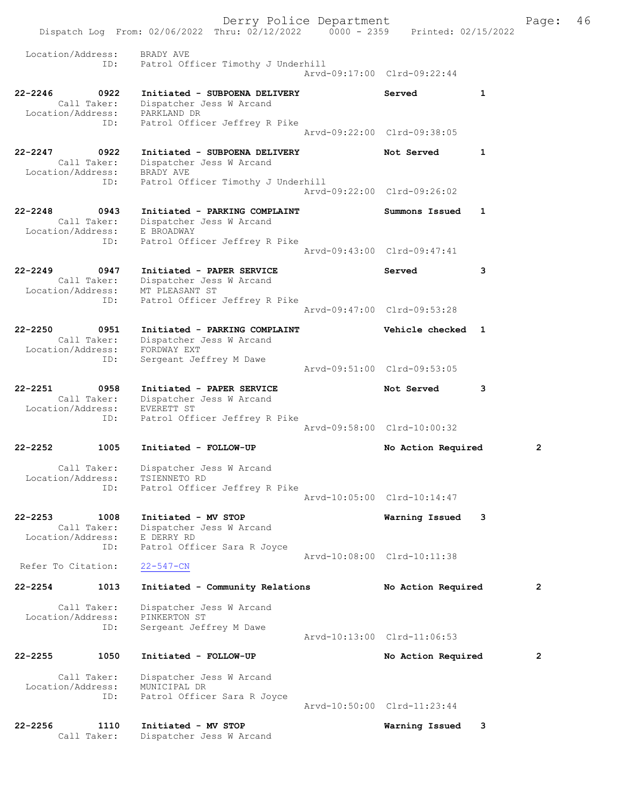|                                  |                     | Dispatch Log From: 02/06/2022 Thru: 02/12/2022 0000 - 2359 Printed: 02/15/2022 | Derry Police Department |                             |              | Page:          | 46 |
|----------------------------------|---------------------|--------------------------------------------------------------------------------|-------------------------|-----------------------------|--------------|----------------|----|
| Location/Address:                | ID:                 | BRADY AVE<br>Patrol Officer Timothy J Underhill                                |                         | Arvd-09:17:00 Clrd-09:22:44 |              |                |    |
| $22 - 2246$                      | 0922<br>Call Taker: | Initiated - SUBPOENA DELIVERY<br>Dispatcher Jess W Arcand                      |                         | Served                      | 1            |                |    |
| Location/Address:                | ID:                 | PARKLAND DR<br>Patrol Officer Jeffrey R Pike                                   |                         | Arvd-09:22:00 Clrd-09:38:05 |              |                |    |
| $22 - 2247$                      | 0922<br>Call Taker: | Initiated - SUBPOENA DELIVERY<br>Dispatcher Jess W Arcand                      |                         | Not Served                  | $\mathbf{1}$ |                |    |
| Location/Address:                | ID:                 | BRADY AVE<br>Patrol Officer Timothy J Underhill                                |                         | Arvd-09:22:00 Clrd-09:26:02 |              |                |    |
| $22 - 2248$                      | 0943<br>Call Taker: | Initiated - PARKING COMPLAINT<br>Dispatcher Jess W Arcand                      |                         | Summons Issued              | 1            |                |    |
| Location/Address:                | ID:                 | E BROADWAY<br>Patrol Officer Jeffrey R Pike                                    |                         | Arvd-09:43:00 Clrd-09:47:41 |              |                |    |
| $22 - 2249$                      | 0947<br>Call Taker: | Initiated - PAPER SERVICE<br>Dispatcher Jess W Arcand                          |                         | Served                      | 3            |                |    |
| Location/Address:                | ID:                 | MT PLEASANT ST<br>Patrol Officer Jeffrey R Pike                                |                         | Arvd-09:47:00 Clrd-09:53:28 |              |                |    |
| $22 - 2250$                      | 0951<br>Call Taker: | Initiated - PARKING COMPLAINT<br>Dispatcher Jess W Arcand                      |                         | Vehicle checked 1           |              |                |    |
| Location/Address:                | ID:                 | FORDWAY EXT<br>Sergeant Jeffrey M Dawe                                         |                         | Arvd-09:51:00 Clrd-09:53:05 |              |                |    |
| $22 - 2251$                      | 0958<br>Call Taker: | Initiated - PAPER SERVICE<br>Dispatcher Jess W Arcand                          |                         | Not Served                  | 3            |                |    |
| Location/Address:                | ID:                 | EVERETT ST<br>Patrol Officer Jeffrey R Pike                                    |                         | Arvd-09:58:00 Clrd-10:00:32 |              |                |    |
| $22 - 2252$                      | 1005                | Initiated - FOLLOW-UP                                                          |                         | No Action Required          |              | $\overline{2}$ |    |
| Location/Address:                | Call Taker:<br>ID:  | Dispatcher Jess W Arcand<br>TSIENNETO RD<br>Patrol Officer Jeffrey R Pike      |                         |                             |              |                |    |
|                                  |                     |                                                                                |                         | Aryd-10:05:00 Clrd-10:14:47 |              |                |    |
| $22 - 2253$<br>Location/Address: | 1008<br>Call Taker: | Initiated - MV STOP<br>Dispatcher Jess W Arcand<br>E DERRY RD                  |                         | Warning Issued              | 3            |                |    |
|                                  | ID:                 | Patrol Officer Sara R Joyce                                                    |                         | Arvd-10:08:00 Clrd-10:11:38 |              |                |    |
| Refer To Citation:               |                     | $22 - 547 - CN$                                                                |                         |                             |              |                |    |
| $22 - 2254$                      | 1013                | Initiated - Community Relations                                                |                         | No Action Required          |              | $\mathbf{2}$   |    |
| Location/Address:                | Call Taker:<br>ID:  | Dispatcher Jess W Arcand<br>PINKERTON ST<br>Sergeant Jeffrey M Dawe            |                         | Arvd-10:13:00 Clrd-11:06:53 |              |                |    |
| $22 - 2255$                      | 1050                | Initiated - FOLLOW-UP                                                          |                         | No Action Required          |              | $\overline{2}$ |    |
| Location/Address:                | Call Taker:         | Dispatcher Jess W Arcand<br>MUNICIPAL DR                                       |                         |                             |              |                |    |
|                                  | ID:                 | Patrol Officer Sara R Joyce                                                    |                         | Arvd-10:50:00 Clrd-11:23:44 |              |                |    |
| $22 - 2256$                      | 1110<br>Call Taker: | Initiated - MV STOP<br>Dispatcher Jess W Arcand                                |                         | Warning Issued              | 3            |                |    |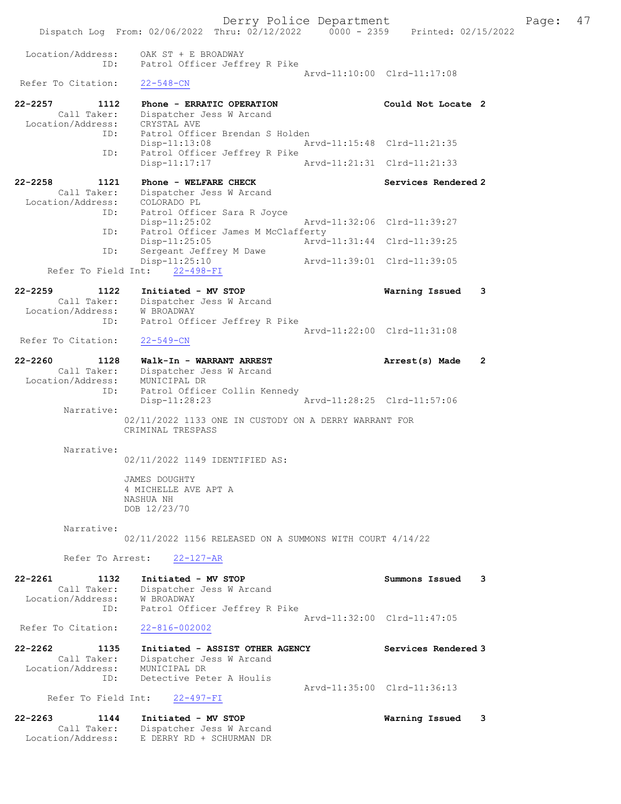Location/Address: OAK ST + E BROADWAY ID: Patrol Officer Jeffrey R Pike Arvd-11:10:00 Clrd-11:17:08<br>22-548-CN Refer To Citation: 22-2257 1112 Phone - ERRATIC OPERATION Could Not Locate 2 Call Taker: Dispatcher Jess W Arcand Location/Address: CRYSTAL AVE ID: Patrol Officer Brendan S Holden Disp-11:13:08 Arvd-11:15:48 Clrd-11:21:35 ID: Patrol Officer Jeffrey R Pike Disp-11:17:17 Arvd-11:21:31 Clrd-11:21:33 22-2258 1121 Phone - WELFARE CHECK Services Rendered 2 Call Taker: Dispatcher Jess W Arcand Location/Address: COLORADO PL ID: Patrol Officer Sara R Joyce Disp-11:25:02 Arvd-11:32:06 Clrd-11:39:27 ID: Patrol Officer James M McClafferty<br>Disp-11:25:05 Arvd- Disp-11:25:05 Arvd-11:31:44 Clrd-11:39:25 ID: Sergeant Jeffrey M Dawe Disp-11:25:10 Arvd-11:39:01 Clrd-11:39:05 Refer To Field Int: 22-498-FI 22-2259 1122 Initiated - MV STOP Warning Issued 3 Call Taker: Dispatcher Jess W Arcand Location/Address: W BROADWAY ID: Patrol Officer Jeffrey R Pike Arvd-11:22:00 Clrd-11:31:08<br>22-549-CN Refer To Citation: 22-2260 1128 Walk-In - WARRANT ARREST **Arrest(s)** Made 2 Call Taker: Dispatcher Jess W Arcand Location/Address: MUNICIPAL DR ID: Patrol Officer Collin Kennedy Disp-11:28:23 Arvd-11:28:25 Clrd-11:57:06 Narrative: 02/11/2022 1133 ONE IN CUSTODY ON A DERRY WARRANT FOR CRIMINAL TRESPASS Narrative: 02/11/2022 1149 IDENTIFIED AS: JAMES DOUGHTY 4 MICHELLE AVE APT A NASHUA NH DOB 12/23/70 Narrative: 02/11/2022 1156 RELEASED ON A SUMMONS WITH COURT 4/14/22 Refer To Arrest: 22-127-AR 22-2261 1132 Initiated - MV STOP Summons Issued 3 Call Taker: Dispatcher Jess W Arcand Location/Address: W BROADWAY ID: Patrol Officer Jeffrey R Pike Arvd-11:32:00 Clrd-11:47:05 Refer To Citation: 22-816-002002 22-2262 1135 Initiated - ASSIST OTHER AGENCY Services Rendered 3 Call Taker: Dispatcher Jess W Arcand Location/Address: MUNICIPAL DR ID: Detective Peter A Houlis Arvd-11:35:00 Clrd-11:36:13<br>22-497-FI Refer To Field Int: 22-2263 1144 Initiated - MV STOP Warning Issued 3 Call Taker: Dispatcher Jess W Arcand Location/Address: E DERRY RD + SCHURMAN DR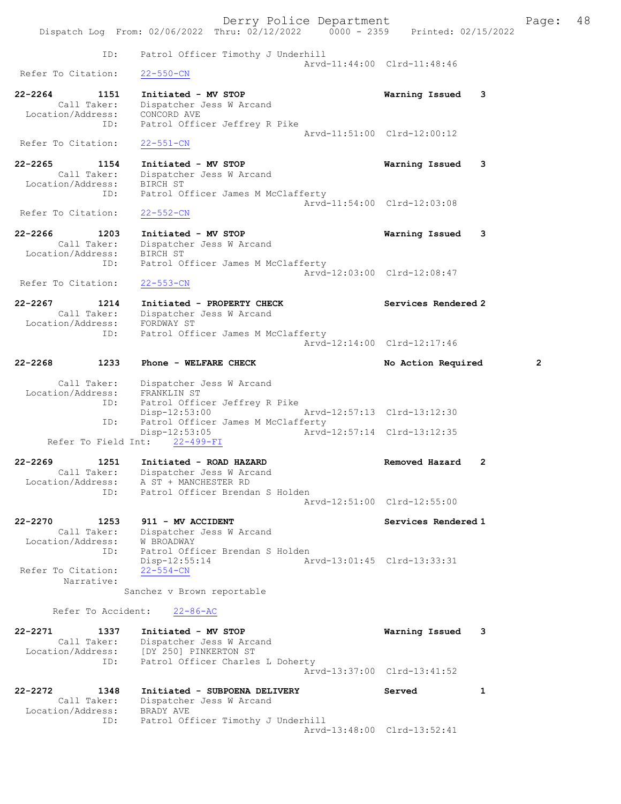|                                                         | Derry Police Department                                                              |                             | 48<br>Page:  |
|---------------------------------------------------------|--------------------------------------------------------------------------------------|-----------------------------|--------------|
|                                                         | Dispatch Log From: 02/06/2022 Thru: 02/12/2022 0000 - 2359 Printed: 02/15/2022       |                             |              |
| ID:                                                     | Patrol Officer Timothy J Underhill                                                   | Arvd-11:44:00 Clrd-11:48:46 |              |
| Refer To Citation:                                      | $22 - 550 - CN$                                                                      |                             |              |
| $22 - 2264$<br>1151<br>Call Taker:                      | Initiated - MV STOP                                                                  | Warning Issued<br>3         |              |
| Location/Address: CONCORD AVE<br>ID:                    | Dispatcher Jess W Arcand<br>Patrol Officer Jeffrey R Pike                            |                             |              |
|                                                         |                                                                                      | Arvd-11:51:00 Clrd-12:00:12 |              |
| Refer To Citation:                                      | $22 - 551 - CN$                                                                      |                             |              |
| $22 - 2265$<br>1154<br>Call Taker:<br>Location/Address: | Initiated - MV STOP<br>Dispatcher Jess W Arcand<br>BIRCH ST                          | 3<br>Warning Issued         |              |
| ID:                                                     | Patrol Officer James M McClafferty                                                   | Arvd-11:54:00 Clrd-12:03:08 |              |
| Refer To Citation:                                      | $22 - 552 - CN$                                                                      |                             |              |
| $22 - 2266$<br>1203<br>Call Taker:<br>Location/Address: | Initiated - MV STOP<br>Dispatcher Jess W Arcand<br>BIRCH ST                          | Warning Issued<br>3         |              |
| ID:                                                     | Patrol Officer James M McClafferty                                                   | Arvd-12:03:00 Clrd-12:08:47 |              |
| Refer To Citation:                                      | $22 - 553 - CN$                                                                      |                             |              |
| $22 - 2267$<br>1214<br>Call Taker:                      | Initiated - PROPERTY CHECK<br>Dispatcher Jess W Arcand                               | Services Rendered 2         |              |
| Location/Address:<br>ID:                                | FORDWAY ST<br>Patrol Officer James M McClafferty                                     | Arvd-12:14:00 Clrd-12:17:46 |              |
| 22-2268<br>1233                                         | Phone - WELFARE CHECK                                                                | No Action Required          | $\mathbf{2}$ |
| Call Taker:<br>Location/Address:<br>ID:                 | Dispatcher Jess W Arcand<br>FRANKLIN ST                                              |                             |              |
| ID:                                                     | Patrol Officer Jeffrey R Pike<br>Disp-12:53:00<br>Patrol Officer James M McClafferty | Arvd-12:57:13 Clrd-13:12:30 |              |
| Refer To Field Int:                                     | $Disp-12:53:05$<br>$22 - 499 - FI$                                                   | Arvd-12:57:14 Clrd-13:12:35 |              |
| $22 - 2269$<br>1251                                     | Initiated - ROAD HAZARD                                                              | Removed Hazard<br>2         |              |
| Call Taker:<br>Location/Address:                        | Dispatcher Jess W Arcand<br>A ST + MANCHESTER RD                                     |                             |              |
| ID:                                                     | Patrol Officer Brendan S Holden                                                      | Arvd-12:51:00 Clrd-12:55:00 |              |
| $22 - 2270$<br>1253<br>Call Taker:                      | 911 - MV ACCIDENT<br>Dispatcher Jess W Arcand                                        | Services Rendered 1         |              |
| Location/Address:<br>ID:<br>Refer To Citation:          | W BROADWAY<br>Patrol Officer Brendan S Holden<br>$Disp-12:55:14$<br>$22 - 554 - CN$  | Aryd-13:01:45 Clrd-13:33:31 |              |
| Narrative:                                              | Sanchez v Brown reportable                                                           |                             |              |
| Refer To Accident:                                      | $22 - 86 - AC$                                                                       |                             |              |
| $22 - 2271$<br>1337<br>Call Taker:<br>Location/Address: | Initiated - MV STOP<br>Dispatcher Jess W Arcand<br>[DY 250] PINKERTON ST             | 3<br>Warning Issued         |              |
| ID:                                                     | Patrol Officer Charles L Doherty                                                     | Arvd-13:37:00 Clrd-13:41:52 |              |
| $22 - 2272$<br>1348<br>Call Taker:<br>Location/Address: | Initiated - SUBPOENA DELIVERY<br>Dispatcher Jess W Arcand<br>BRADY AVE               | Served<br>1                 |              |
| ID:                                                     | Patrol Officer Timothy J Underhill                                                   | Arvd-13:48:00 Clrd-13:52:41 |              |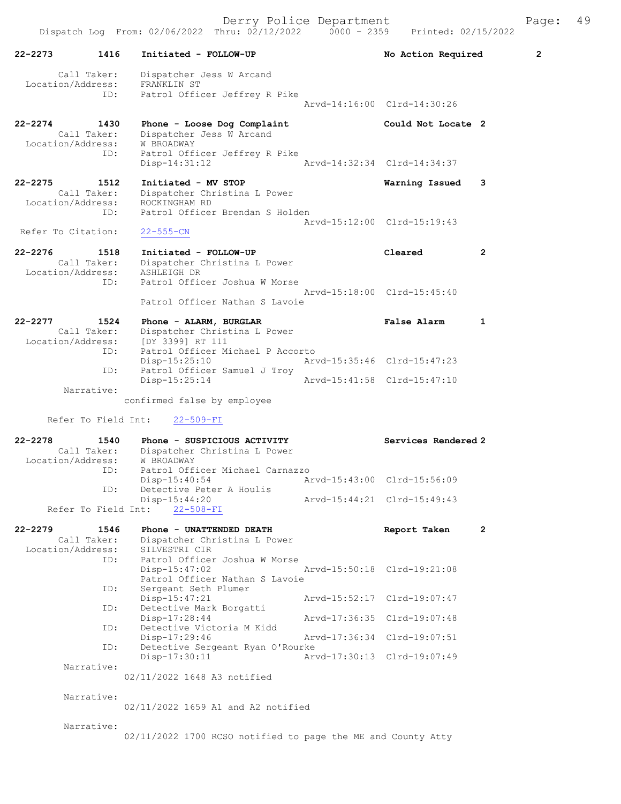| 22-2273            | 1416                             | Initiated - FOLLOW-UP                                        |                             | No Action Required          | $\overline{\mathbf{2}}$ |
|--------------------|----------------------------------|--------------------------------------------------------------|-----------------------------|-----------------------------|-------------------------|
|                    | Call Taker:<br>Location/Address: | Dispatcher Jess W Arcand<br>FRANKLIN ST                      |                             |                             |                         |
|                    | ID:                              | Patrol Officer Jeffrey R Pike                                |                             |                             |                         |
|                    |                                  |                                                              |                             | Arvd-14:16:00 Clrd-14:30:26 |                         |
| 22-2274            | 1430<br>Call Taker:              | Phone - Loose Dog Complaint<br>Dispatcher Jess W Arcand      |                             | Could Not Locate 2          |                         |
|                    | Location/Address:<br>ID:         | W BROADWAY<br>Patrol Officer Jeffrey R Pike                  |                             |                             |                         |
|                    |                                  | Disp-14:31:12                                                |                             | Arvd-14:32:34 Clrd-14:34:37 |                         |
| 22-2275            | 1512                             | Initiated - MV STOP                                          |                             | Warning Issued              | 3                       |
|                    | Call Taker:<br>Location/Address: | Dispatcher Christina L Power<br>ROCKINGHAM RD                |                             |                             |                         |
|                    | ID:                              | Patrol Officer Brendan S Holden                              |                             | Arvd-15:12:00 Clrd-15:19:43 |                         |
| Refer To Citation: |                                  | $22 - 555 - CN$                                              |                             |                             |                         |
| 22-2276            | 1518<br>Call Taker:              | Initiated - FOLLOW-UP<br>Dispatcher Christina L Power        |                             | Cleared                     | $\mathbf{2}$            |
|                    | Location/Address:                | ASHLEIGH DR                                                  |                             |                             |                         |
|                    | ID:                              | Patrol Officer Joshua W Morse                                |                             | Arvd-15:18:00 Clrd-15:45:40 |                         |
|                    |                                  | Patrol Officer Nathan S Lavoie                               |                             |                             |                         |
| 22-2277            | 1524<br>Call Taker:              | Phone - ALARM, BURGLAR<br>Dispatcher Christina L Power       |                             | False Alarm                 | 1                       |
|                    | Location/Address:<br>ID:         | $[DY 3399] RT 111$<br>Patrol Officer Michael P Accorto       |                             |                             |                         |
|                    | ID:                              | $Disp-15:25:10$<br>Patrol Officer Samuel J Troy              |                             | Arvd-15:35:46 Clrd-15:47:23 |                         |
|                    |                                  | $Disp-15:25:14$                                              | Arvd-15:41:58 Clrd-15:47:10 |                             |                         |
|                    | Narrative:                       | confirmed false by employee                                  |                             |                             |                         |
|                    | Refer To Field Int:              | $22 - 509 - FI$                                              |                             |                             |                         |
| 22-2278            | 1540                             | Phone - SUSPICIOUS ACTIVITY                                  |                             | Services Rendered 2         |                         |
|                    | Call Taker:<br>Location/Address: | Dispatcher Christina L Power<br><b>W BROADWAY</b>            |                             |                             |                         |
|                    | ID:                              | Patrol Officer Michael Carnazzo<br>$Disp-15:40:54$           |                             | Arvd-15:43:00 Clrd-15:56:09 |                         |
|                    | ID:                              | Detective Peter A Houlis<br>Disp-15:44:20                    |                             | Arvd-15:44:21 Clrd-15:49:43 |                         |
|                    | Refer To Field Int:              | $22 - 508 - FI$                                              |                             |                             |                         |
| 22-2279            | 1546                             | Phone - UNATTENDED DEATH                                     |                             | Report Taken                | 2                       |
|                    | Call Taker:<br>Location/Address: | Dispatcher Christina L Power<br>SILVESTRI CIR                |                             |                             |                         |
|                    | ID:                              | Patrol Officer Joshua W Morse<br>$Disp-15:47:02$             |                             | Arvd-15:50:18 Clrd-19:21:08 |                         |
|                    | ID:                              | Patrol Officer Nathan S Lavoie<br>Sergeant Seth Plumer       |                             |                             |                         |
|                    | ID:                              | $Disp-15:47:21$<br>Detective Mark Borgatti                   |                             | Arvd-15:52:17 Clrd-19:07:47 |                         |
|                    |                                  | Disp-17:28:44<br>Detective Victoria M Kidd                   |                             | Arvd-17:36:35 Clrd-19:07:48 |                         |
|                    | ID:                              | Disp-17:29:46                                                |                             | Arvd-17:36:34 Clrd-19:07:51 |                         |
|                    | ID:                              | Detective Sergeant Ryan O'Rourke<br>$Disp-17:30:11$          |                             | Arvd-17:30:13 Clrd-19:07:49 |                         |
|                    | Narrative:                       | 02/11/2022 1648 A3 notified                                  |                             |                             |                         |
|                    | Narrative:                       |                                                              |                             |                             |                         |
|                    |                                  | 02/11/2022 1659 A1 and A2 notified                           |                             |                             |                         |
|                    | Narrative:                       |                                                              |                             |                             |                         |
|                    |                                  | 02/11/2022 1700 RCSO notified to page the ME and County Atty |                             |                             |                         |
|                    |                                  |                                                              |                             |                             |                         |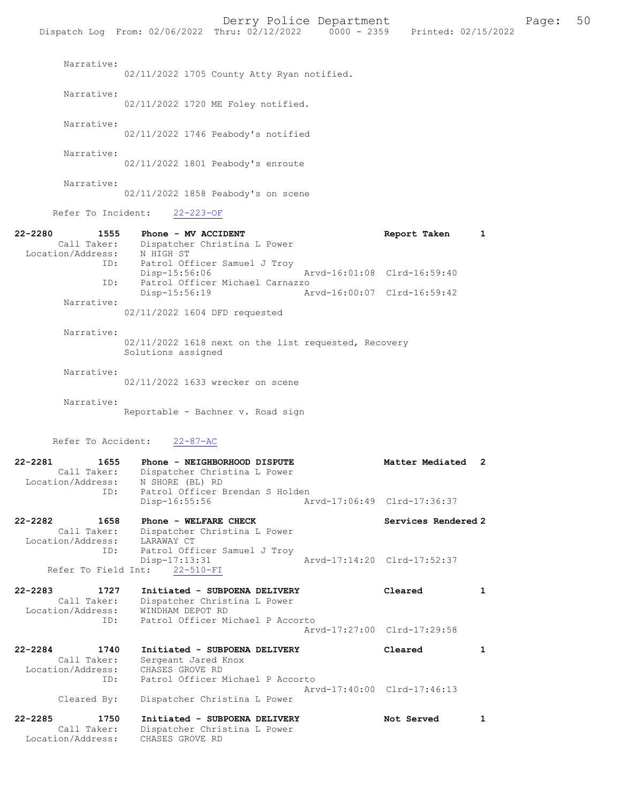|                                                            | Dispatch Log From: 02/06/2022 Thru: 02/12/2022 0000 - 2359 Printed: 02/15/2022                                     | Derry Police Department     |                     | Page:        | 50 |
|------------------------------------------------------------|--------------------------------------------------------------------------------------------------------------------|-----------------------------|---------------------|--------------|----|
| Narrative:                                                 | 02/11/2022 1705 County Atty Ryan notified.                                                                         |                             |                     |              |    |
| Narrative:                                                 | 02/11/2022 1720 ME Foley notified.                                                                                 |                             |                     |              |    |
| Narrative:                                                 | 02/11/2022 1746 Peabody's notified                                                                                 |                             |                     |              |    |
| Narrative:                                                 | 02/11/2022 1801 Peabody's enroute                                                                                  |                             |                     |              |    |
| Narrative:                                                 | 02/11/2022 1858 Peabody's on scene                                                                                 |                             |                     |              |    |
| Refer To Incident:                                         | $22 - 223 - OF$                                                                                                    |                             |                     |              |    |
| 22-2280<br>1555<br>Location/Address: N HIGH ST<br>ID:      | Phone - MV ACCIDENT<br>Call Taker: Dispatcher Christina L Power<br>Patrol Officer Samuel J Troy<br>$Disp-15:56:06$ | Arvd-16:01:08 Clrd-16:59:40 | Report Taken        | 1            |    |
| ID:                                                        | Patrol Officer Michael Carnazzo<br>Disp-15:56:19                                                                   | Arvd-16:00:07 Clrd-16:59:42 |                     |              |    |
| Narrative:                                                 | 02/11/2022 1604 DFD requested                                                                                      |                             |                     |              |    |
| Narrative:                                                 | 02/11/2022 1618 next on the list requested, Recovery<br>Solutions assigned                                         |                             |                     |              |    |
| Narrative:                                                 | 02/11/2022 1633 wrecker on scene                                                                                   |                             |                     |              |    |
| Narrative:                                                 | Reportable - Bachner v. Road sign                                                                                  |                             |                     |              |    |
| Refer To Accident:                                         | $22 - 87 - AC$                                                                                                     |                             |                     |              |    |
| 22-2281<br>1655<br>Call Taker:<br>Location/Address:<br>ID: | Phone - NEIGHBORHOOD DISPUTE<br>Dispatcher Christina L Power<br>N SHORE (BL) RD<br>Patrol Officer Brendan S Holden |                             | Matter Mediated     | -2           |    |
|                                                            | Disp-16:55:56                                                                                                      | Arvd-17:06:49 Clrd-17:36:37 |                     |              |    |
| 22-2282<br>1658<br>Call Taker:<br>Location/Address:<br>ID: | Phone - WELFARE CHECK<br>Dispatcher Christina L Power<br>LARAWAY CT<br>Patrol Officer Samuel J Troy                |                             | Services Rendered 2 |              |    |
| Refer To Field Int:                                        | Disp-17:13:31<br>$22 - 510 - FI$                                                                                   | Arvd-17:14:20 Clrd-17:52:37 |                     |              |    |
| 22-2283<br>1727<br>Call Taker:<br>Location/Address:        | Initiated - SUBPOENA DELIVERY<br>Dispatcher Christina L Power<br>WINDHAM DEPOT RD                                  |                             | Cleared             | $\mathbf{1}$ |    |
| ID:                                                        | Patrol Officer Michael P Accorto                                                                                   | Arvd-17:27:00 Clrd-17:29:58 |                     |              |    |
| 22-2284<br>1740<br>Call Taker:<br>Location/Address:        | Initiated - SUBPOENA DELIVERY<br>Sergeant Jared Knox<br>CHASES GROVE RD                                            |                             | Cleared             | $\mathbf{1}$ |    |
| ID:<br>Cleared By:                                         | Patrol Officer Michael P Accorto<br>Dispatcher Christina L Power                                                   | Arvd-17:40:00 Clrd-17:46:13 |                     |              |    |
| 22-2285<br>1750<br>Call Taker:<br>Location/Address:        | Initiated - SUBPOENA DELIVERY<br>Dispatcher Christina L Power<br>CHASES GROVE RD                                   |                             | Not Served          | 1            |    |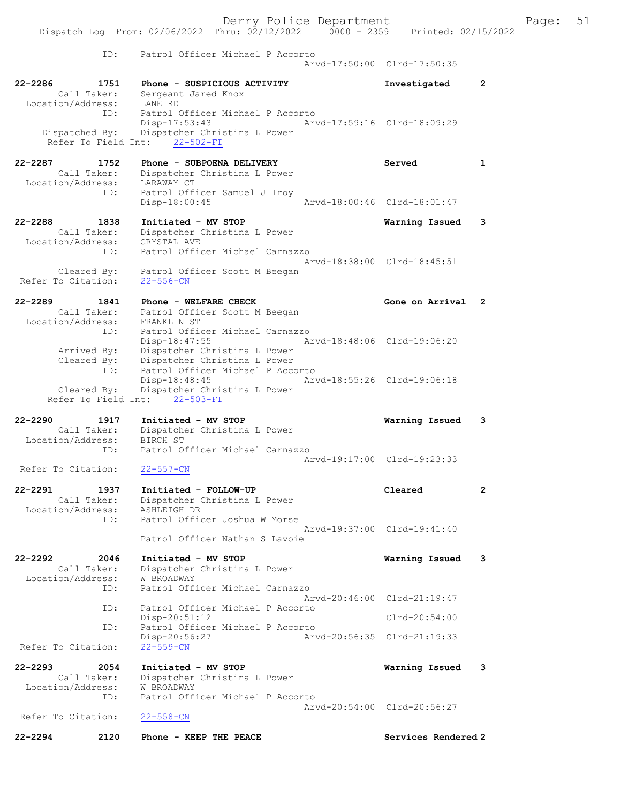Derry Police Department Fage: 51 Dispatch Log From: 02/06/2022 Thru: 02/12/2022 0000 - 2359 Printed: 02/15/2022 ID: Patrol Officer Michael P Accorto Arvd-17:50:00 Clrd-17:50:35 22-2286 1751 Phone - SUSPICIOUS ACTIVITY Investigated 2 Call Taker: Sergeant Jared Knox Location/Address: LANE RD ID: Patrol Officer Michael P Accorto Disp-17:53:43 Arvd-17:59:16 Clrd-18:09:29 Dispatched By: Dispatcher Christina L Power Refer To Field Int: 22-502-FI 22-2287 1752 Phone - SUBPOENA DELIVERY Served 1 Call Taker: Dispatcher Christina L Power Location/Address: LARAWAY CT ID: Patrol Officer Samuel J Troy Disp-18:00:45 Arvd-18:00:46 Clrd-18:01:47 22-2288 1838 Initiated - MV STOP Warning Issued 3 Call Taker: Dispatcher Christina L Power Location/Address: CRYSTAL AVE ID: Patrol Officer Michael Carnazzo Arvd-18:38:00 Clrd-18:45:51 Cleared By: Patrol Officer Scott M Beegan Refer To Citation: 22-556-CN 22-2289 1841 Phone - WELFARE CHECK CHECK Gone on Arrival 2 Call Taker: Patrol Officer Scott M Beegan Location/Address: FRANKLIN ST ID: Patrol Officer Michael Carnazzo Disp-18:47:55 Arvd-18:48:06 Clrd-19:06:20 Arrived By: Dispatcher Christina L Power Cleared By: Dispatcher Christina L Power ID: Patrol Officer Michael P Accorto Disp-18:48:45 Arvd-18:55:26 Clrd-19:06:18 Cleared By: Dispatcher Christina L Power Refer To Field Int: 22-503-FI 22-2290 1917 Initiated - MV STOP Warning Issued 3 Call Taker: Dispatcher Christina L Power Location/Address: BIRCH ST ID: Patrol Officer Michael Carnazzo Arvd-19:17:00 Clrd-19:23:33 Refer To Citation: 22-557-CN 22-2291 1937 Initiated - FOLLOW-UP Cleared 2 Call Taker: Dispatcher Christina L Power Location/Address: ASHLEIGH DR ID: Patrol Officer Joshua W Morse Arvd-19:37:00 Clrd-19:41:40 Patrol Officer Nathan S Lavoie 22-2292 2046 Initiated - MV STOP Warning Issued 3 Call Taker: Dispatcher Christina L Power Location/Address: W BROADWAY ID: Patrol Officer Michael Carnazzo Arvd-20:46:00 Clrd-21:19:47 ID: Patrol Officer Michael P Accorto Disp-20:51:12 Clrd-20:54:00 ID: Patrol Officer Michael P Accorto Disp-20:56:27 Arvd-20:56:35 Clrd-21:19:33 Refer To Citation: 22-2293 2054 Initiated - MV STOP Warning Issued 3 Call Taker: Dispatcher Christina L Power Location/Address: W BROADWAY ID: Patrol Officer Michael P Accorto Arvd-20:54:00 Clrd-20:56:27<br>22-558-CN Refer To Citation: 22-2294 2120 Phone - KEEP THE PEACE Services Rendered 2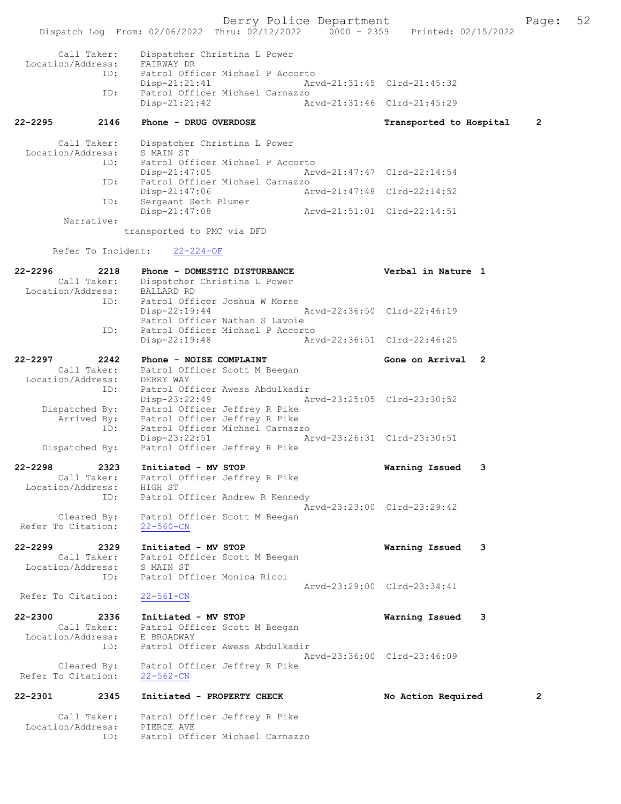Derry Police Department Fage: 52 Dispatch Log From: 02/06/2022 Thru: 02/12/2022 0000 - 2359 Printed: 02/15/2022 Call Taker: Dispatcher Christina L Power Location/Address: FAIRWAY DR ID: Patrol Officer Michael P Accorto Disp-21:21:41 Arvd-21:31:45 Clrd-21:45:32 ID: Patrol Officer Michael Carnazzo Disp-21:21:42 Arvd-21:31:46 Clrd-21:45:29 22-2295 2146 Phone - DRUG OVERDOSE Transported to Hospital 2 Call Taker: Dispatcher Christina L Power Location/Address: S MAIN ST ID: Patrol Officer Michael P Accorto Disp-21:47:05<br>Disp-21:47:05<br>D: Patrol Officer Michael Carn Patrol Officer Michael Carnazzo Disp-21:47:06 Arvd-21:47:48 Clrd-22:14:52 ID: Sergeant Seth Plumer Disp-21:47:08 Arvd-21:51:01 Clrd-22:14:51 Narrative: transported to PMC via DFD Refer To Incident: 22-224-OF 22-2296 2218 Phone - DOMESTIC DISTURBANCE Verbal in Nature 1 Call Taker: Dispatcher Christina L Power Location/Address: BALLARD RD ID: Patrol Officer Joshua W Morse Disp-22:19:44 Arvd-22:36:50 Clrd-22:46:19 Patrol Officer Nathan S Lavoie ID: Patrol Officer Michael P Accorto<br>Disp-22:19:48 Arv Disp-22:19:48 Arvd-22:36:51 Clrd-22:46:25 22-2297 2242 Phone - NOISE COMPLAINT Gone on Arrival 2 Call Taker: Patrol Officer Scott M Beegan Location/Address: DERRY WAY ID: Patrol Officer Awess Abdulkadir Disp-23:22:49 Arvd-23:25:05 Clrd-23:30:52 Dispatched By: Patrol Officer Jeffrey R Pike Arrived By: Patrol Officer Jeffrey R Pike ID: Patrol Officer Michael Carnazzo Disp-23:22:51 Arvd-23:26:31 Clrd-23:30:51 Dispatched By: Patrol Officer Jeffrey R Pike 22-2298 2323 Initiated - MV STOP Warning Issued 3 Call Taker: Patrol Officer Jeffrey R Pike Location/Address: HIGH ST ID: Patrol Officer Andrew R Kennedy Arvd-23:23:00 Clrd-23:29:42 Cleared By: Patrol Officer Scott M Beegan Refer To Citation: 22-560-CN 22-2299 2329 Initiated - MV STOP Warning Issued 3 Call Taker: Patrol Officer Scott M Beegan Location/Address: S MAIN ST ID: Patrol Officer Monica Ricci Arvd-23:29:00 Clrd-23:34:41 Refer To Citation: 22-561-CN 22-2300 2336 Initiated - MV STOP Warning Issued 3 Call Taker: Patrol Officer Scott M Beegan Location/Address: E BROADWAY ID: Patrol Officer Awess Abdulkadir Arvd-23:36:00 Clrd-23:46:09 Cleared By: Patrol Officer Jeffrey R Pike Refer To Citation: 22-562-CN 22-2301 2345 Initiated - PROPERTY CHECK No Action Required 2 Call Taker: Patrol Officer Jeffrey R Pike Location/Address: PIERCE AVE

ID: Patrol Officer Michael Carnazzo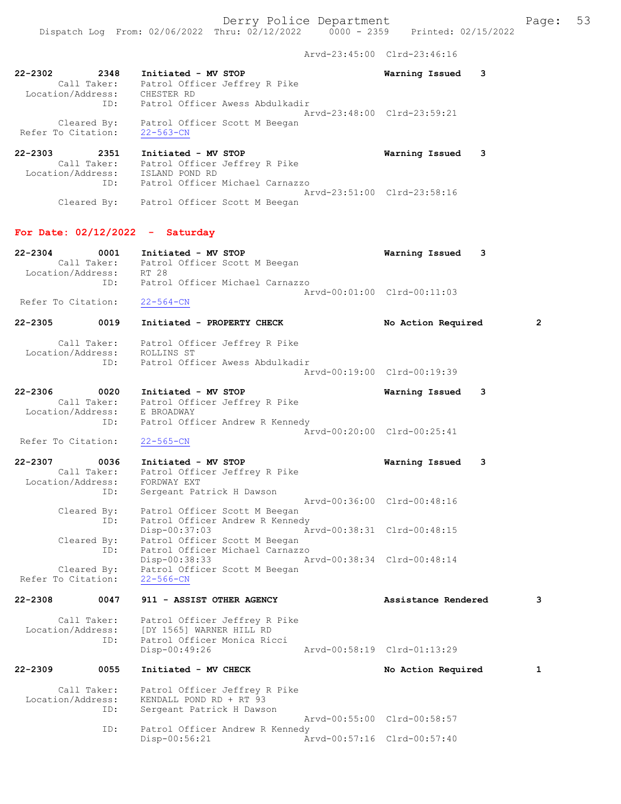Arvd-23:45:00 Clrd-23:46:16

| 22-2302            | 2348               | Initiated - MV STOP<br>2348 Initiated - MV STOP<br>Call Taker: Patrol Officer Jeffrey R Pike<br>Location/Address: CHESTER RD |                                                                        | Warning Issued 3            |   |   |
|--------------------|--------------------|------------------------------------------------------------------------------------------------------------------------------|------------------------------------------------------------------------|-----------------------------|---|---|
|                    | ID:                |                                                                                                                              | Patrol Officer Awess Abdulkadir                                        | Arvd-23:48:00 Clrd-23:59:21 |   |   |
| Refer To Citation: |                    | Cleared By: Patrol Officer Scott M Beegan<br>$22 - 563 - CN$                                                                 |                                                                        |                             |   |   |
| 22-2303            |                    | 2-2303 2351 Initiated - MV STOP<br>Call Taker: Patrol Officer Jeffrey R Pike<br>Location/Address: ISLAND POND RD             |                                                                        | Warning Issued              | 3 |   |
|                    | ID:                | Cleared By: Patrol Officer Scott M Beegan                                                                                    | Patrol Officer Michael Carnazzo                                        | Arvd-23:51:00 Clrd-23:58:16 |   |   |
|                    |                    | For Date: $02/12/2022 -$ Saturday                                                                                            |                                                                        |                             |   |   |
| 22-2304            |                    | 0001 Initiated - MV STOP<br>Call Taker: Patrol Officer Scott M Beegan<br>Location/Address: RT 28                             |                                                                        | Warning Issued              | 3 |   |
| Refer To Citation: | ID:                |                                                                                                                              | Patrol Officer Michael Carnazzo                                        | Arvd-00:01:00 Clrd-00:11:03 |   |   |
| 22-2305 2014       | 0019               | $22 - 564 - CN$                                                                                                              | Initiated - PROPERTY CHECK                                             | No Action Required          |   | 2 |
| Location/Address:  | ID:                | Call Taker: Patrol Officer Jeffrey R Pike<br>ROLLINS ST                                                                      | Patrol Officer Awess Abdulkadir                                        |                             |   |   |
|                    |                    |                                                                                                                              |                                                                        | Arvd-00:19:00 Clrd-00:19:39 |   |   |
| 22-2306 0020       | ID:                | Initiated - MV STOP<br>Call Taker: Patrol Officer Jeffrey R Pike<br>Location/Address: E BROADWAY                             | Patrol Officer Andrew R Kennedy                                        | Warning Issued              | 3 |   |
| Refer To Citation: |                    | $22 - 565 - CN$                                                                                                              |                                                                        | Arvd-00:20:00 Clrd-00:25:41 |   |   |
| 22-2307 0036       | Call Taker:        | Initiated - MV STOP<br>Location/Address: FORDWAY EXT                                                                         | Patrol Officer Jeffrey R Pike                                          | Warning Issued              | 3 |   |
|                    | ID:<br>Cleared By: | Sergeant Patrick H Dawson<br>Patrol Officer Scott M Beegan                                                                   |                                                                        | Arvd-00:36:00 Clrd-00:48:16 |   |   |
|                    | Cleared By:<br>ID: | Disp-00:37:03<br>Patrol Officer Scott M Beegan                                                                               | ID: Patrol Officer Andrew R Kennedy<br>Patrol Officer Michael Carnazzo | Arvd-00:38:31 Clrd-00:48:15 |   |   |
| Refer To Citation: | Cleared By:        | Disp-00:38:33<br>$22 - 566 - CN$                                                                                             | Patrol Officer Scott M Beegan                                          | Arvd-00:38:34 Clrd-00:48:14 |   |   |
| 22-2308            | 0047               | 911 - ASSIST OTHER AGENCY                                                                                                    |                                                                        | Assistance Rendered         |   | з |
| Location/Address:  | Call Taker:<br>ID: | [DY 1565] WARNER HILL RD<br>Patrol Officer Monica Ricci<br>Disp-00:49:26                                                     | Patrol Officer Jeffrey R Pike                                          | Arvd-00:58:19 Clrd-01:13:29 |   |   |
| 22-2309            | 0055               | Initiated - MV CHECK                                                                                                         |                                                                        | No Action Required          |   | 1 |
| Location/Address:  | Call Taker:        | KENDALL POND RD + RT 93                                                                                                      | Patrol Officer Jeffrey R Pike                                          |                             |   |   |

 ID: Sergeant Patrick H Dawson Arvd-00:55:00 Clrd-00:58:57<br>ID: Patrol Officer Andrew R Kennedy ID: Patrol Officer Andrew R Kennedy Disp-00:56:21 Arvd-00:57:16 Clrd-00:57:40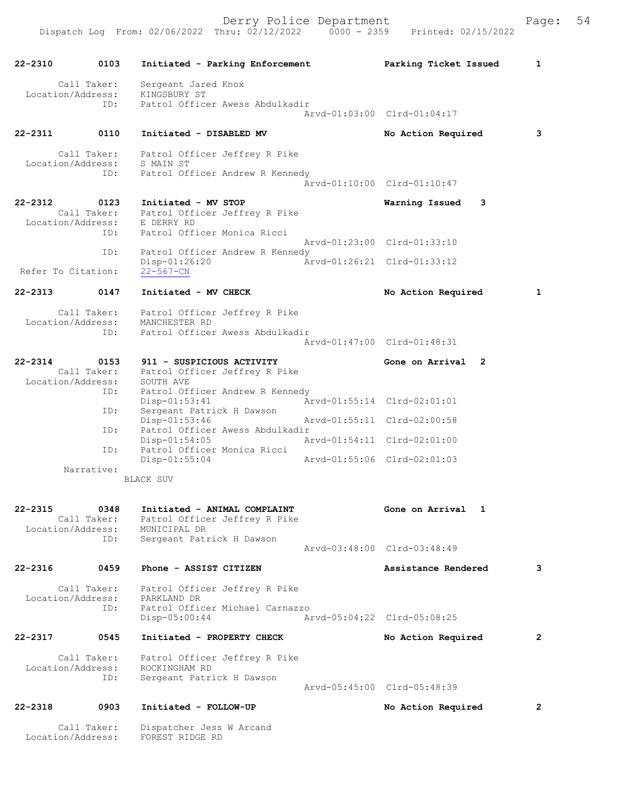| 22-2310                          | 0103                | Initiated - Parking Enforcement                                                                                                 |                             | Parking Ticket Issued       | 1              |
|----------------------------------|---------------------|---------------------------------------------------------------------------------------------------------------------------------|-----------------------------|-----------------------------|----------------|
|                                  | Call Taker:         | Sergeant Jared Knox                                                                                                             |                             |                             |                |
| Location/Address:                | ID:                 | KINGSBURY ST<br>Patrol Officer Awess Abdulkadir                                                                                 |                             |                             |                |
|                                  |                     |                                                                                                                                 |                             | Arvd-01:03:00 Clrd-01:04:17 |                |
| 22-2311                          | 0110                | Initiated - DISABLED MV                                                                                                         |                             | No Action Required          | 3              |
|                                  |                     | Call Taker: Patrol Officer Jeffrey R Pike<br>Location/Address: S MAIN ST                                                        |                             |                             |                |
|                                  | ID:                 | Patrol Officer Andrew R Kennedy                                                                                                 |                             | Arvd-01:10:00 Clrd-01:10:47 |                |
|                                  |                     |                                                                                                                                 |                             |                             |                |
| 22-2312                          | 0123<br>ID:         | Initiated - MV STOP<br>Call Taker: Patrol Officer Jeffrey R Pike<br>Location/Address: E DERRY RD<br>Patrol Officer Monica Ricci |                             | Warning Issued<br>3         |                |
|                                  | ID:                 | Patrol Officer Andrew R Kennedy                                                                                                 |                             | Arvd-01:23:00 Clrd-01:33:10 |                |
| Refer To Citation:               |                     | $Disp-01:26:20$<br>$22 - 567 - CN$                                                                                              | Arvd-01:26:21 Clrd-01:33:12 |                             |                |
| 22-2313                          | 0147                | Initiated - MV CHECK                                                                                                            |                             | No Action Required          | 1              |
|                                  |                     | Patrol Officer Jeffrey R Pike                                                                                                   |                             |                             |                |
| Call Taker:<br>Location/Address: | ID:                 | MANCHESTER RD<br>Patrol Officer Awess Abdulkadir                                                                                |                             |                             |                |
|                                  |                     |                                                                                                                                 |                             | Arvd-01:47:00 Clrd-01:48:31 |                |
| $22 - 2314$                      | 0153                | 911 - SUSPICIOUS ACTIVITY                                                                                                       |                             | Gone on Arrival 2           |                |
| Location/Address:                |                     | Call Taker: Patrol Officer Jeffrey R Pike<br>SOUTH AVE                                                                          |                             |                             |                |
|                                  | ID:                 | Patrol Officer Andrew R Kennedy<br>$Disp-01:53:41$                                                                              |                             | Arvd-01:55:14 Clrd-02:01:01 |                |
|                                  | ID:                 | Sergeant Patrick H Dawson<br>$Disp-01:53:46$                                                                                    |                             | Arvd-01:55:11 Clrd-02:00:58 |                |
|                                  | ID:                 | Patrol Officer Awess Abdulkadir<br>$Disp-01:54:05$                                                                              | Arvd-01:54:11 Clrd-02:01:00 |                             |                |
|                                  | ID:                 | Patrol Officer Monica Ricci<br>$Disp-01:55:04$                                                                                  | Arvd-01:55:06 Clrd-02:01:03 |                             |                |
|                                  | Narrative:          | <b>BLACK SUV</b>                                                                                                                |                             |                             |                |
|                                  |                     |                                                                                                                                 |                             |                             |                |
| 22-2315<br>Location/Address:     | 0348<br>Call Taker: | Initiated - ANIMAL COMPLAINT<br>Patrol Officer Jeffrey R Pike<br>MUNICIPAL DR                                                   |                             | Gone on Arrival<br>1        |                |
|                                  | ID:                 | Sergeant Patrick H Dawson                                                                                                       |                             | Arvd-03:48:00 Clrd-03:48:49 |                |
| 22-2316                          | 0459                | Phone - ASSIST CITIZEN                                                                                                          |                             | Assistance Rendered         | 3              |
|                                  |                     |                                                                                                                                 |                             |                             |                |
| Location/Address:                | Call Taker:         | Patrol Officer Jeffrey R Pike<br>PARKLAND DR                                                                                    |                             |                             |                |
|                                  | ID:                 | Patrol Officer Michael Carnazzo<br>Disp-05:00:44                                                                                |                             | Arvd-05:04:22 Clrd-05:08:25 |                |
| 22-2317                          | 0545                | Initiated - PROPERTY CHECK                                                                                                      |                             | No Action Required          | $\mathbf{2}$   |
| Location/Address:                | Call Taker:         | Patrol Officer Jeffrey R Pike<br>ROCKINGHAM RD                                                                                  |                             |                             |                |
|                                  | ID:                 | Sergeant Patrick H Dawson                                                                                                       |                             | Arvd-05:45:00 Clrd-05:48:39 |                |
| $22 - 2318$                      | 0903                | Initiated - FOLLOW-UP                                                                                                           |                             | No Action Required          | $\overline{2}$ |
| Location/Address:                | Call Taker:         | Dispatcher Jess W Arcand<br>FOREST RIDGE RD                                                                                     |                             |                             |                |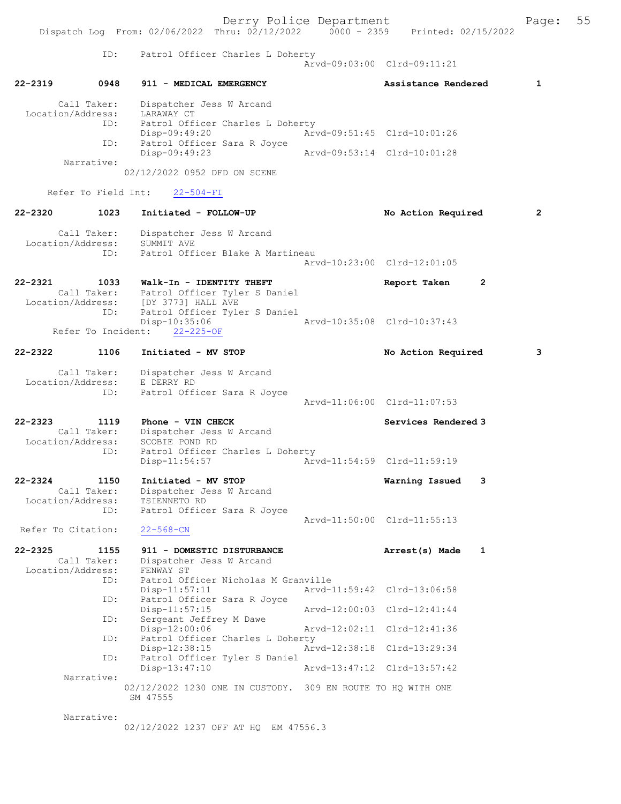Derry Police Department The Page: 55 Dispatch Log From: 02/06/2022 Thru: 02/12/2022 0000 - 2359 Printed: 02/15/2022 ID: Patrol Officer Charles L Doherty Arvd-09:03:00 Clrd-09:11:21 22-2319 0948 911 - MEDICAL EMERGENCY Assistance Rendered 1 Call Taker: Dispatcher Jess W Arcand Location/Address: LARAWAY CT Patrol Officer Charles L Doherty<br>Disp-09:49:20 Ar Arvd-09:51:45 Clrd-10:01:26 ID: Patrol Officer Sara R Joyce<br>Disp-09:49:23 Disp-09:49:23 Arvd-09:53:14 Clrd-10:01:28 Narrative: 02/12/2022 0952 DFD ON SCENE Refer To Field Int: 22-504-FI 22-2320 1023 Initiated - FOLLOW-UP No Action Required 2 Call Taker: Dispatcher Jess W Arcand Location/Address: SUMMIT AVE<br>TD: Patrol Offi Patrol Officer Blake A Martineau Arvd-10:23:00 Clrd-12:01:05 22-2321 1033 Walk-In - IDENTITY THEFT Report Taken 2 Call Taker: Patrol Officer Tyler S Daniel<br>Location/Address: [DY 3773] HALL AVE Location/Address: [DY 3773] HALL AVE ID: Patrol Officer Tyler S Daniel 10:35:06 Arvd-10:35:08 Clrd-10:37:43<br>22-225-0F Refer To Incident: 22-2322 1106 Initiated - MV STOP No Action Required 3 Call Taker: Dispatcher Jess W Arcand Location/Address: E DERRY RD<br>TD: Patrol Offi Patrol Officer Sara R Joyce Arvd-11:06:00 Clrd-11:07:53 22-2323 1119 Phone - VIN CHECK Services Rendered 3 Call Taker: Dispatcher Jess W Arcand Location/Address: SCOBIE POND RD<br>ID: Patrol Officer Patrol Officer Charles L Doherty<br>Disp-11:54:57 Art Disp-11:54:57 Arvd-11:54:59 Clrd-11:59:19 22-2324 1150 Initiated - MV STOP Warning Issued 3 Call Taker: Dispatcher Jess W Arcand Location/Address: TSIENNETO RD ID: Patrol Officer Sara R Joyce Arvd-11:50:00 Clrd-11:55:13 Refer To Citation: 22-568-CN 22-2325 1155 911 - DOMESTIC DISTURBANCE Arrest(s) Made 1 Call Taker: Dispatcher Jess W Arcand<br>ion/Address: FENWAY ST Location/Address: ID: Patrol Officer Nicholas M Granville<br>Disp-11:57:11 Arvd-1 Disp-11:57:11 Arvd-11:59:42 Clrd-13:06:58 ID: Patrol Officer Sara R Joyce<br>Disp-11:57:15 Disp-11:57:15 Arvd-12:00:03 Clrd-12:41:44<br>ID: Sergeant Jeffrey M Dawe Sergeant Jeffrey M Dawe Disp-12:00:06 Arvd-12:02:11 Clrd-12:41:36<br>ID: Patrol Officer Charles L Doherty Patrol Officer Charles L Doherty<br>Disp-12:38:15 Art Disp-12:38:15 Arvd-12:38:18 Clrd-13:29:34<br>TD: Patrol Officer Tyler S Daniel Patrol Officer Tyler S Daniel<br>Disp-13:47:10 Disp-13:47:10 Arvd-13:47:12 Clrd-13:57:42 Narrative: 02/12/2022 1230 ONE IN CUSTODY. 309 EN ROUTE TO HQ WITH ONE SM 47555 Narrative:

02/12/2022 1237 OFF AT HQ EM 47556.3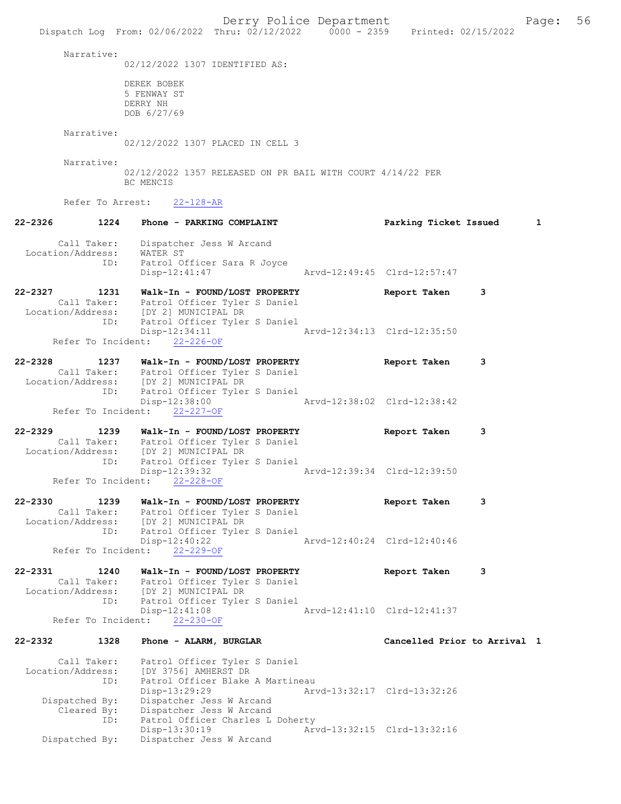Derry Police Department Fage: 56 Dispatch Log From: 02/06/2022 Thru: 02/12/2022 0000 - 2359 Printed: 02/15/2022 Narrative: 02/12/2022 1307 IDENTIFIED AS: DEREK BOBEK 5 FENWAY ST DERRY NH DOB 6/27/69 Narrative: 02/12/2022 1307 PLACED IN CELL 3 Narrative: 02/12/2022 1357 RELEASED ON PR BAIL WITH COURT 4/14/22 PER BC MENCIS Refer To Arrest: 22-128-AR 22-2326 1224 Phone - PARKING COMPLAINT Parking Ticket Issued 1 Call Taker: Dispatcher Jess W Arcand Location/Address: WATER ST ID: Patrol Officer Sara R Joyce Disp-12:41:47 Arvd-12:49:45 Clrd-12:57:47 22-2327 1231 Walk-In - FOUND/LOST PROPERTY Report Taken 3 Call Taker: Patrol Officer Tyler S Daniel Location/Address: [DY 2] MUNICIPAL DR ID: Patrol Officer Tyler S Daniel Disp-12:34:11 Arvd-12:34:13 Clrd-12:35:50 Refer To Incident: 22-226-OF 22-2328 1237 Walk-In - FOUND/LOST PROPERTY Report Taken 3 Call Taker: Patrol Officer Tyler S Daniel Location/Address: [DY 2] MUNICIPAL DR ID: Patrol Officer Tyler S Daniel<br>Disp-12:38:00 Disp-12:38:00 Arvd-12:38:02 Clrd-12:38:42 Refer To Incident: 22-227-OF 22-2329 1239 Walk-In - FOUND/LOST PROPERTY Report Taken 3 Call Taker: Patrol Officer Tyler S Daniel Location/Address: [DY 2] MUNICIPAL DR ID: Patrol Officer Tyler S Daniel Disp-12:39:32 Arvd-12:39:34 Clrd-12:39:50 Refer To Incident: 22-228-OF 22-2330 1239 Walk-In - FOUND/LOST PROPERTY Report Taken 3 Call Taker: Patrol Officer Tyler S Daniel Location/Address: [DY 2] MUNICIPAL DR ID: Patrol Officer Tyler S Daniel Disp-12:40:22 Arvd-12:40:24 Clrd-12:40:46 Refer To Incident: 22-229-OF 22-2331 1240 Walk-In - FOUND/LOST PROPERTY Report Taken 3 Call Taker: Patrol Officer Tyler S Daniel Location/Address: [DY 2] MUNICIPAL DR ID: Patrol Officer Tyler S Daniel Arvd-12:41:10 Clrd-12:41:37 Refer To Incident: 22-230-OF 22-2332 1328 Phone - ALARM, BURGLAR Cancelled Prior to Arrival 1 Call Taker: Patrol Officer Tyler S Daniel Location/Address: [DY 3756] AMHERST DR ID: Patrol Officer Blake A Martineau Disp-13:29:29 Arvd-13:32:17 Clrd-13:32:26 Dispatched By: Dispatcher Jess W Arcand Cleared By: Dispatcher Jess W Arcand ID: Patrol Officer Charles L Doherty Disp-13:30:19 Arvd-13:32:15 Clrd-13:32:16<br>Dispatched By: Dispatcher Jess W Arcand Dispatcher Jess W Arcand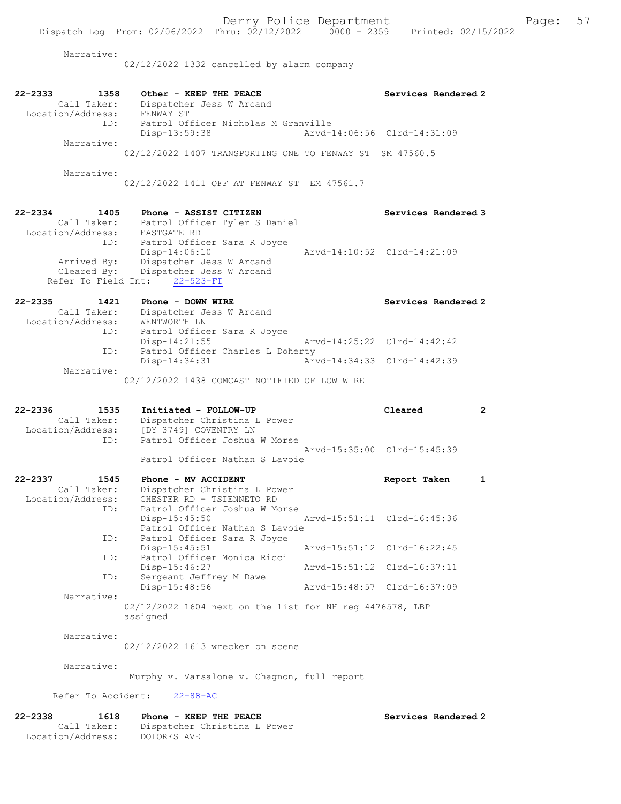Narrative:

02/12/2022 1332 cancelled by alarm company

| $22 - 2333$<br>1358<br>Call Taker:<br>Location/Address:        | Other - KEEP THE PEACE<br>Dispatcher Jess W Arcand<br>FENWAY ST                                                   | Services Rendered 2         |
|----------------------------------------------------------------|-------------------------------------------------------------------------------------------------------------------|-----------------------------|
| ID:<br>Narrative:                                              | Patrol Officer Nicholas M Granville<br>Disp-13:59:38                                                              | Arvd-14:06:56 Clrd-14:31:09 |
|                                                                | 02/12/2022 1407 TRANSPORTING ONE TO FENWAY ST SM 47560.5                                                          |                             |
| Narrative:                                                     | 02/12/2022 1411 OFF AT FENWAY ST EM 47561.7                                                                       |                             |
| $22 - 2334$<br>1405<br>Call Taker:<br>Location/Address:        | Phone - ASSIST CITIZEN<br>Patrol Officer Tyler S Daniel<br>EASTGATE RD                                            | Services Rendered 3         |
| ID:<br>Arrived By:                                             | Patrol Officer Sara R Joyce<br>Disp-14:06:10<br>Dispatcher Jess W Arcand                                          | Arvd-14:10:52 Clrd-14:21:09 |
| Cleared By:<br>Refer To Field Int:                             | Dispatcher Jess W Arcand<br>$22 - 523 - FI$                                                                       |                             |
| $22 - 2335$<br>1421<br>Call Taker:<br>Location/Address:        | Phone - DOWN WIRE<br>Dispatcher Jess W Arcand<br>WENTWORTH LN                                                     | Services Rendered 2         |
| ID:<br>ID:                                                     | Patrol Officer Sara R Joyce<br>$Disp-14:21:55$<br>Patrol Officer Charles L Doherty                                | Arvd-14:25:22 Clrd-14:42:42 |
| Narrative:                                                     | Disp-14:34:31                                                                                                     | Arvd-14:34:33 Clrd-14:42:39 |
|                                                                | 02/12/2022 1438 COMCAST NOTIFIED OF LOW WIRE                                                                      |                             |
| $22 - 2336$<br>1535<br>Call Taker:<br>Location/Address:<br>ID: | Initiated - FOLLOW-UP<br>Dispatcher Christina L Power<br>[DY 3749] COVENTRY LN<br>Patrol Officer Joshua W Morse   | Cleared<br>$\mathbf{2}$     |
|                                                                | Patrol Officer Nathan S Lavoie                                                                                    | Arvd-15:35:00 Clrd-15:45:39 |
| $22 - 2337$<br>1545<br>Call Taker:<br>Location/Address:<br>ID: | Phone - MV ACCIDENT<br>Dispatcher Christina L Power<br>CHESTER RD + TSIENNETO RD<br>Patrol Officer Joshua W Morse | Report Taken<br>1           |
|                                                                | Disp-15:45:50<br>Patrol Officer Nathan S Lavoie                                                                   | Arvd-15:51:11 Clrd-16:45:36 |
| ID:<br>ID:                                                     | Patrol Officer Sara R Joyce<br>Disp-15:45:51<br>Patrol Officer Monica Ricci                                       | Arvd-15:51:12 Clrd-16:22:45 |
| ID:                                                            | Disp-15:46:27<br>Sergeant Jeffrey M Dawe                                                                          | Arvd-15:51:12 Clrd-16:37:11 |
| Narrative:                                                     | Disp-15:48:56<br>02/12/2022 1604 next on the list for NH reg 4476578, LBP<br>assigned                             | Arvd-15:48:57 Clrd-16:37:09 |
| Narrative:                                                     | 02/12/2022 1613 wrecker on scene                                                                                  |                             |
| Narrative:                                                     | Murphy v. Varsalone v. Chagnon, full report                                                                       |                             |
| Refer To Accident:                                             | $22 - 88 - AC$                                                                                                    |                             |
| $22 - 2338$<br>1618<br>Call Taker:<br>Location/Address:        | Phone - KEEP THE PEACE<br>Dispatcher Christina L Power<br>DOLORES AVE                                             | Services Rendered 2         |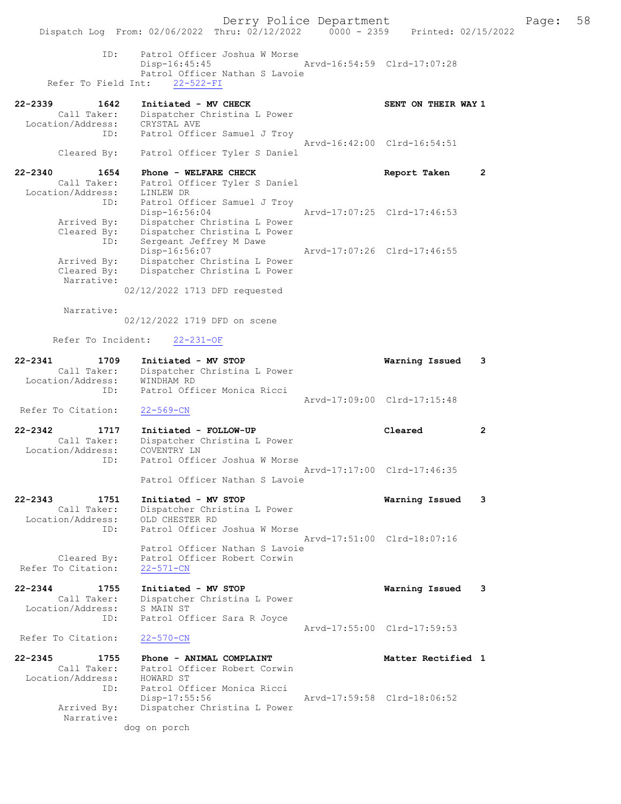Derry Police Department Fage: 58 Dispatch Log From: 02/06/2022 Thru: 02/12/2022 0000 - 2359 Printed: 02/15/2022 ID: Patrol Officer Joshua W Morse Disp-16:45:45 Arvd-16:54:59 Clrd-17:07:28 Patrol Officer Nathan S Lavoie Refer To Field Int: 22-522-FI 22-2339 1642 Initiated - MV CHECK SENT ON THEIR WAY 1 Call Taker: Dispatcher Christina L Power Location/Address: CRYSTAL AVE ID: Patrol Officer Samuel J Troy Arvd-16:42:00 Clrd-16:54:51 Cleared By: Patrol Officer Tyler S Daniel 22-2340 1654 Phone - WELFARE CHECK Report Taken 2 Call Taker: Patrol Officer Tyler S Daniel Location/Address: LINLEW DR ID: Patrol Officer Samuel J Troy Disp-16:56:04 Arvd-17:07:25 Clrd-17:46:53 Arrived By: Dispatcher Christina L Power Cleared By: Dispatcher Christina L Power ID: Sergeant Jeffrey M Dawe Disp-16:56:07 Arvd-17:07:26 Clrd-17:46:55 Arrived By: Dispatcher Christina L Power Cleared By: Dispatcher Christina L Power Narrative: 02/12/2022 1713 DFD requested Narrative: 02/12/2022 1719 DFD on scene Refer To Incident: 22-231-OF 22-2341 1709 Initiated - MV STOP Warning Issued 3 Call Taker: Dispatcher Christina L Power Location/Address: WINDHAM RD ID: Patrol Officer Monica Ricci Arvd-17:09:00 Clrd-17:15:48 Refer To Citation: 22-569-CN 22-2342 1717 Initiated - FOLLOW-UP Cleared 2 Call Taker: Dispatcher Christina L Power Location/Address: COVENTRY LN ID: Patrol Officer Joshua W Morse Arvd-17:17:00 Clrd-17:46:35 Patrol Officer Nathan S Lavoie 22-2343 1751 Initiated - MV STOP Warning Issued 3 Call Taker: Dispatcher Christina L Power Location/Address: OLD CHESTER RD ID: Patrol Officer Joshua W Morse Arvd-17:51:00 Clrd-18:07:16 Patrol Officer Nathan S Lavoie Cleared By: Patrol Officer Robert Corwin Refer To Citation: 22-571-CN 22-2344 1755 Initiated - MV STOP Warning Issued 3 Call Taker: Dispatcher Christina L Power Location/Address: S MAIN ST ID: Patrol Officer Sara R Joyce Arvd-17:55:00 Clrd-17:59:53 Refer To Citation: 22-570-CN 22-2345 1755 Phone - ANIMAL COMPLAINT Nunties of Matter Rectified 1 Call Taker: Patrol Officer Robert Corwin Location/Address: HOWARD ST ID: Patrol Officer Monica Ricci Disp-17:55:56 Arvd-17:59:58 Clrd-18:06:52 Arrived By: Dispatcher Christina L Power Narrative: dog on porch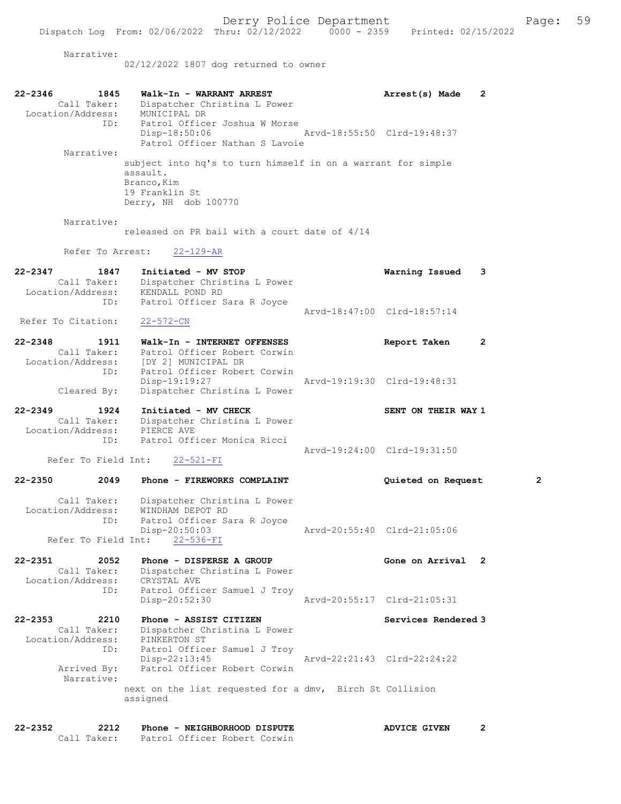Narrative:

02/12/2022 1807 dog returned to owner

| 22-2346<br>1845<br>Call Taker:<br>Location/Address:<br>ID:<br>Narrative:<br>Narrative: | Walk-In - WARRANT ARREST<br>Dispatcher Christina L Power<br>MUNICIPAL DR<br>Patrol Officer Joshua W Morse<br>Disp-18:50:06<br>Patrol Officer Nathan S Lavoie<br>subject into hq's to turn himself in on a warrant for simple<br>assault.<br>Branco, Kim<br>19 Franklin St<br>Derry, NH dob 100770<br>released on PR bail with a court date of $4/14$ | Arrest(s) Made<br>Arvd-18:55:50 Clrd-19:48:37 | 2                   |    |
|----------------------------------------------------------------------------------------|------------------------------------------------------------------------------------------------------------------------------------------------------------------------------------------------------------------------------------------------------------------------------------------------------------------------------------------------------|-----------------------------------------------|---------------------|----|
| Refer To Arrest:                                                                       | $22 - 129 - AR$                                                                                                                                                                                                                                                                                                                                      |                                               |                     |    |
| $22 - 2347$<br>1847<br>Call Taker:<br>Location/Address:<br>ID:                         | Initiated - MV STOP<br>Dispatcher Christina L Power<br>KENDALL POND RD<br>Patrol Officer Sara R Joyce                                                                                                                                                                                                                                                |                                               | Warning Issued      | 3  |
| Refer To Citation:                                                                     | $22 - 572 - CN$                                                                                                                                                                                                                                                                                                                                      | Arvd-18:47:00 Clrd-18:57:14                   |                     |    |
| $22 - 2348$<br>1911<br>Call Taker:<br>Location/Address:<br>ID:<br>Cleared By:          | Walk-In - INTERNET OFFENSES<br>Patrol Officer Robert Corwin<br>[DY 2] MUNICIPAL DR<br>Patrol Officer Robert Corwin<br>Disp-19:19:27<br>Dispatcher Christina L Power                                                                                                                                                                                  | Arvd-19:19:30 Clrd-19:48:31                   | Report Taken        | 2  |
| $22 - 2349$<br>1924<br>Call Taker:<br>Location/Address:<br>ID:<br>Refer To Field Int:  | Initiated - MV CHECK<br>Dispatcher Christina L Power<br>PIERCE AVE<br>Patrol Officer Monica Ricci<br>$22 - 521 - FI$                                                                                                                                                                                                                                 | Arvd-19:24:00 Clrd-19:31:50                   | SENT ON THEIR WAY 1 |    |
| $22 - 2350$<br>2049                                                                    | Phone - FIREWORKS COMPLAINT                                                                                                                                                                                                                                                                                                                          |                                               | Quieted on Request  | 2  |
| Call Taker:<br>ID:                                                                     | Dispatcher Christina L Power<br>Location/Address: WINDHAM DEPOT RD<br>Patrol Officer Sara R Joyce<br>$Disp-20:50:03$<br>Refer To Field Int: 22-536-FI                                                                                                                                                                                                | Arvd-20:55:40 Clrd-21:05:06                   |                     |    |
| $22 - 2351$<br>2052<br>Call Taker:<br>Location/Address:<br>ID:                         | Phone - DISPERSE A GROUP<br>Dispatcher Christina L Power<br>CRYSTAL AVE<br>Patrol Officer Samuel J Troy<br>Disp-20:52:30                                                                                                                                                                                                                             | Arvd-20:55:17 Clrd-21:05:31                   | Gone on Arrival     | -2 |
| 22-2353<br>2210<br>Call Taker:<br>Location/Address:<br>ID:                             | Phone - ASSIST CITIZEN<br>Dispatcher Christina L Power<br>PINKERTON ST<br>Patrol Officer Samuel J Troy                                                                                                                                                                                                                                               |                                               | Services Rendered 3 |    |
| Arrived By:<br>Narrative:                                                              | Disp-22:13:45<br>Patrol Officer Robert Corwin<br>next on the list requested for a dmv, Birch St Collision<br>assigned                                                                                                                                                                                                                                | Arvd-22:21:43 Clrd-22:24:22                   |                     |    |
|                                                                                        |                                                                                                                                                                                                                                                                                                                                                      |                                               |                     |    |

22-2352 2212 Phone - NEIGHBORHOOD DISPUTE ADVICE GIVEN 2 Call Taker: Patrol Officer Robert Corwin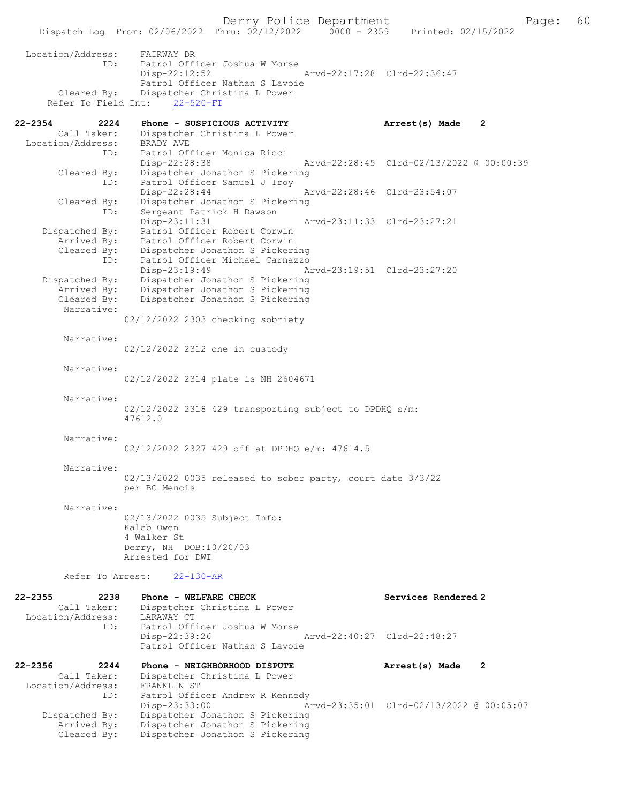Dispatch Log From: 02/06/2022 Thru: 02/12/2022 0000 - 2359 Printed: 02/15/2022 Location/Address: FAIRWAY DR ID: Patrol Officer Joshua W Morse Disp-22:12:52 Arvd-22:17:28 Clrd-22:36:47 Patrol Officer Nathan S Lavoie Cleared By: Dispatcher Christina L Power Refer To Field Int: 22-520-FI 22-2354 2224 Phone - SUSPICIOUS ACTIVITY Arrest(s) Made 2<br>Call Taker: Dispatcher Christina L Power Call Taker: Dispatcher Christina L Power Location/Address: BRADY AVE ID: Patrol Officer Monica Ricci Disp-22:28:38 Arvd-22:28:45 Clrd-02/13/2022 @ 00:00:39 Cleared By: Dispatcher Jonathon S Pickering<br>ID: Patrol Officer Samuel J Troy Patrol Officer Samuel J Troy Disp-22:28:44 Arvd-22:28:46 Clrd-23:54:07 Cleared By: Dispatcher Jonathon S Pickering ID: Sergeant Patrick H Dawson Disp-23:11:31 Arvd-23:11:33 Clrd-23:27:21<br>Dispatched By: Patrol Officer Robert Corwin Dispatched By: Patrol Officer Robert Corwin Arrived By: Patrol Officer Robert Corwin Cleared By: Dispatcher Jonathon S Pickering ID: Patrol Officer Michael Carnazzo Disp-23:19:49 Arvd-23:19:51 Clrd-23:27:20<br>Dispatched By: Dispatcher Jonathon S Pickering patched By: Dispatcher Jonathon S Pickering<br>Arrived By: Dispatcher Jonathon S Pickering Arrived By: Dispatcher Jonathon S Pickering<br>Cleared By: Dispatcher Jonathon S Pickering Dispatcher Jonathon S Pickering Narrative: 02/12/2022 2303 checking sobriety Narrative: 02/12/2022 2312 one in custody Narrative: 02/12/2022 2314 plate is NH 2604671 Narrative: 02/12/2022 2318 429 transporting subject to DPDHQ s/m: 47612.0 Narrative: 02/12/2022 2327 429 off at DPDHQ e/m: 47614.5 Narrative: 02/13/2022 0035 released to sober party, court date 3/3/22 per BC Mencis Narrative: 02/13/2022 0035 Subject Info: Kaleb Owen 4 Walker St Derry, NH DOB:10/20/03 Arrested for DWI Refer To Arrest: 22-130-AR 22-2355 2238 Phone - WELFARE CHECK Services Rendered 2 Call Taker: Dispatcher Christina L Power<br>ion/Address: LARAWAY CT Location/Address:<br>ID: Patrol Officer Joshua W Morse<br>Disp-22:39:26 Disp-22:39:26 Arvd-22:40:27 Clrd-22:48:27 Patrol Officer Nathan S Lavoie 22-2356 2244 Phone - NEIGHBORHOOD DISPUTE Arrest(s) Made 2 Call Taker: Dispatcher Christina L Power Location/Address: FRANKLIN ST ess: Exannium of<br>ID: Patrol Officer Andrew R Kennedy<br>Disp-23:33:00 Ar Disp-23:33:00 Arvd-23:35:01 Clrd-02/13/2022 @ 00:05:07<br>Dispatched By: Dispatcher Jonathon S Pickering Dispatcher Jonathon S Pickering Arrived By: Dispatcher Jonathon S Pickering Cleared By: Dispatcher Jonathon S Pickering

Derry Police Department The Rage: 60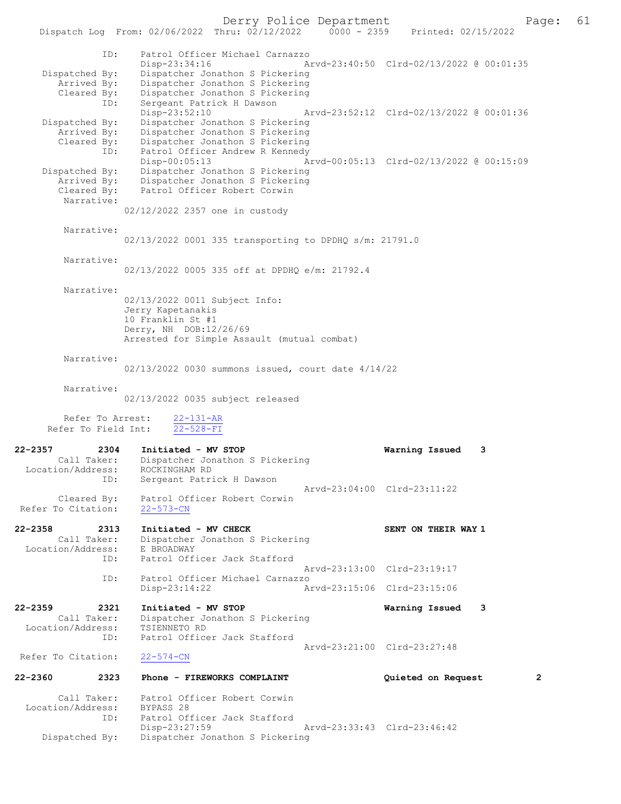Derry Police Department Fage: 61 Dispatch Log From: 02/06/2022 Thru: 02/12/2022 0000 - 2359 Printed: 02/15/2022 ID: Patrol Officer Michael Carnazzo Disp-23:34:16 Arvd-23:40:50 Clrd-02/13/2022 @ 00:01:35<br>Dispatched By: Dispatcher Jonathon S Pickering Dispatcher Jonathon S Pickering Arrived By: Dispatcher Jonathon S Pickering Cleared By: Dispatcher Jonathon S Pickering ID: Sergeant Patrick H Dawson<br>Disp-23:52:10 Disp-23:52:10 Arvd-23:52:12 Clrd-02/13/2022 @ 00:01:36 Dispatched By: Dispatcher Jonathon S Pickering Arrived By: Dispatcher Jonathon S Pickering Cleared By: Dispatcher Jonathon S Pickering ID: Patrol Officer Andrew R Kennedy<br>Disp-00:05:13 A Arvd-00:05:13 Clrd-02/13/2022 @ 00:15:09 Dispatched By: Dispatcher Jonathon S Pickering<br>Arrived By: Dispatcher Jonathon S Pickering Arrived By: Dispatcher Jonathon S Pickering<br>Cleared By: Patrol Officer Robert Corwin Patrol Officer Robert Corwin Narrative: 02/12/2022 2357 one in custody Narrative: 02/13/2022 0001 335 transporting to DPDHQ s/m: 21791.0 Narrative: 02/13/2022 0005 335 off at DPDHQ e/m: 21792.4 Narrative: 02/13/2022 0011 Subject Info: Jerry Kapetanakis 10 Franklin St #1 Derry, NH DOB:12/26/69 Arrested for Simple Assault (mutual combat) Narrative: 02/13/2022 0030 summons issued, court date 4/14/22 Narrative: 02/13/2022 0035 subject released Refer To Arrest:  $\frac{22-131-AR}{22-528-FI}$ Refer To Field Int: 22-2357 2304 Initiated - MV STOP Warning Issued 3 Call Taker: Dispatcher Jonathon S Pickering Location/Address: ROCKINGHAM RD ID: Sergeant Patrick H Dawson Arvd-23:04:00 Clrd-23:11:22 Cleared By: Patrol Officer Robert Corwin Refer To Citation: 22-573-CN 22-2358 2313 Initiated - MV CHECK SENT ON THEIR WAY 1 Call Taker: Dispatcher Jonathon S Pickering Location/Address: E BROADWAY ID: Patrol Officer Jack Stafford Arvd-23:13:00 Clrd-23:19:17 ID: Patrol Officer Michael Carnazzo<br>Disp-23:14:22 A Disp-23:14:22 Arvd-23:15:06 Clrd-23:15:06 22-2359 2321 Initiated - MV STOP 1991 22-2359 2321 Initiated - MV STOP 2361 2361 2361 2361 2361 2361 2361 236 Dispatcher Jonathon S Pickering<br>TSIENNETO RD Location/Address:<br>TD: Patrol Officer Jack Stafford Arvd-23:21:00 Clrd-23:27:48<br>22-574-CN Refer To Citation: 22-2360 2323 Phone - FIREWORKS COMPLAINT Quieted on Request 2 Call Taker: Patrol Officer Robert Corwin<br>ion/Address: BYPASS 28 Location/Address: ID: Patrol Officer Jack Stafford<br>Disp-23:27:59 Disp-23:27:59 Arvd-23:33:43 Clrd-23:46:42<br>Dispatched By: Dispatcher Jonathon S Pickering Dispatcher Jonathon S Pickering